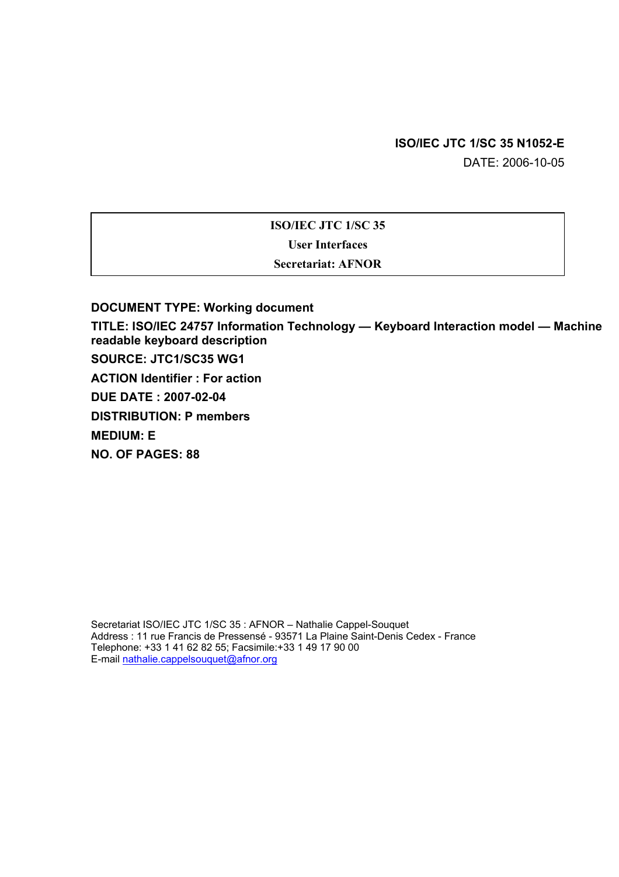## **ISO/IEC JTC 1/SC 35 N1052-E**

DATE: 2006-10-05

# **ISO/IEC JTC 1/SC 35 User Interfaces Secretariat: AFNOR**

**DOCUMENT TYPE: Working document TITLE: ISO/IEC 24757 Information Technology — Keyboard Interaction model — Machine readable keyboard description SOURCE: JTC1/SC35 WG1 ACTION Identifier : For action DUE DATE : 2007-02-04 DISTRIBUTION: P members MEDIUM: E NO. OF PAGES: 88** 

Secretariat ISO/IEC JTC 1/SC 35 : AFNOR – Nathalie Cappel-Souquet Address : 11 rue Francis de Pressensé - 93571 La Plaine Saint-Denis Cedex - France Telephone: +33 1 41 62 82 55; Facsimile:+33 1 49 17 90 00 E-mail nathalie.cappelsouquet@afnor.org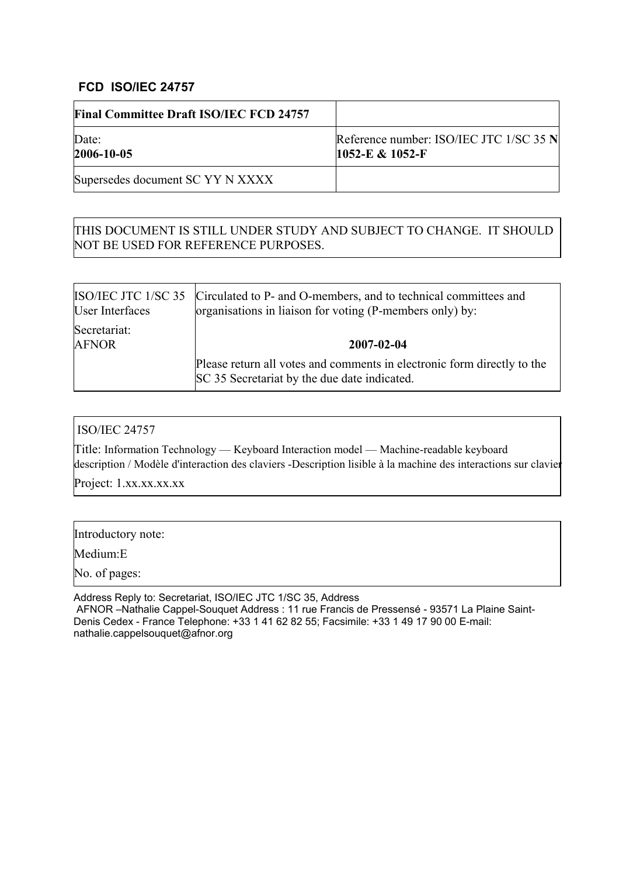## **FCD ISO/IEC 24757**

| <b>Final Committee Draft ISO/IEC FCD 24757</b> |                                                              |
|------------------------------------------------|--------------------------------------------------------------|
| Date:<br>2006-10-05                            | Reference number: ISO/IEC JTC 1/SC 35 N<br>1052-E $&$ 1052-F |
| Supersedes document SC YY N XXXX               |                                                              |

## THIS DOCUMENT IS STILL UNDER STUDY AND SUBJECT TO CHANGE. IT SHOULD NOT BE USED FOR REFERENCE PURPOSES.

| <b>User Interfaces</b>       | ISO/IEC JTC 1/SC 35 Circulated to P- and O-members, and to technical committees and<br>organisations in liaison for voting (P-members only) by: |  |  |
|------------------------------|-------------------------------------------------------------------------------------------------------------------------------------------------|--|--|
| Secretariat:<br><b>AFNOR</b> | 2007-02-04                                                                                                                                      |  |  |
|                              | Please return all votes and comments in electronic form directly to the<br>SC 35 Secretariat by the due date indicated.                         |  |  |

## ISO/IEC 24757

Title: Information Technology — Keyboard Interaction model — Machine-readable keyboard description / Modèle d'interaction des claviers -Description lisible à la machine des interactions sur clavier

Project: 1.xx.xx.xx.xx

Introductory note:

Medium:E

No. of pages:

Address Reply to: Secretariat, ISO/IEC JTC 1/SC 35, Address

 AFNOR –Nathalie Cappel-Souquet Address : 11 rue Francis de Pressensé - 93571 La Plaine Saint-Denis Cedex - France Telephone: +33 1 41 62 82 55; Facsimile: +33 1 49 17 90 00 E-mail: nathalie.cappelsouquet@afnor.org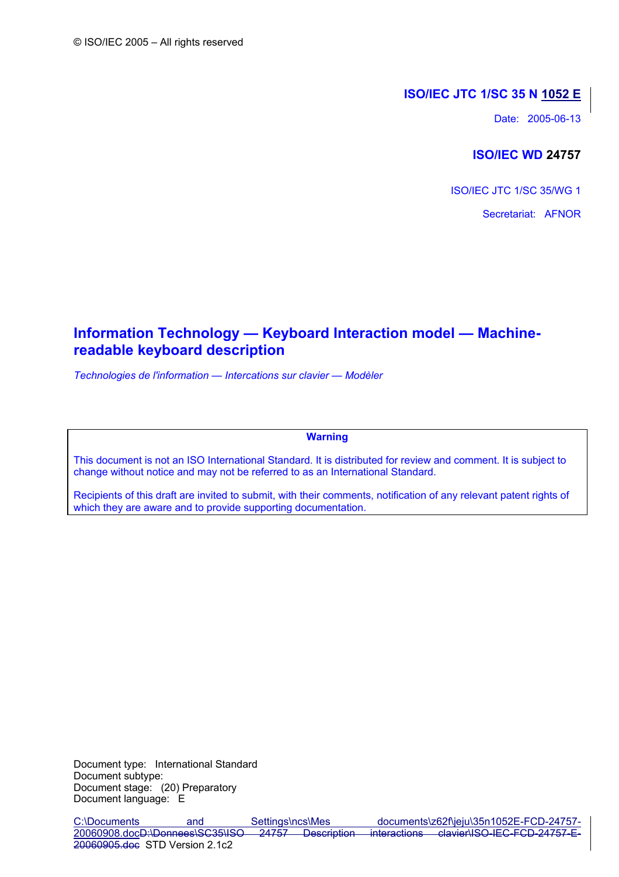## **ISO/IEC JTC 1/SC 35 N 1052 E**

Date: 2005-06-13

## **ISO/IEC WD 24757**

ISO/IEC JTC 1/SC 35/WG 1

Secretariat: AFNOR

# **Information Technology — Keyboard Interaction model — Machinereadable keyboard description**

*Technologies de l'information — Intercations sur clavier — Modèler* 

**Warning** 

This document is not an ISO International Standard. It is distributed for review and comment. It is subject to change without notice and may not be referred to as an International Standard.

Recipients of this draft are invited to submit, with their comments, notification of any relevant patent rights of which they are aware and to provide supporting documentation.

Document type: International Standard Document subtype: Document stage: (20) Preparatory Document language: E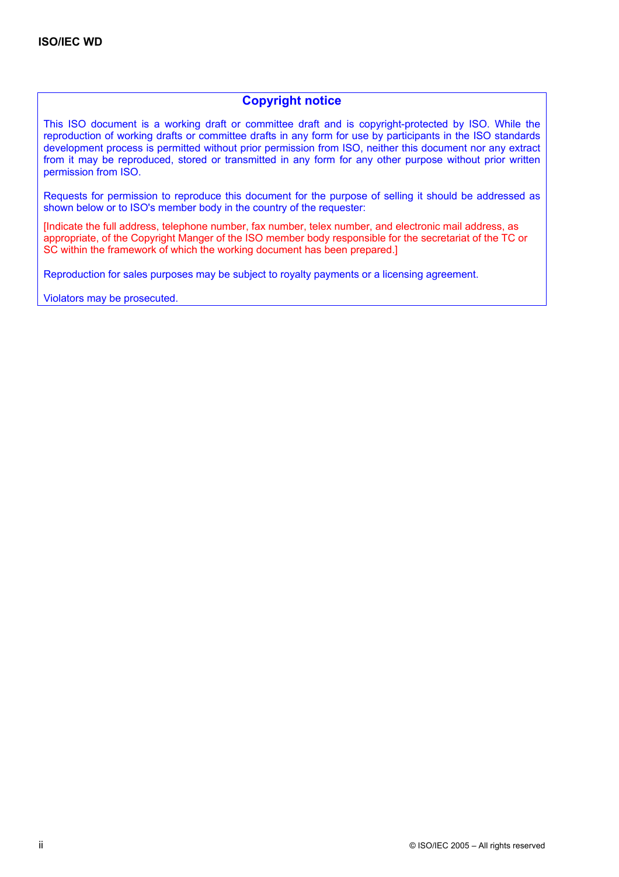## **Copyright notice**

This ISO document is a working draft or committee draft and is copyright-protected by ISO. While the reproduction of working drafts or committee drafts in any form for use by participants in the ISO standards development process is permitted without prior permission from ISO, neither this document nor any extract from it may be reproduced, stored or transmitted in any form for any other purpose without prior written permission from ISO.

Requests for permission to reproduce this document for the purpose of selling it should be addressed as shown below or to ISO's member body in the country of the requester:

[Indicate the full address, telephone number, fax number, telex number, and electronic mail address, as appropriate, of the Copyright Manger of the ISO member body responsible for the secretariat of the TC or SC within the framework of which the working document has been prepared.]

Reproduction for sales purposes may be subject to royalty payments or a licensing agreement.

Violators may be prosecuted.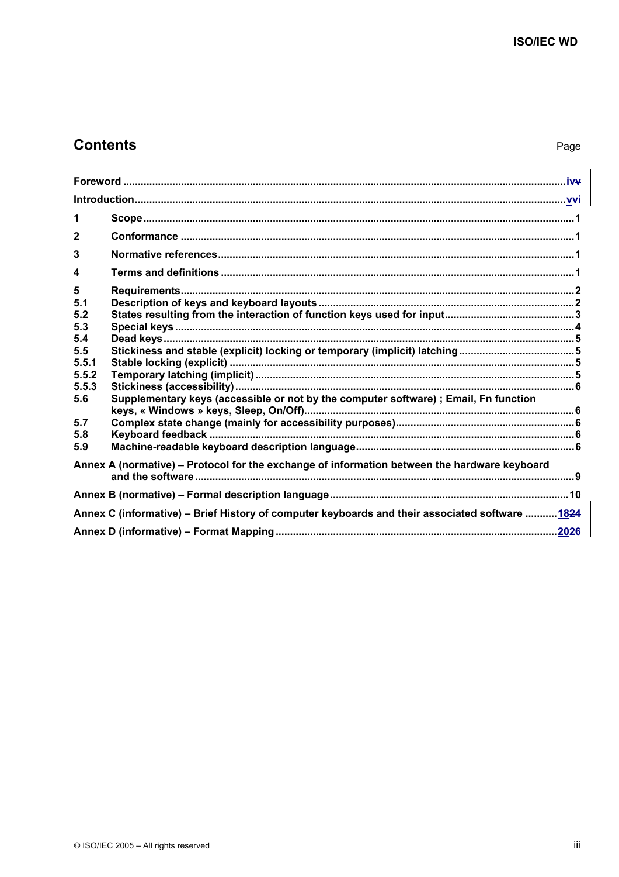# **Contents**

Page

| 1                 |                                                                                                |  |  |  |
|-------------------|------------------------------------------------------------------------------------------------|--|--|--|
| $\mathbf{2}$      |                                                                                                |  |  |  |
| 3                 |                                                                                                |  |  |  |
| 4                 |                                                                                                |  |  |  |
| 5<br>5.1          |                                                                                                |  |  |  |
| 5.2<br>5.3<br>5.4 |                                                                                                |  |  |  |
| 5.5<br>5.5.1      |                                                                                                |  |  |  |
| 5.5.2<br>5.5.3    |                                                                                                |  |  |  |
| 5.6               | Supplementary keys (accessible or not by the computer software); Email, Fn function            |  |  |  |
| 5.7<br>5.8        |                                                                                                |  |  |  |
| 5.9               |                                                                                                |  |  |  |
|                   | Annex A (normative) – Protocol for the exchange of information between the hardware keyboard   |  |  |  |
|                   |                                                                                                |  |  |  |
|                   | Annex C (informative) – Brief History of computer keyboards and their associated software 1824 |  |  |  |
|                   |                                                                                                |  |  |  |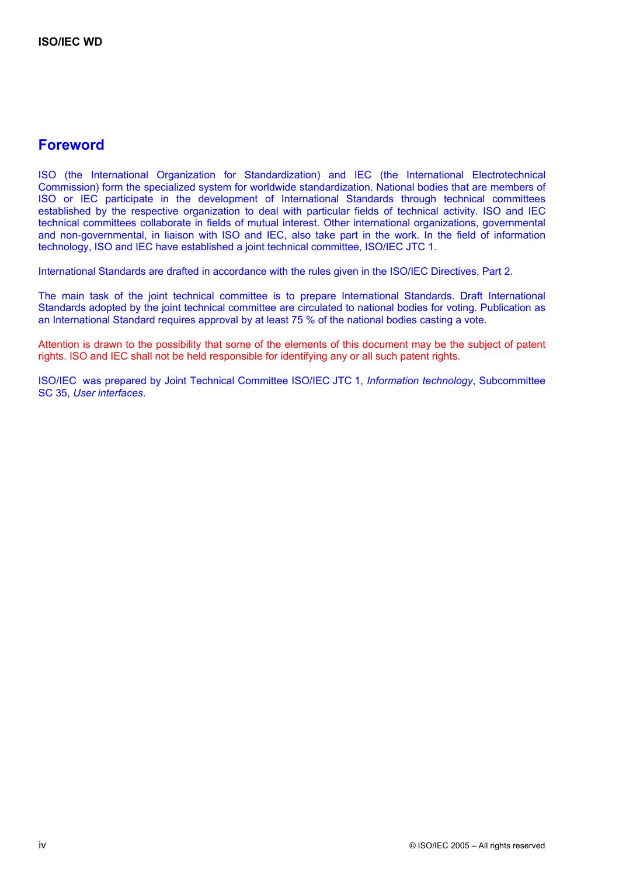# **Foreword**

ISO (the International Organization for Standardization) and IEC (the International Electrotechnical Commission) form the specialized system for worldwide standardization. National bodies that are members of ISO or IEC participate in the development of International Standards through technical committees established by the respective organization to deal with particular fields of technical activity. ISO and IEC technical committees collaborate in fields of mutual interest. Other international organizations, governmental and non-governmental, in liaison with ISO and IEC, also take part in the work. In the field of information technology, ISO and IEC have established a joint technical committee, ISO/IEC JTC 1.

International Standards are drafted in accordance with the rules given in the ISO/IEC Directives, Part 2.

The main task of the joint technical committee is to prepare International Standards. Draft International Standards adopted by the joint technical committee are circulated to national bodies for voting. Publication as an International Standard requires approval by at least 75 % of the national bodies casting a vote.

Attention is drawn to the possibility that some of the elements of this document may be the subject of patent rights. ISO and IEC shall not be held responsible for identifying any or all such patent rights.

ISO/IEC was prepared by Joint Technical Committee ISO/IEC JTC 1, *Information technology*, Subcommittee SC 35, *User interfaces*.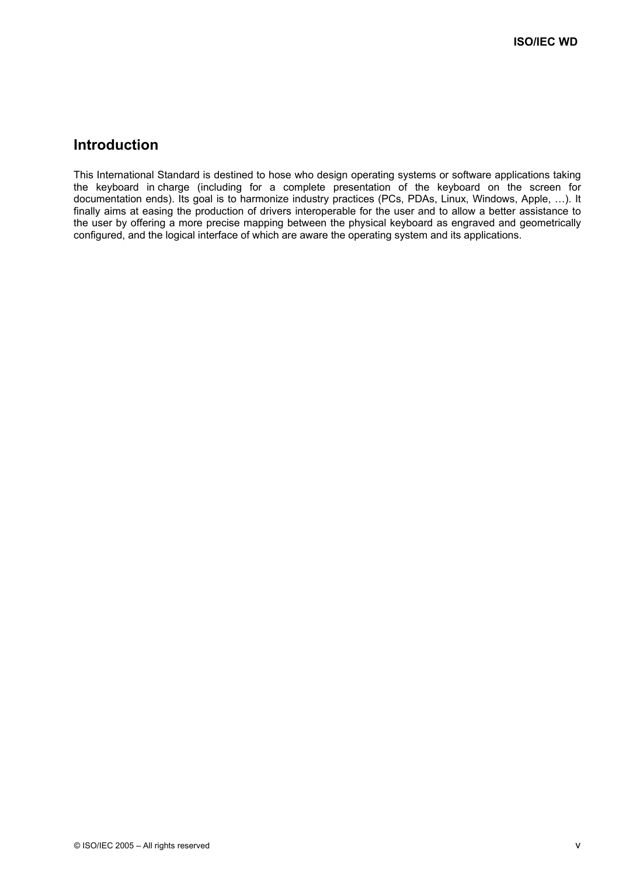# **Introduction**

This International Standard is destined to hose who design operating systems or software applications taking the keyboard in charge (including for a complete presentation of the keyboard on the screen for documentation ends). Its goal is to harmonize industry practices (PCs, PDAs, Linux, Windows, Apple, …). It finally aims at easing the production of drivers interoperable for the user and to allow a better assistance to the user by offering a more precise mapping between the physical keyboard as engraved and geometrically configured, and the logical interface of which are aware the operating system and its applications.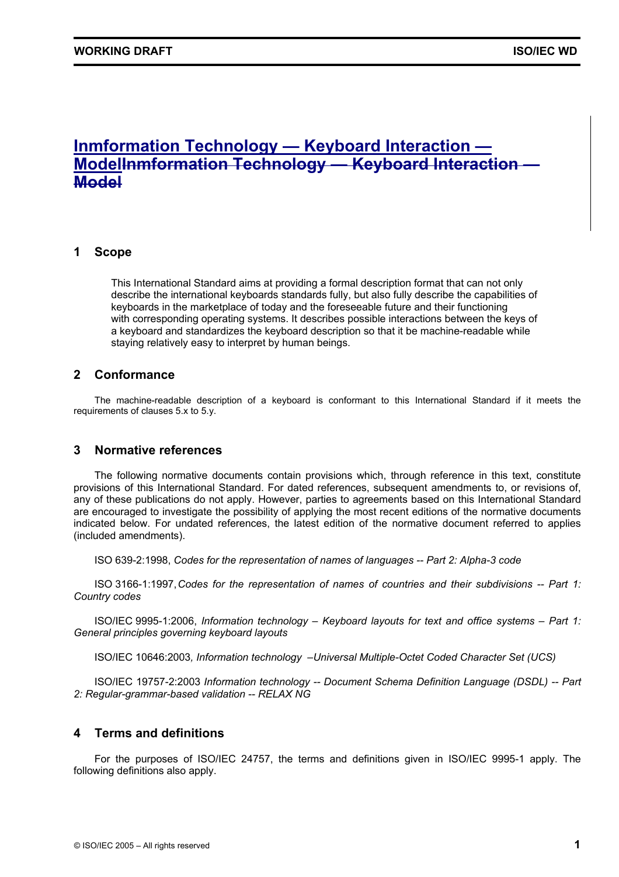# **Inmformation Technology — Keyboard Interaction — ModelInmformation Technology — Keyboard Interaction — Model**

### **1 Scope**

This International Standard aims at providing a formal description format that can not only describe the international keyboards standards fully, but also fully describe the capabilities of keyboards in the marketplace of today and the foreseeable future and their functioning with corresponding operating systems. It describes possible interactions between the keys of a keyboard and standardizes the keyboard description so that it be machine-readable while staying relatively easy to interpret by human beings.

## **2 Conformance**

 The machine-readable description of a keyboard is conformant to this International Standard if it meets the requirements of clauses 5.x to 5.y.

## **3 Normative references**

The following normative documents contain provisions which, through reference in this text, constitute provisions of this International Standard. For dated references, subsequent amendments to, or revisions of, any of these publications do not apply. However, parties to agreements based on this International Standard are encouraged to investigate the possibility of applying the most recent editions of the normative documents indicated below. For undated references, the latest edition of the normative document referred to applies (included amendments).

ISO 639-2:1998, *Codes for the representation of names of languages -- Part 2: Alpha-3 code* 

ISO 3166-1:1997, *Codes for the representation of names of countries and their subdivisions -- Part 1: Country codes* 

ISO/IEC 9995-1:2006, *Information technology – Keyboard layouts for text and office systems – Part 1: General principles governing keyboard layouts*

ISO/IEC 10646:2003*, Information technology –Universal Multiple-Octet Coded Character Set (UCS)*

ISO/IEC 19757-2:2003 *Information technology -- Document Schema Definition Language (DSDL) -- Part 2: Regular-grammar-based validation -- RELAX NG*

### **4 Terms and definitions**

For the purposes of ISO/IEC 24757, the terms and definitions given in ISO/IEC 9995-1 apply. The following definitions also apply.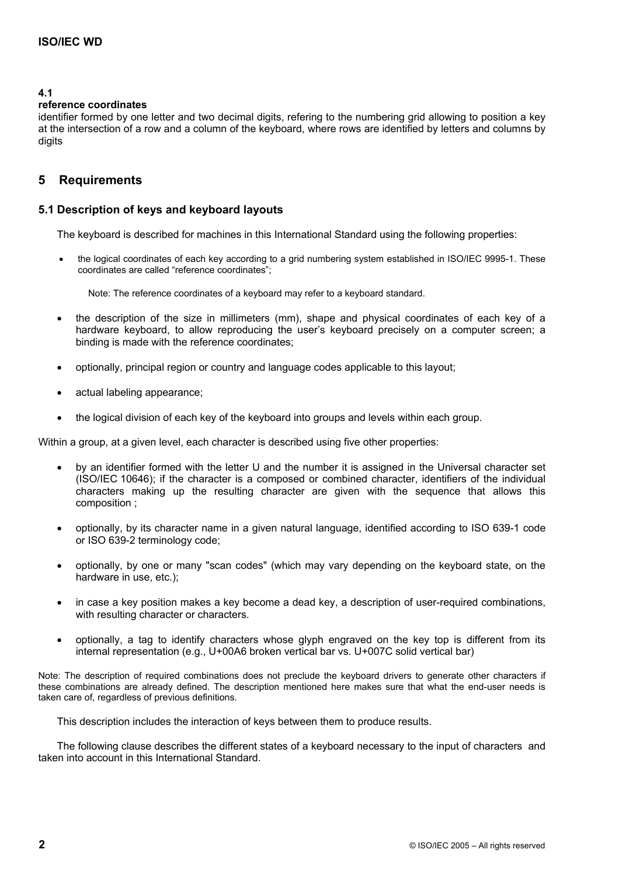## **4.1**

### **reference coordinates**

identifier formed by one letter and two decimal digits, refering to the numbering grid allowing to position a key at the intersection of a row and a column of the keyboard, where rows are identified by letters and columns by digits

## **5 Requirements**

## **5.1 Description of keys and keyboard layouts**

The keyboard is described for machines in this International Standard using the following properties:

• the logical coordinates of each key according to a grid numbering system established in ISO/IEC 9995-1. These coordinates are called "reference coordinates";

Note: The reference coordinates of a keyboard may refer to a keyboard standard.

- the description of the size in millimeters (mm), shape and physical coordinates of each key of a hardware keyboard, to allow reproducing the user's keyboard precisely on a computer screen; a binding is made with the reference coordinates;
- optionally, principal region or country and language codes applicable to this layout;
- actual labeling appearance;
- the logical division of each key of the keyboard into groups and levels within each group.

Within a group, at a given level, each character is described using five other properties:

- by an identifier formed with the letter U and the number it is assigned in the Universal character set (ISO/IEC 10646); if the character is a composed or combined character, identifiers of the individual characters making up the resulting character are given with the sequence that allows this composition ;
- optionally, by its character name in a given natural language, identified according to ISO 639-1 code or ISO 639-2 terminology code;
- optionally, by one or many "scan codes" (which may vary depending on the keyboard state, on the hardware in use, etc.);
- in case a key position makes a key become a dead key, a description of user-required combinations, with resulting character or characters.
- optionally, a tag to identify characters whose glyph engraved on the key top is different from its internal representation (e.g., U+00A6 broken vertical bar vs. U+007C solid vertical bar)

Note: The description of required combinations does not preclude the keyboard drivers to generate other characters if these combinations are already defined. The description mentioned here makes sure that what the end-user needs is taken care of, regardless of previous definitions.

This description includes the interaction of keys between them to produce results.

The following clause describes the different states of a keyboard necessary to the input of characters and taken into account in this International Standard.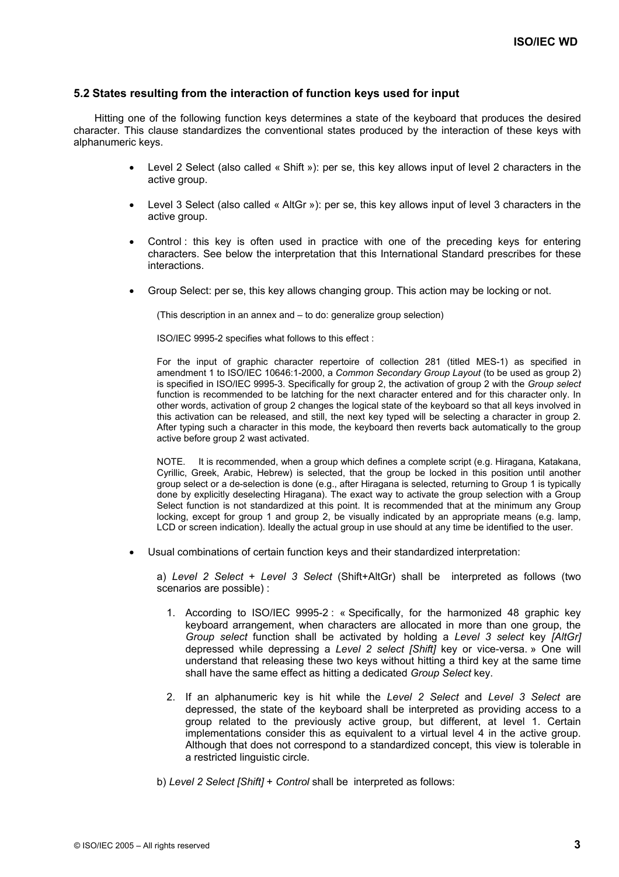### **5.2 States resulting from the interaction of function keys used for input**

Hitting one of the following function keys determines a state of the keyboard that produces the desired character. This clause standardizes the conventional states produced by the interaction of these keys with alphanumeric keys.

- Level 2 Select (also called « Shift »): per se, this key allows input of level 2 characters in the active group.
- Level 3 Select (also called « AltGr »): per se, this key allows input of level 3 characters in the active group.
- Control : this key is often used in practice with one of the preceding keys for entering characters. See below the interpretation that this International Standard prescribes for these interactions.
- Group Select: per se, this key allows changing group. This action may be locking or not.

(This description in an annex and – to do: generalize group selection)

ISO/IEC 9995-2 specifies what follows to this effect :

For the input of graphic character repertoire of collection 281 (titled MES-1) as specified in amendment 1 to ISO/IEC 10646:1-2000, a *Common Secondary Group Layout* (to be used as group 2) is specified in ISO/IEC 9995-3. Specifically for group 2, the activation of group 2 with the *Group select* function is recommended to be latching for the next character entered and for this character only. In other words, activation of group 2 changes the logical state of the keyboard so that all keys involved in this activation can be released, and still, the next key typed will be selecting a character in group 2. After typing such a character in this mode, the keyboard then reverts back automatically to the group active before group 2 wast activated.

NOTE. It is recommended, when a group which defines a complete script (e.g. Hiragana, Katakana, Cyrillic, Greek, Arabic, Hebrew) is selected, that the group be locked in this position until another group select or a de-selection is done (e.g., after Hiragana is selected, returning to Group 1 is typically done by explicitly deselecting Hiragana). The exact way to activate the group selection with a Group Select function is not standardized at this point. It is recommended that at the minimum any Group locking, except for group 1 and group 2, be visually indicated by an appropriate means (e.g. lamp, LCD or screen indication). Ideally the actual group in use should at any time be identified to the user.

• Usual combinations of certain function keys and their standardized interpretation:

a) *Level 2 Select* + *Level 3 Select* (Shift+AltGr) shall be interpreted as follows (two scenarios are possible) :

- 1. According to ISO/IEC 9995-2 : « Specifically, for the harmonized 48 graphic key keyboard arrangement, when characters are allocated in more than one group, the *Group select* function shall be activated by holding a *Level 3 select* key *[AltGr]* depressed while depressing a *Level 2 select [Shift]* key or vice-versa. » One will understand that releasing these two keys without hitting a third key at the same time shall have the same effect as hitting a dedicated *Group Select* key.
- 2. If an alphanumeric key is hit while the *Level 2 Select* and *Level 3 Select* are depressed, the state of the keyboard shall be interpreted as providing access to a group related to the previously active group, but different, at level 1. Certain implementations consider this as equivalent to a virtual level 4 in the active group. Although that does not correspond to a standardized concept, this view is tolerable in a restricted linguistic circle.

b) *Level 2 Select [Shift]* + *Control* shall be interpreted as follows: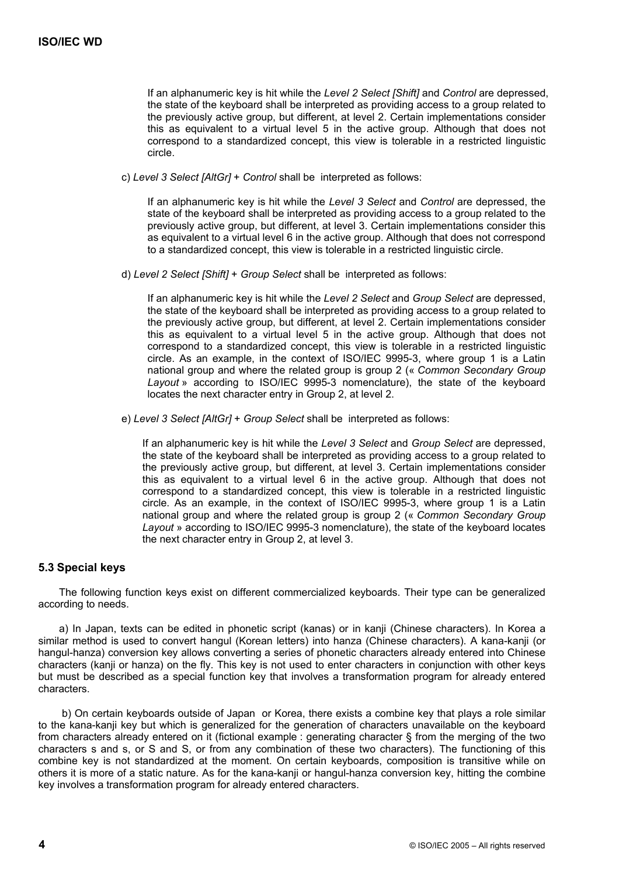If an alphanumeric key is hit while the *Level 2 Select [Shift]* and *Control* are depressed, the state of the keyboard shall be interpreted as providing access to a group related to the previously active group, but different, at level 2. Certain implementations consider this as equivalent to a virtual level 5 in the active group. Although that does not correspond to a standardized concept, this view is tolerable in a restricted linguistic circle.

c) *Level 3 Select [AltGr]* + *Control* shall be interpreted as follows:

If an alphanumeric key is hit while the *Level 3 Select* and *Control* are depressed, the state of the keyboard shall be interpreted as providing access to a group related to the previously active group, but different, at level 3. Certain implementations consider this as equivalent to a virtual level 6 in the active group. Although that does not correspond to a standardized concept, this view is tolerable in a restricted linguistic circle.

d) *Level 2 Select [Shift]* + *Group Select* shall be interpreted as follows:

If an alphanumeric key is hit while the *Level 2 Select* and *Group Select* are depressed, the state of the keyboard shall be interpreted as providing access to a group related to the previously active group, but different, at level 2. Certain implementations consider this as equivalent to a virtual level 5 in the active group. Although that does not correspond to a standardized concept, this view is tolerable in a restricted linguistic circle. As an example, in the context of ISO/IEC 9995-3, where group 1 is a Latin national group and where the related group is group 2 (« *Common Secondary Group Layout* » according to ISO/IEC 9995-3 nomenclature), the state of the keyboard locates the next character entry in Group 2, at level 2.

e) *Level 3 Select [AltGr]* + *Group Select* shall be interpreted as follows:

If an alphanumeric key is hit while the *Level 3 Select* and *Group Select* are depressed, the state of the keyboard shall be interpreted as providing access to a group related to the previously active group, but different, at level 3. Certain implementations consider this as equivalent to a virtual level 6 in the active group. Although that does not correspond to a standardized concept, this view is tolerable in a restricted linguistic circle. As an example, in the context of ISO/IEC 9995-3, where group 1 is a Latin national group and where the related group is group 2 (« *Common Secondary Group Layout* » according to ISO/IEC 9995-3 nomenclature), the state of the keyboard locates the next character entry in Group 2, at level 3.

### **5.3 Special keys**

The following function keys exist on different commercialized keyboards. Their type can be generalized according to needs.

a) In Japan, texts can be edited in phonetic script (kanas) or in kanji (Chinese characters). In Korea a similar method is used to convert hangul (Korean letters) into hanza (Chinese characters). A kana-kanji (or hangul-hanza) conversion key allows converting a series of phonetic characters already entered into Chinese characters (kanji or hanza) on the fly. This key is not used to enter characters in conjunction with other keys but must be described as a special function key that involves a transformation program for already entered characters.

 b) On certain keyboards outside of Japan or Korea, there exists a combine key that plays a role similar to the kana-kanji key but which is generalized for the generation of characters unavailable on the keyboard from characters already entered on it (fictional example : generating character § from the merging of the two characters s and s, or S and S, or from any combination of these two characters). The functioning of this combine key is not standardized at the moment. On certain keyboards, composition is transitive while on others it is more of a static nature. As for the kana-kanji or hangul-hanza conversion key, hitting the combine key involves a transformation program for already entered characters.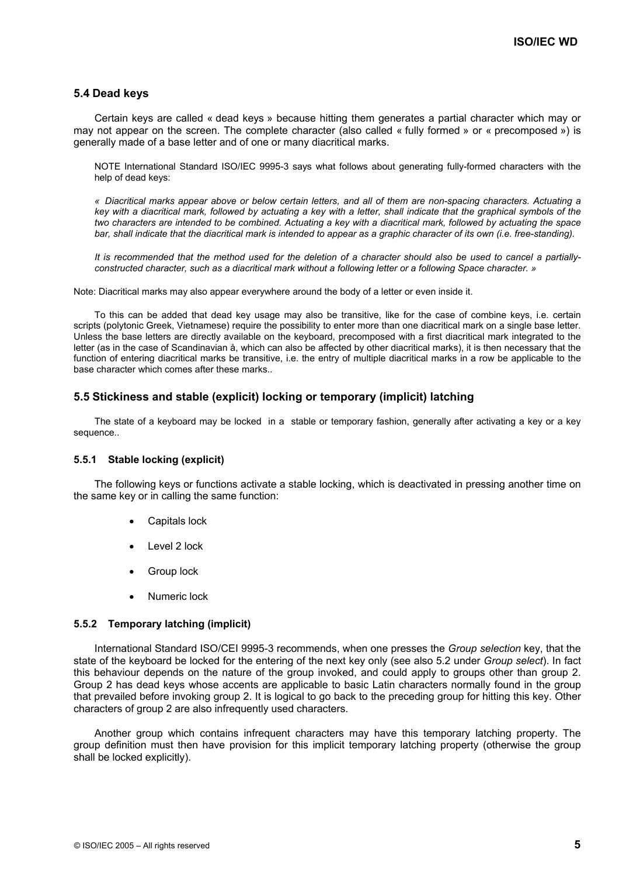#### **5.4 Dead keys**

Certain keys are called « dead keys » because hitting them generates a partial character which may or may not appear on the screen. The complete character (also called « fully formed » or « precomposed ») is generally made of a base letter and of one or many diacritical marks.

NOTE International Standard ISO/IEC 9995-3 says what follows about generating fully-formed characters with the help of dead keys:

*« Diacritical marks appear above or below certain letters, and all of them are non-spacing characters. Actuating a key with a diacritical mark, followed by actuating a key with a letter, shall indicate that the graphical symbols of the two characters are intended to be combined. Actuating a key with a diacritical mark, followed by actuating the space*  bar, shall indicate that the diacritical mark is intended to appear as a graphic character of its own (i.e. free-standing).

*It is recommended that the method used for the deletion of a character should also be used to cancel a partiallyconstructed character, such as a diacritical mark without a following letter or a following Space character. »* 

Note: Diacritical marks may also appear everywhere around the body of a letter or even inside it.

 To this can be added that dead key usage may also be transitive, like for the case of combine keys, i.e. certain scripts (polytonic Greek, Vietnamese) require the possibility to enter more than one diacritical mark on a single base letter. Unless the base letters are directly available on the keyboard, precomposed with a first diacritical mark integrated to the letter (as in the case of Scandinavian å, which can also be affected by other diacritical marks), it is then necessary that the function of entering diacritical marks be transitive, i.e. the entry of multiple diacritical marks in a row be applicable to the base character which comes after these marks..

#### **5.5 Stickiness and stable (explicit) locking or temporary (implicit) latching**

 The state of a keyboard may be locked in a stable or temporary fashion, generally after activating a key or a key sequence..

#### **5.5.1 Stable locking (explicit)**

 The following keys or functions activate a stable locking, which is deactivated in pressing another time on the same key or in calling the same function:

- Capitals lock
- Level 2 lock
- **Group lock**
- Numeric lock

#### **5.5.2 Temporary latching (implicit)**

 International Standard ISO/CEI 9995-3 recommends, when one presses the *Group selection* key, that the state of the keyboard be locked for the entering of the next key only (see also 5.2 under *Group select*). In fact this behaviour depends on the nature of the group invoked, and could apply to groups other than group 2. Group 2 has dead keys whose accents are applicable to basic Latin characters normally found in the group that prevailed before invoking group 2. It is logical to go back to the preceding group for hitting this key. Other characters of group 2 are also infrequently used characters.

 Another group which contains infrequent characters may have this temporary latching property. The group definition must then have provision for this implicit temporary latching property (otherwise the group shall be locked explicitly).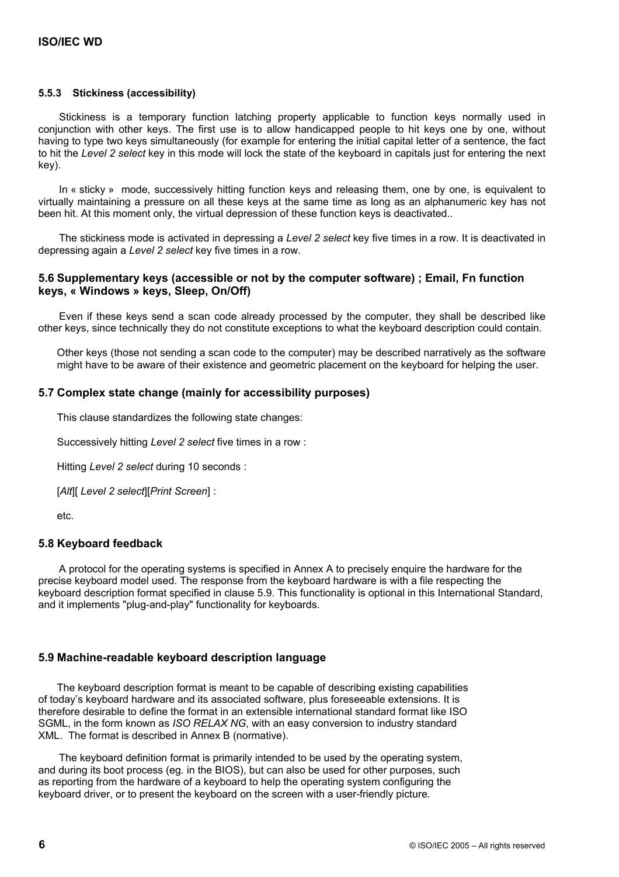#### **5.5.3 Stickiness (accessibility)**

 Stickiness is a temporary function latching property applicable to function keys normally used in conjunction with other keys. The first use is to allow handicapped people to hit keys one by one, without having to type two keys simultaneously (for example for entering the initial capital letter of a sentence, the fact to hit the *Level 2 select* key in this mode will lock the state of the keyboard in capitals just for entering the next key).

 In « sticky » mode, successively hitting function keys and releasing them, one by one, is equivalent to virtually maintaining a pressure on all these keys at the same time as long as an alphanumeric key has not been hit. At this moment only, the virtual depression of these function keys is deactivated..

 The stickiness mode is activated in depressing a *Level 2 select* key five times in a row. It is deactivated in depressing again a *Level 2 select* key five times in a row.

### **5.6 Supplementary keys (accessible or not by the computer software) ; Email, Fn function keys, « Windows » keys, Sleep, On/Off)**

 Even if these keys send a scan code already processed by the computer, they shall be described like other keys, since technically they do not constitute exceptions to what the keyboard description could contain.

Other keys (those not sending a scan code to the computer) may be described narratively as the software might have to be aware of their existence and geometric placement on the keyboard for helping the user.

#### **5.7 Complex state change (mainly for accessibility purposes)**

This clause standardizes the following state changes:

Successively hitting *Level 2 select* five times in a row :

Hitting *Level 2 select* during 10 seconds :

[*Alt*][ *Level 2 select*][*Print Screen*] :

etc.

#### **5.8 Keyboard feedback**

A protocol for the operating systems is specified in Annex A to precisely enquire the hardware for the precise keyboard model used. The response from the keyboard hardware is with a file respecting the keyboard description format specified in clause 5.9. This functionality is optional in this International Standard, and it implements "plug-and-play" functionality for keyboards.

#### **5.9 Machine-readable keyboard description language**

The keyboard description format is meant to be capable of describing existing capabilities of today's keyboard hardware and its associated software, plus foreseeable extensions. It is therefore desirable to define the format in an extensible international standard format like ISO SGML, in the form known as *ISO RELAX NG*, with an easy conversion to industry standard XML. The format is described in Annex B (normative).

 The keyboard definition format is primarily intended to be used by the operating system, and during its boot process (eg. in the BIOS), but can also be used for other purposes, such as reporting from the hardware of a keyboard to help the operating system configuring the keyboard driver, or to present the keyboard on the screen with a user-friendly picture.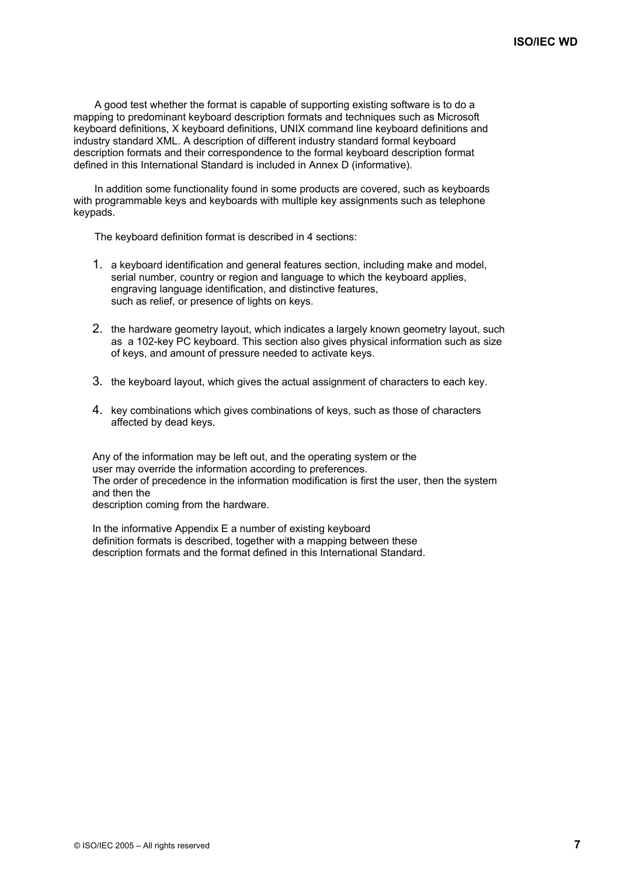A good test whether the format is capable of supporting existing software is to do a mapping to predominant keyboard description formats and techniques such as Microsoft keyboard definitions, X keyboard definitions, UNIX command line keyboard definitions and industry standard XML. A description of different industry standard formal keyboard description formats and their correspondence to the formal keyboard description format defined in this International Standard is included in Annex D (informative).

 In addition some functionality found in some products are covered, such as keyboards with programmable keys and keyboards with multiple key assignments such as telephone keypads.

The keyboard definition format is described in 4 sections:

- 1. a keyboard identification and general features section, including make and model, serial number, country or region and language to which the keyboard applies, engraving language identification, and distinctive features, such as relief, or presence of lights on keys.
- 2. the hardware geometry layout, which indicates a largely known geometry layout, such as a 102-key PC keyboard. This section also gives physical information such as size of keys, and amount of pressure needed to activate keys.
- 3. the keyboard layout, which gives the actual assignment of characters to each key.
- 4. key combinations which gives combinations of keys, such as those of characters affected by dead keys.

Any of the information may be left out, and the operating system or the user may override the information according to preferences. The order of precedence in the information modification is first the user, then the system and then the description coming from the hardware.

In the informative Appendix E a number of existing keyboard definition formats is described, together with a mapping between these description formats and the format defined in this International Standard.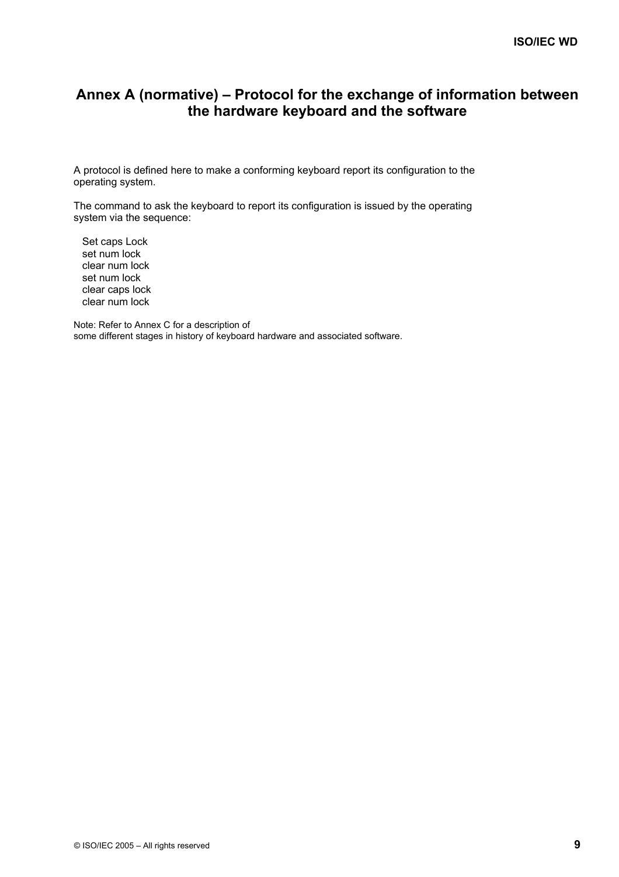# **Annex A (normative) – Protocol for the exchange of information between the hardware keyboard and the software**

A protocol is defined here to make a conforming keyboard report its configuration to the operating system.

The command to ask the keyboard to report its configuration is issued by the operating system via the sequence:

 Set caps Lock set num lock clear num lock set num lock clear caps lock clear num lock

Note: Refer to Annex C for a description of some different stages in history of keyboard hardware and associated software.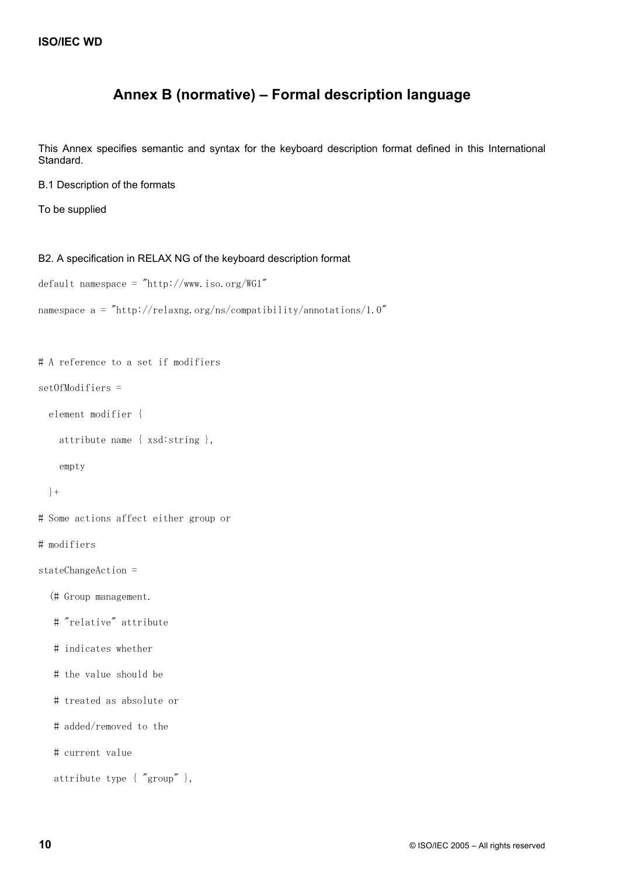# **Annex B (normative) – Formal description language**

This Annex specifies semantic and syntax for the keyboard description format defined in this International Standard.

B.1 Description of the formats

To be supplied

### B2. A specification in RELAX NG of the keyboard description format

```
default namespace = nhttp://www.iso.org/WG1
```

```
namespace a = *http://relaxng.org/ns/compatibility/annotations/1.0"
```

```
# A reference to a set if modifiers
```

```
setOfModifiers =
```

```
 element modifier {
```

```
 attribute name { xsd:string },
```
empty

```
 }+
```
# Some actions affect either group or

# modifiers

```
stateChangeAction =
```
- (# Group management.
- # "relative" attribute
- # indicates whether
- # the value should be
- # treated as absolute or
- # added/removed to the
- # current value

```
 attribute type { "group" },
```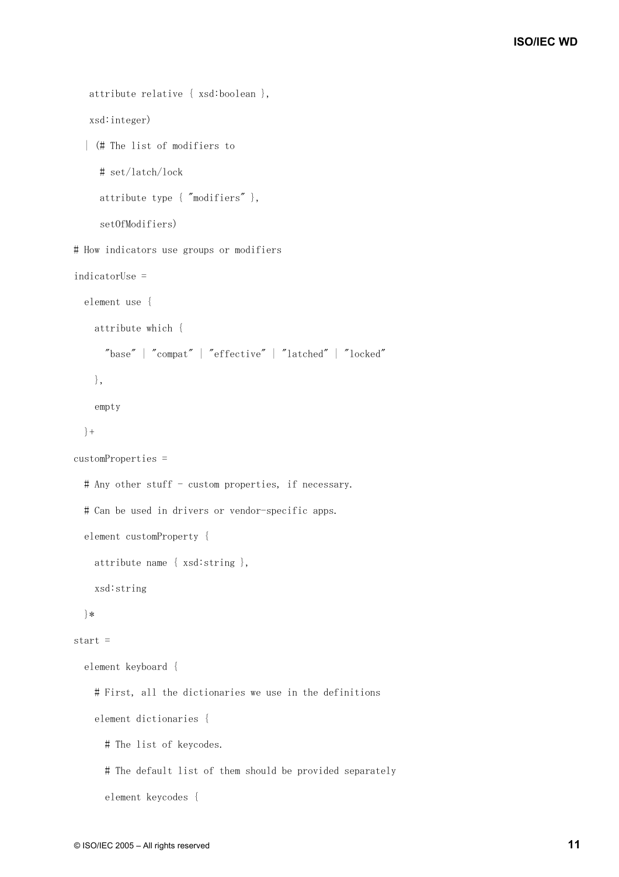```
 attribute relative { xsd:boolean }, 
    xsd:integer) 
   | (# The list of modifiers to 
      # set/latch/lock 
      attribute type { "modifiers" }, 
      setOfModifiers) 
# How indicators use groups or modifiers 
indicatorUse = 
   element use { 
     attribute which { 
       "base" | "compat" | "effective" | "latched" | "locked" 
     }, 
     empty 
   }+ 
customProperties = 
  # Any other stuff - custom properties, if necessary.
   # Can be used in drivers or vendor-specific apps. 
   element customProperty { 
     attribute name { xsd:string }, 
     xsd:string 
   }* 
start = 
   element keyboard { 
     # First, all the dictionaries we use in the definitions 
     element dictionaries { 
       # The list of keycodes. 
       # The default list of them should be provided separately 
       element keycodes {
```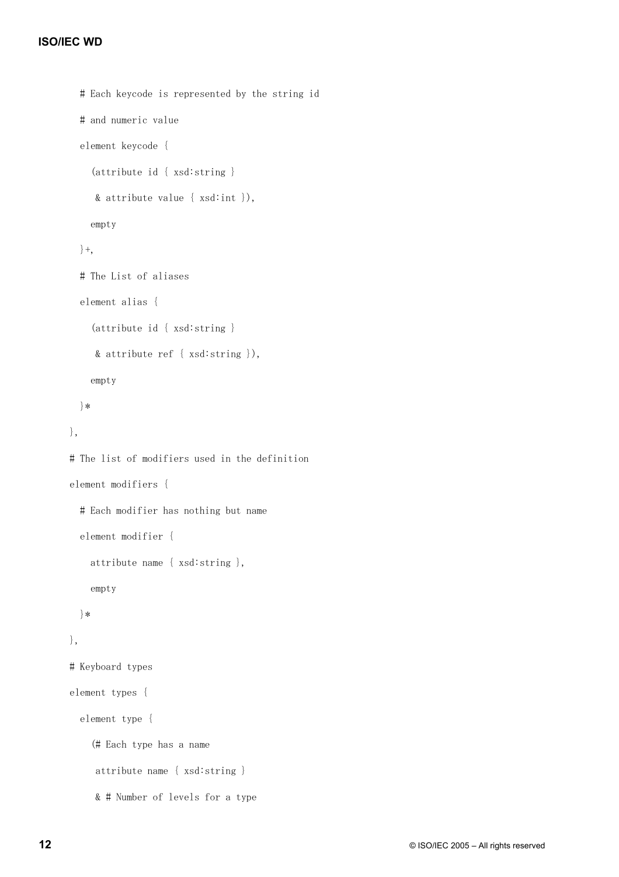```
 # Each keycode is represented by the string id 
   # and numeric value 
   element keycode { 
     (attribute id { xsd:string } 
      & attribute value { xsd:int }), 
     empty 
   }+, 
   # The List of aliases 
   element alias { 
     (attribute id { xsd:string } 
      & attribute ref { xsd:string }), 
     empty 
   }* 
 }, 
 # The list of modifiers used in the definition 
 element modifiers { 
   # Each modifier has nothing but name 
   element modifier { 
     attribute name { xsd:string }, 
     empty 
   }* 
 }, 
 # Keyboard types 
 element types { 
   element type { 
     (# Each type has a name 
      attribute name { xsd:string } 
      & # Number of levels for a type
```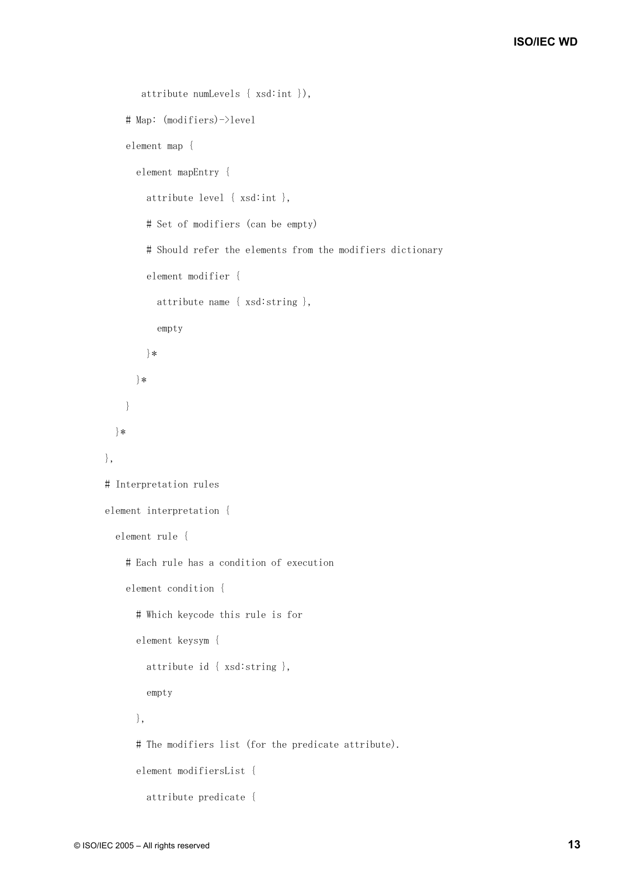```
 attribute numLevels { xsd:int }), 
     # Map: (modifiers)->level 
     element map { 
       element mapEntry { 
         attribute level { xsd:int }, 
          # Set of modifiers (can be empty) 
          # Should refer the elements from the modifiers dictionary 
          element modifier { 
            attribute name { xsd:string }, 
            empty 
         }* 
       }* 
     } 
   }* 
 }, 
 # Interpretation rules 
 element interpretation { 
   element rule { 
     # Each rule has a condition of execution 
     element condition { 
       # Which keycode this rule is for 
       element keysym { 
          attribute id { xsd:string }, 
         empty 
       }, 
       # The modifiers list (for the predicate attribute).
       element modifiersList { 
         attribute predicate {
```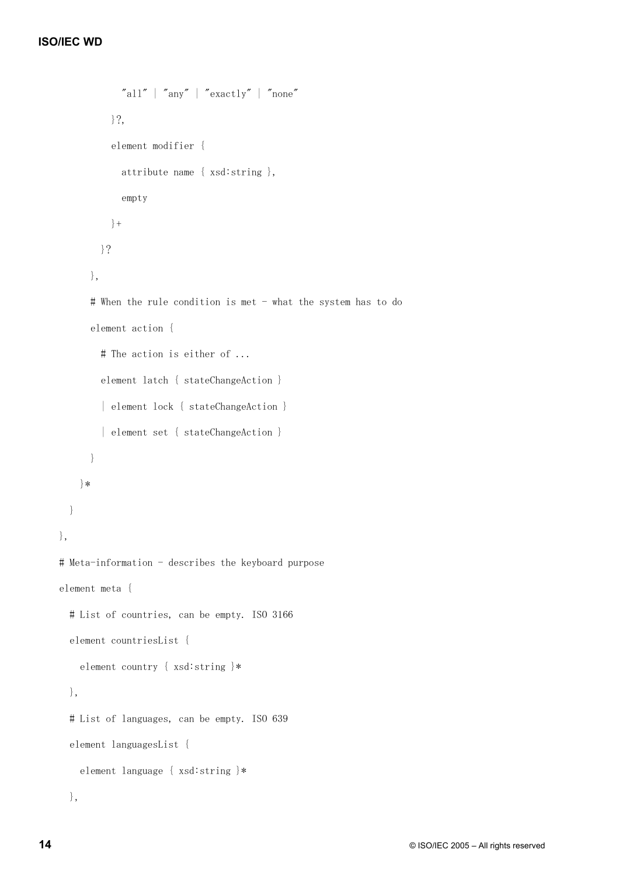```
"all" | "any" | "exactly" | "none" }?, 
            element modifier { 
             attribute name { xsd:string }, 
             empty 
           }+ 
         }? 
       }, 
       # When the rule condition is met - what the system has to do 
       element action { 
         # The action is either of ... 
         element latch { stateChangeAction } 
          | element lock { stateChangeAction } 
          | element set { stateChangeAction } 
      } 
   }* 
   } 
# Meta-information - describes the keyboard purpose
 element meta { 
   # List of countries, can be empty. ISO 3166 
   element countriesList { 
     element country { xsd:string }* 
   }, 
   # List of languages, can be empty. ISO 639 
   element languagesList { 
     element language { xsd:string }* 
   },
```
},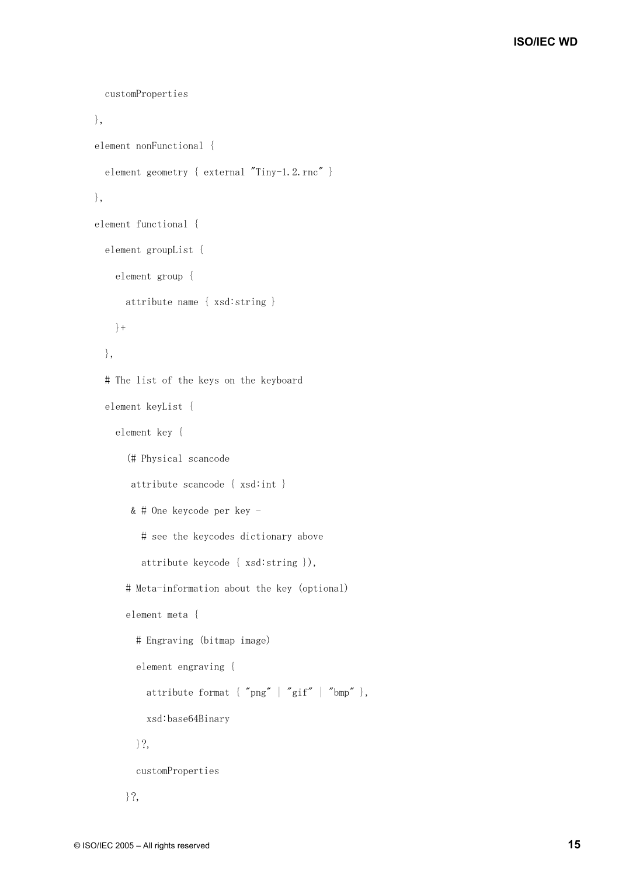```
 customProperties 
 }, 
 element nonFunctional { 
  element geometry { external "Tiny-1.2.rnc" }
 }, 
 element functional { 
   element groupList { 
     element group { 
       attribute name { xsd:string } 
     }+ 
   }, 
   # The list of the keys on the keyboard 
   element keyList { 
     element key { 
        (# Physical scancode 
        attribute scancode { xsd:int } 
        & # One keycode per key - 
           # see the keycodes dictionary above 
           attribute keycode { xsd:string }), 
       # Meta-information about the key (optional) 
        element meta { 
          # Engraving (bitmap image) 
          element engraving { 
           attribute format { "png" | "gif" | "bmp" },
            xsd:base64Binary 
         }?, 
          customProperties
```

```
 }?,
```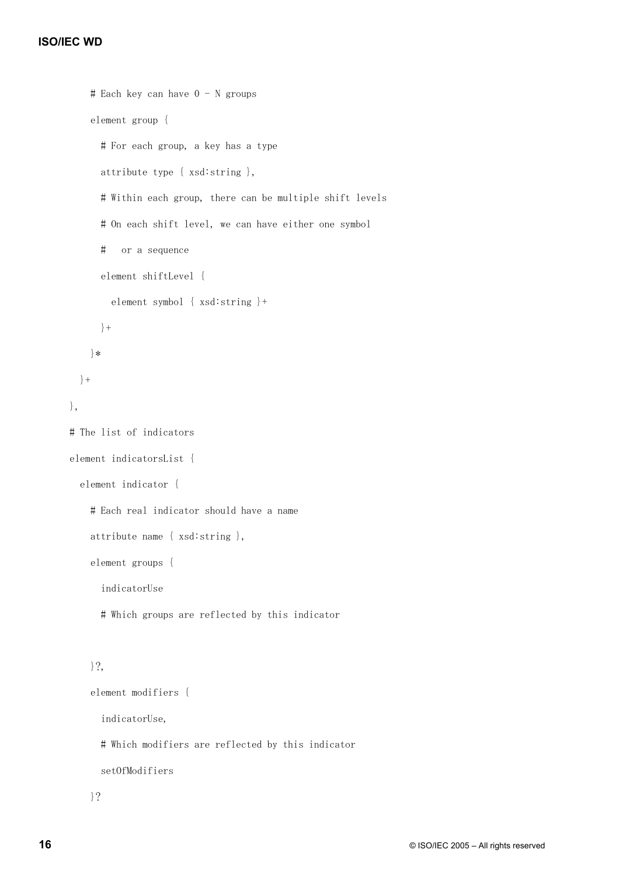```
# Each key can have 0 - N groups
     element group { 
       # For each group, a key has a type 
       attribute type { xsd:string }, 
       # Within each group, there can be multiple shift levels 
       # On each shift level, we can have either one symbol 
       # or a sequence 
       element shiftLevel { 
         element symbol { xsd:string }+ 
       }+ 
     }* 
  }+ 
 }, 
 # The list of indicators 
 element indicatorsList { 
   element indicator { 
     # Each real indicator should have a name 
     attribute name { xsd:string }, 
     element groups { 
       indicatorUse 
       # Which groups are reflected by this indicator 
     }?, 
     element modifiers { 
       indicatorUse, 
       # Which modifiers are reflected by this indicator
```
setOfModifiers

}?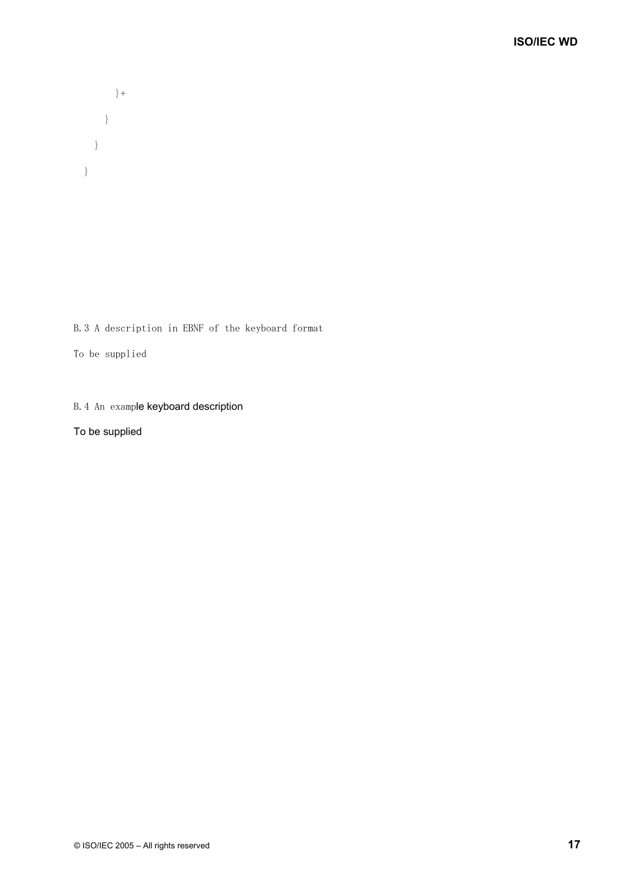}+ } } }

B.3 A description in EBNF of the keyboard format

To be supplied

## B.4 An example keyboard description

## To be supplied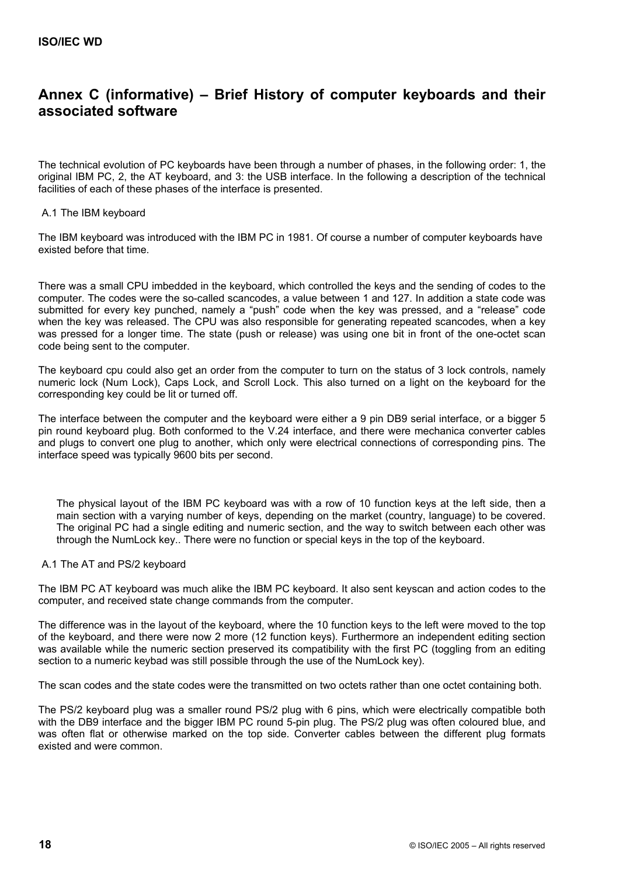# **Annex C (informative) – Brief History of computer keyboards and their associated software**

The technical evolution of PC keyboards have been through a number of phases, in the following order: 1, the original IBM PC, 2, the AT keyboard, and 3: the USB interface. In the following a description of the technical facilities of each of these phases of the interface is presented.

### A.1 The IBM keyboard

The IBM keyboard was introduced with the IBM PC in 1981. Of course a number of computer keyboards have existed before that time.

There was a small CPU imbedded in the keyboard, which controlled the keys and the sending of codes to the computer. The codes were the so-called scancodes, a value between 1 and 127. In addition a state code was submitted for every key punched, namely a "push" code when the key was pressed, and a "release" code when the key was released. The CPU was also responsible for generating repeated scancodes, when a key was pressed for a longer time. The state (push or release) was using one bit in front of the one-octet scan code being sent to the computer.

The keyboard cpu could also get an order from the computer to turn on the status of 3 lock controls, namely numeric lock (Num Lock), Caps Lock, and Scroll Lock. This also turned on a light on the keyboard for the corresponding key could be lit or turned off.

The interface between the computer and the keyboard were either a 9 pin DB9 serial interface, or a bigger 5 pin round keyboard plug. Both conformed to the V.24 interface, and there were mechanica converter cables and plugs to convert one plug to another, which only were electrical connections of corresponding pins. The interface speed was typically 9600 bits per second.

The physical layout of the IBM PC keyboard was with a row of 10 function keys at the left side, then a main section with a varying number of keys, depending on the market (country, language) to be covered. The original PC had a single editing and numeric section, and the way to switch between each other was through the NumLock key.. There were no function or special keys in the top of the keyboard.

### A.1 The AT and PS/2 keyboard

The IBM PC AT keyboard was much alike the IBM PC keyboard. It also sent keyscan and action codes to the computer, and received state change commands from the computer.

The difference was in the layout of the keyboard, where the 10 function keys to the left were moved to the top of the keyboard, and there were now 2 more (12 function keys). Furthermore an independent editing section was available while the numeric section preserved its compatibility with the first PC (toggling from an editing section to a numeric keybad was still possible through the use of the NumLock key).

The scan codes and the state codes were the transmitted on two octets rather than one octet containing both.

The PS/2 keyboard plug was a smaller round PS/2 plug with 6 pins, which were electrically compatible both with the DB9 interface and the bigger IBM PC round 5-pin plug. The PS/2 plug was often coloured blue, and was often flat or otherwise marked on the top side. Converter cables between the different plug formats existed and were common.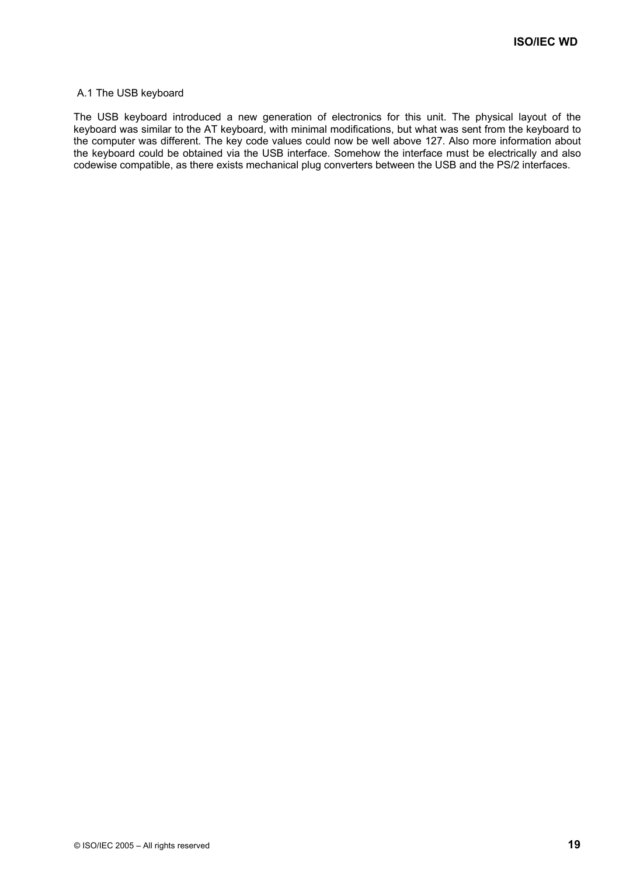#### A.1 The USB keyboard

The USB keyboard introduced a new generation of electronics for this unit. The physical layout of the keyboard was similar to the AT keyboard, with minimal modifications, but what was sent from the keyboard to the computer was different. The key code values could now be well above 127. Also more information about the keyboard could be obtained via the USB interface. Somehow the interface must be electrically and also codewise compatible, as there exists mechanical plug converters between the USB and the PS/2 interfaces.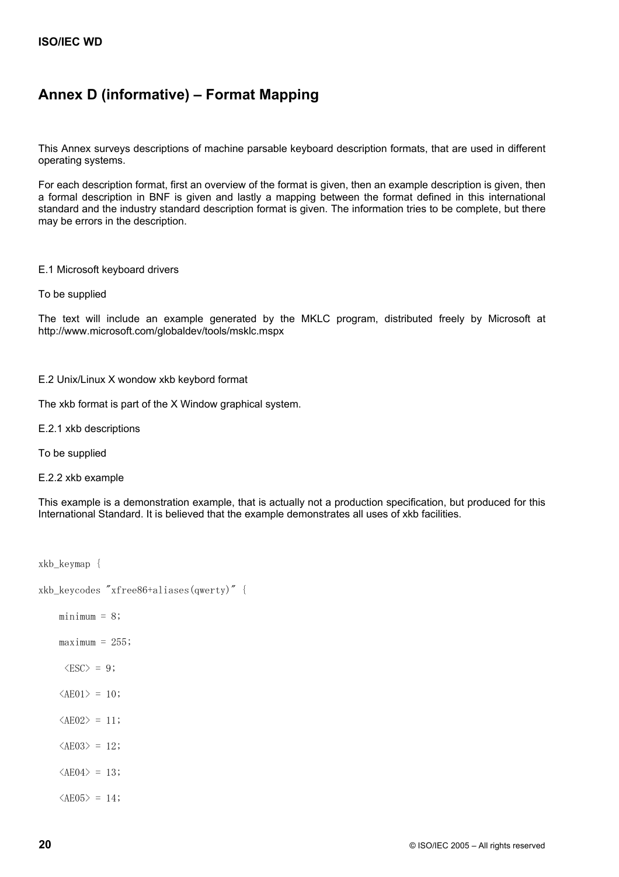# **Annex D (informative) – Format Mapping**

This Annex surveys descriptions of machine parsable keyboard description formats, that are used in different operating systems.

For each description format, first an overview of the format is given, then an example description is given, then a formal description in BNF is given and lastly a mapping between the format defined in this international standard and the industry standard description format is given. The information tries to be complete, but there may be errors in the description.

#### E.1 Microsoft keyboard drivers

To be supplied

The text will include an example generated by the MKLC program, distributed freely by Microsoft at http://www.microsoft.com/globaldev/tools/msklc.mspx

E.2 Unix/Linux X wondow xkb keybord format

The xkb format is part of the X Window graphical system.

E.2.1 xkb descriptions

To be supplied

E.2.2 xkb example

This example is a demonstration example, that is actually not a production specification, but produced for this International Standard. It is believed that the example demonstrates all uses of xkb facilities.

xkb\_keymap {

```
xkb_keycodes "xfree86+aliases(qwerty)" {
```
 $minimum = 8;$ 

- $maximum = 255;$
- $<$ ESC $>$  = 9;
- $\langle \text{AEO1} \rangle = 10$ ;
- $\langle AEO2 \rangle = 11$ ;
- $\langle A E 0 3 \rangle = 12$ ;
- $\langle AEO4 \rangle = 13$ ;
- $\langle \text{AEO5} \rangle = 14$ ;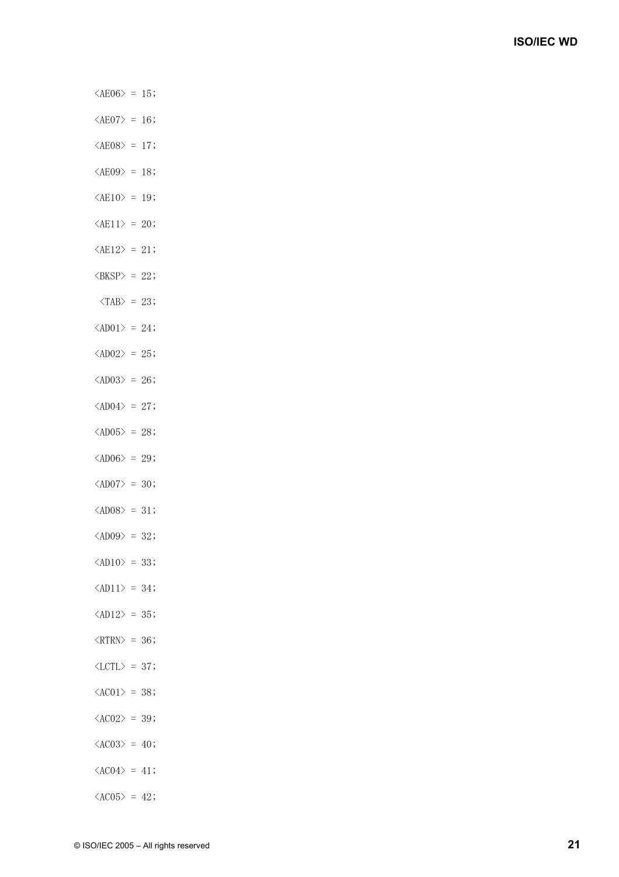| $\langle AEO6 \rangle = 15;$         |  |
|--------------------------------------|--|
| $\langle AEO7 \rangle = 16;$         |  |
| $\langle AEO8 \rangle = 17$ ;        |  |
| $\langle AEO9 \rangle = 18;$         |  |
| $\langle \text{AE10} \rangle = 19;$  |  |
| $\langle \text{AE11} \rangle = 20;$  |  |
| $\langle \text{AE12} \rangle = 21$ ; |  |
| $\langle BKSP \rangle = 22$ ;        |  |
| $TAB = 23;$                          |  |
| $\langle AD01 \rangle = 24;$         |  |
| $\langle AD02 \rangle = 25;$         |  |
| $\langle AD03 \rangle = 26;$         |  |
| $\langle AD04 \rangle = 27;$         |  |
| $\langle AD05 \rangle = 28;$         |  |
| $\langle AD06 \rangle = 29;$         |  |
| $\langle AD07 \rangle = 30;$         |  |
| $\langle AD08 \rangle = 31$ ;        |  |
| $\langle AD09 \rangle = 32;$         |  |
| $\langle AD10 \rangle = 33;$         |  |
| $\langle AD11 \rangle = 34;$         |  |
| $\langle AD12 \rangle = 35;$         |  |
| $\langle \text{RTRN} \rangle = 36$ ; |  |
| $\langle$ LCTL $\rangle$ = 37;       |  |
| $\langle AC01 \rangle = 38;$         |  |
| $\langle AC02 \rangle = 39;$         |  |
| $\langle \text{AC03} \rangle = 40$ ; |  |
| $\langle AC04 \rangle = 41;$         |  |
| $\langle \text{AC05} \rangle = 42$ ; |  |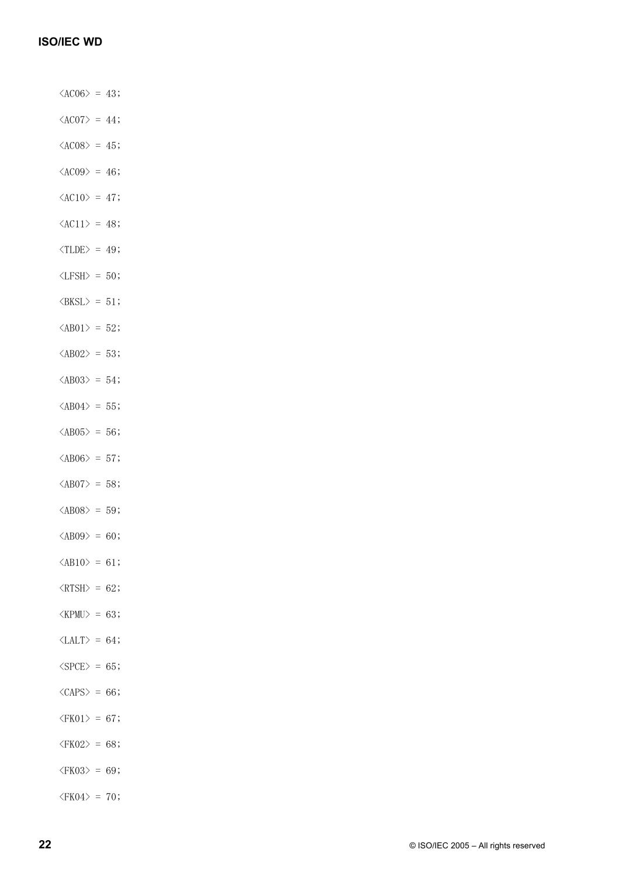- $\langle \text{AC06} \rangle = 43$ ;
- $\langle AC07 \rangle = 44$ ;
- $\langle \text{AC08} \rangle = 45$ ;
- $\langle \text{AC09} \rangle = 46$ ;
- $\langle AC10 \rangle = 47$ ;
- $\langle AC11 \rangle = 48;$
- $\langle \text{TLDE} \rangle = 49$ ;
- $\langle \text{LFSH}\rangle = 50$ ;
- $\langle BKSL \rangle = 51$ ;
- $\langle ABO1 \rangle = 52$ ;
- $\langle ABO2 \rangle = 53$ ;
- $\langle A\text{B}03 \rangle = 54$ ;
- $\langle ABO4 \rangle = 55$ ;
- $\langle A\text{B05}\rangle = 56$ ;
- $\langle ABO6 \rangle = 57$ ;
- $\langle ABO7 \rangle = 58$ ;
- $\langle ABO8 \rangle = 59$ ;
- $\langle ABO9 \rangle = 60$ ;
- $\langle AB10 \rangle = 61$ ;
- $\langle$ RTSH $\rangle$  = 62;
- $<$ KPMU> = 63;
- $\langle$ LALT $\rangle$  = 64;
- $<$ SPCE $>$  = 65;
- $\langle$ CAPS $\rangle$  = 66;
- $\langle$ FK01> = 67;
- $\langle$ FK02> = 68;
- $\langle$ FK03> = 69;
- $\langle$ FK04> = 70;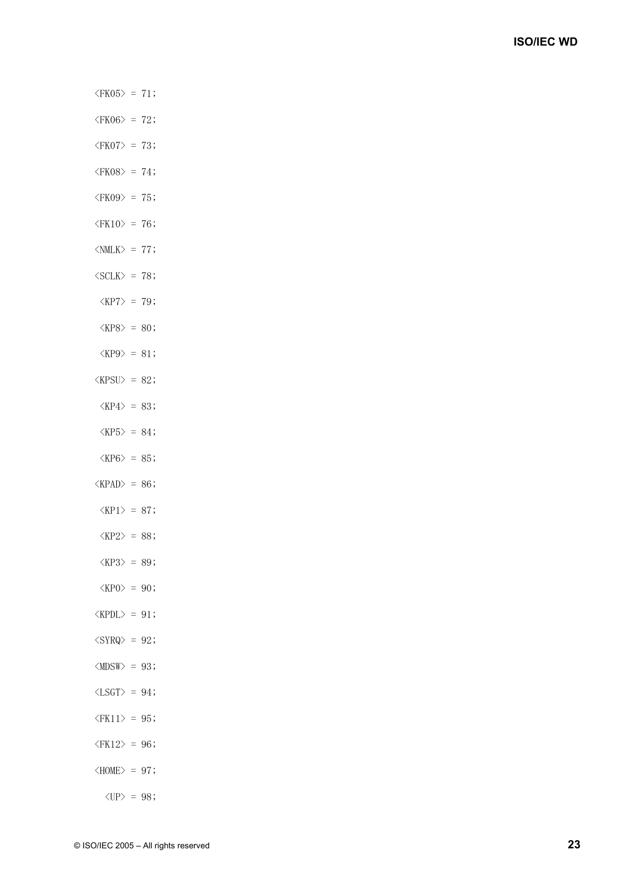| $\langle$ FK05> = 71;             |     |
|-----------------------------------|-----|
| $\langle$ FK06> =                 | 72; |
| $\langle$ FK07> =                 | 73; |
| $\langle$ FK08> =                 | 74; |
| $\langle$ FK09> =                 | 75: |
| $\langle$ FK10> =                 | 76; |
| $<$ NMLK $>$ =                    | 77; |
| $<$ SCLK $>$ =                    | 78; |
| $<\text{KP7}\rangle =$            | 79; |
| $KPS$ =                           | 80; |
| $KPP9$ = 81;                      |     |
| $KPSU$ =                          | 82; |
| $<\text{KP4}\rangle =$            | 83; |
| $<\text{KP5}>$ =                  | 84; |
| $KP6$ =                           | 85; |
| $<$ KPAD> =                       | 86; |
| $KPI$ = 87;                       |     |
| $KP2 > 88$ ;                      |     |
| $<\text{KP3}> = 89;$              |     |
| $<\!\!\text{KPO}\!\!\geq\!=$      | 90; |
| $<$ KPDL $>$ =                    | 91: |
| $<$ SYRQ> =                       | 92; |
| $<\text{MDSW}>=$                  | 93; |
| $<$ LSGT> =                       | 94; |
| $\langle$ FK11> =                 | 95; |
| $\langle$ FK12> =                 | 96; |
| $<$ HOME $>$ =                    | 97; |
| $\langle \text{UP} \rangle = 98;$ |     |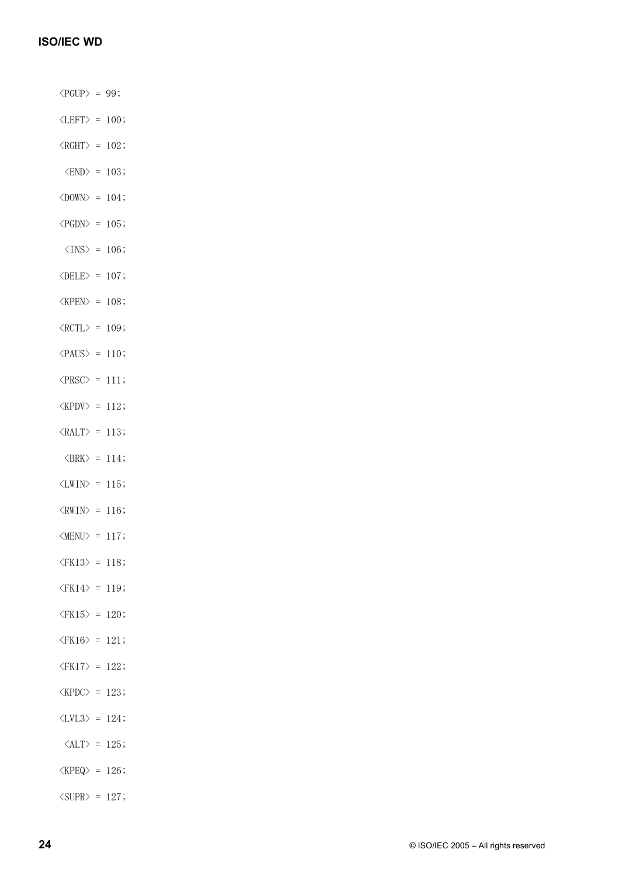- $\langle$ PGUP $\rangle$  = 99;
- $\langle \text{LEFT} \rangle = 100$ ;
- $\langle \text{RGHT} \rangle = 102$ ;
- $\langle END \rangle = 103$ ;
- $\langle$ DOWN $\rangle$  = 104;
- $\langle PQDN \rangle = 105;$
- $\langle$ INS> = 106;
- $\langle \text{DELE}\rangle = 107$ ;
- $KPEN$  = 108;
- $\langle \text{RCTL} \rangle = 109$ ;
- $\langle PAUS \rangle = 110$ ;
- $<$ PRSC> = 111;
- $KPPV$  = 112;
- $\langle \text{RALT} \rangle = 113$ ;
- $\langle$ BRK $\rangle$  = 114;
- $\langle$ LWIN> = 115;
- $\langle$ RWIN> = 116;
- $\langle \text{MENU} \rangle = 117$ ;
- $\langle$ FK13> = 118;
- $\langle$ FK14> = 119;
- $\langle$ FK15> = 120;
- $\langle$ FK16> = 121;
- $\langle$ FK17> = 122;
- $KPPC$  = 123;
- $\langle$ LVL3> = 124;
- $\langle \text{ALT} \rangle = 125$ ;
- $KPEQ$  = 126;
- $\langle \text{SUPR} \rangle = 127$ ;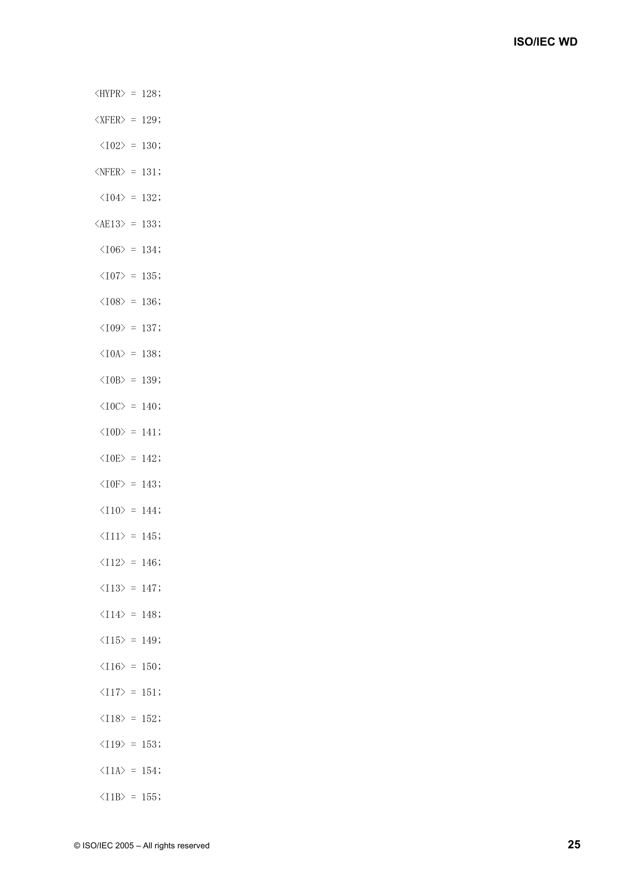$\langle$ HYPR $\rangle$  = 128;  $<$ XFER> = 129;  $\langle 102 \rangle = 130;$  $\langle \text{NFER}\rangle = 131$ ;  $\langle 104 \rangle = 132;$  $\langle \text{AE13}\rangle = 133$ ;  $\langle 106 \rangle = 134$ ;  $\langle 107 \rangle = 135;$  $\langle 108 \rangle = 136$ ;  $\langle 109 \rangle = 137$ ;  $\langle$ I0A> = 138;  $\langle 10B \rangle = 139;$  $\langle 10C \rangle = 140$ ;  $\langle 10D \rangle = 141$ ;  $\langle 10E \rangle = 142$ ;  $\langle$ I0F> = 143;  $\langle 110 \rangle = 144$ ;  $\langle 111 \rangle = 145;$  $\langle 112 \rangle = 146$ ;  $\langle 113 \rangle = 147$ ;  $\langle 114 \rangle = 148$ ;  $\langle 115 \rangle = 149;$  $\langle 116 \rangle = 150$ ;  $\langle 117 \rangle = 151;$  $\langle 118 \rangle = 152$ ;  $\langle 119 \rangle = 153;$  $\langle 11A \rangle = 154$ ;  $\langle I1B \rangle = 155$ ;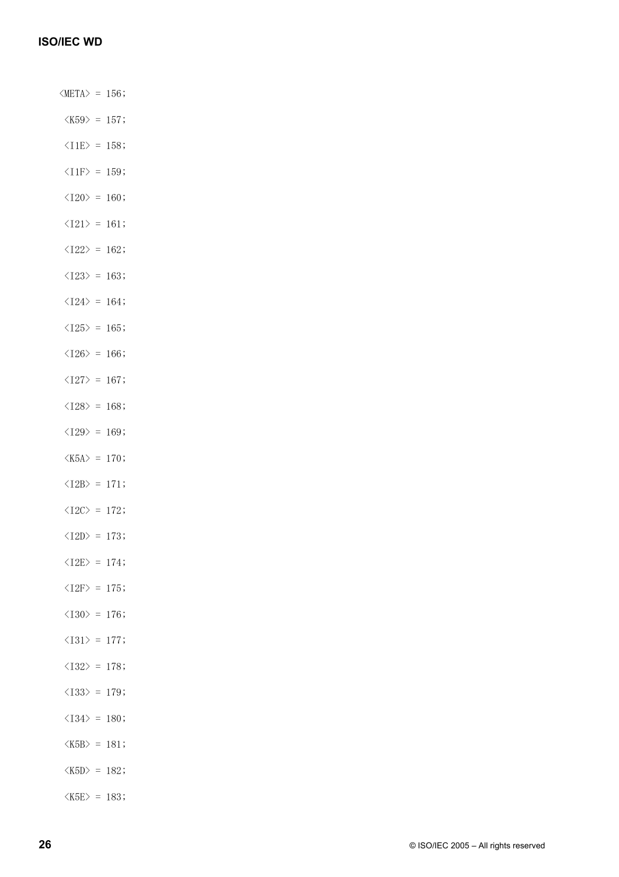$\langle \text{META} \rangle = 156$ ;

 $<$ K59> = 157;

 $\langle$ I1E> = 158;

 $\langle$ I1F> = 159;

 $\langle 120 \rangle = 160;$ 

 $\langle 121 \rangle = 161;$ 

 $\langle 122 \rangle = 162$ ;

 $\langle 123 \rangle = 163$ ;

 $\langle 124 \rangle = 164$ ;

 $\langle 125 \rangle = 165;$ 

 $\langle 126 \rangle = 166$ ;

 $\langle 127 \rangle = 167;$ 

 $\langle 128 \rangle = 168$ ;

 $\langle 129 \rangle = 169;$ 

 $\langle$ K5A> = 170;

 $\langle I2B \rangle = 171$ ;

 $\langle 12C \rangle = 172$ ;

 $\langle 12D \rangle = 173$ ;

 $\langle$ I2E> = 174;

 $\langle$ I2F> = 175;

 $\langle 130 \rangle = 176$ ;

 $\langle 131 \rangle = 177$ ;

 $\langle 132 \rangle = 178$ ;

 $\langle 133 \rangle = 179;$ 

 $\langle$ K5B> = 181;

 $\langle 134 \rangle = 180;$ 

 $\langle$ K5D> = 182;

 $<$ K5E> = 183;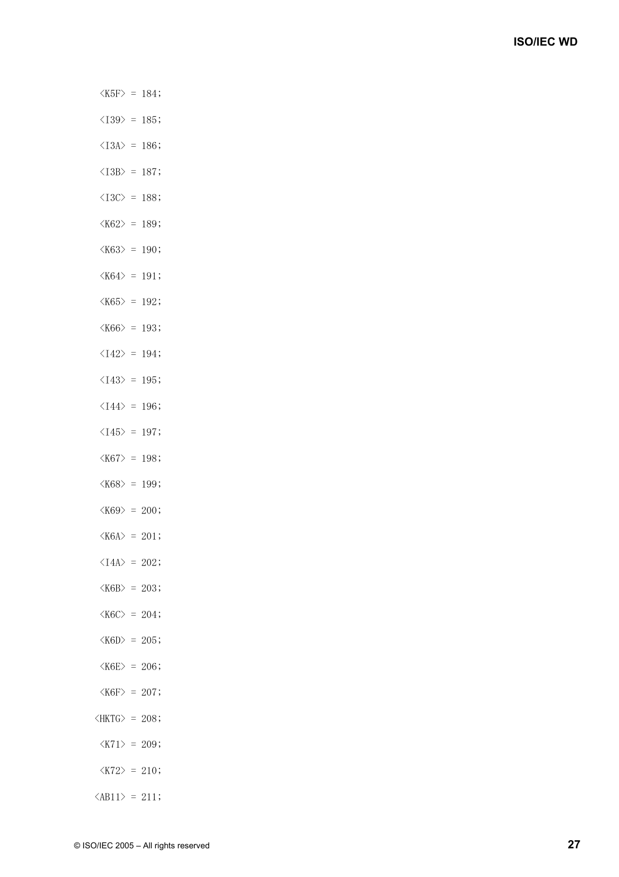| $<$ K5F> = 184;                   |      |
|-----------------------------------|------|
| $\langle 139 \rangle =$           | 185; |
| $\langle$ I3A> =                  | 186; |
| $\langle 13B \rangle =$           | 187; |
| $\langle 13C \rangle$ =           | 188; |
| $K62$ =                           | 189; |
| $<$ K63> =                        | 190; |
| $<$ K64> =                        | 191; |
| $<\text{K65}$ =                   | 192; |
| $<$ K66> =                        | 193; |
| $\langle 142 \rangle$ =           | 194; |
| $\langle 143 \rangle =$           | 195; |
| $\langle 144 \rangle$ =           | 196; |
| $\langle 145 \rangle =$           | 197; |
| $<$ K67> =                        | 198; |
| $<$ K68> =                        | 199; |
| $K69$ = 200;                      |      |
| $<$ K6A> = 201;                   |      |
| $\langle 14A \rangle = 202;$      |      |
| $<\text{K6B}$ = 203;              |      |
| $<\!\!\mathrm{K6C}\!\!\!>$ = 204; |      |
| $<\text{K6D}$ = 205;              |      |
| $<$ K6E> = 206;                   |      |
| $<$ K6F> = 207;                   |      |
| $\langle HKTG \rangle = 208;$     |      |
| $\langle K71 \rangle = 209;$      |      |
| $<\frac{K}{2} > 210$ ;            |      |
| $\langle AB11 \rangle = 211;$     |      |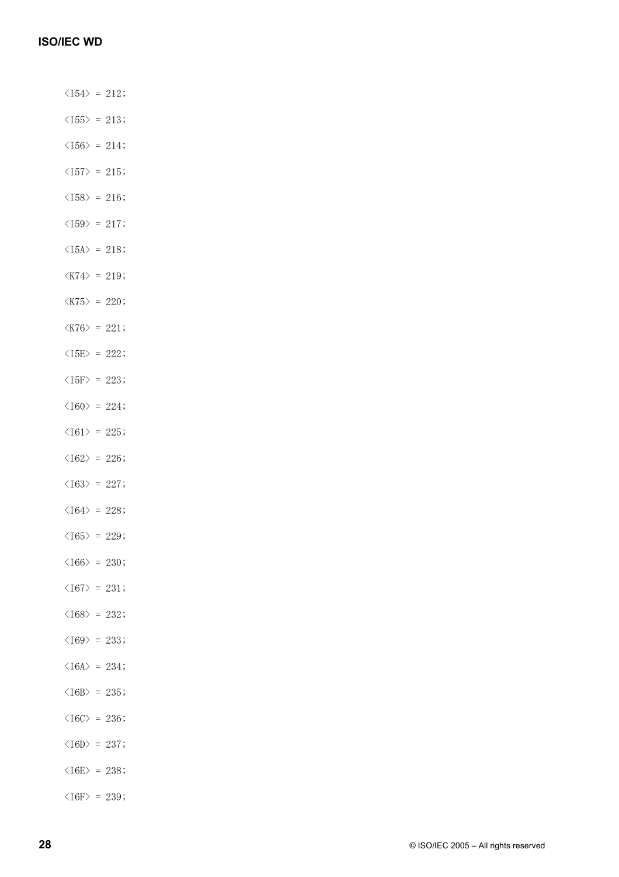- $\langle 154 \rangle = 212$ ;
- $\langle 155 \rangle = 213;$
- $\langle 156 \rangle = 214$ ;
- $\langle 157 \rangle = 215;$
- $\langle 158 \rangle = 216$ ;
- $\langle 159 \rangle = 217$ ;
- $\langle 15A \rangle = 218$ ;
- $\langle$ K74> = 219;
- $\langle K75 \rangle = 220$ ;
- $\langle K76 \rangle = 221$ ;
- $\langle 15E \rangle = 222$ ;
- $\langle 15F \rangle = 223$ ;
- $\langle 160 \rangle = 224$ ;
- $\langle 161 \rangle = 225;$
- $\langle 162 \rangle = 226;$
- $\langle 163 \rangle = 227;$
- $\langle 164 \rangle = 228;$
- $\langle 165 \rangle = 229;$
- $\langle 166 \rangle = 230;$
- $\langle 167 \rangle = 231$ ;
- $\langle 168 \rangle = 232$ ;
- $\langle 169 \rangle = 233;$
- $\langle 16A \rangle = 234$ ;
- $\langle 16B \rangle = 235;$
- $\langle 16C \rangle = 236$ ;
- $\langle 16D \rangle = 237$ ;
- $\langle 16E \rangle = 238$ ;
- $\langle 16F \rangle = 239$ ;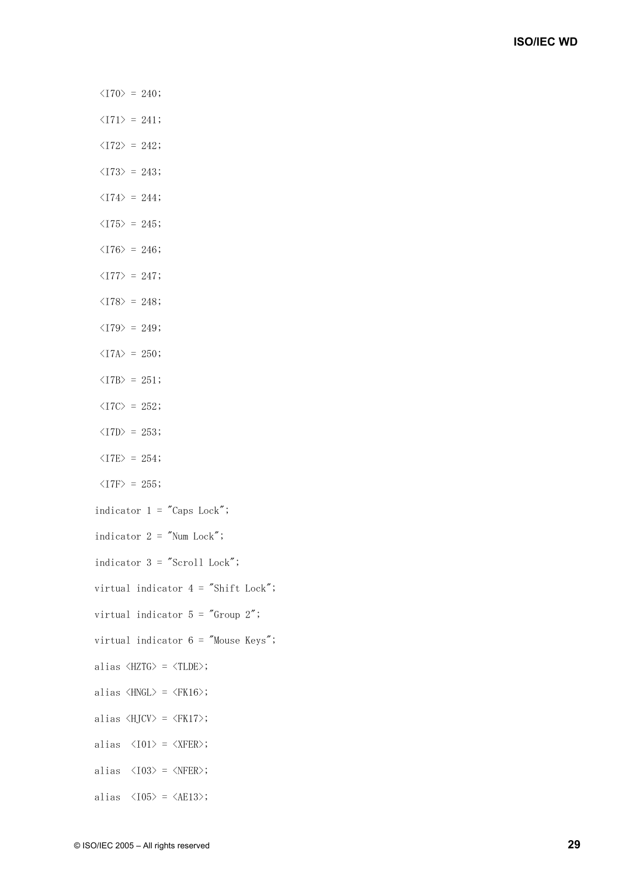```
\langle 170 \rangle = 240;\langle 171 \rangle = 241;
 \langle 172 \rangle = 242;\langle 173 \rangle = 243;\langle 174 \rangle = 244;
 \langle 175 \rangle = 245;\langle 176 \rangle = 246;
 \langle 177 \rangle = 247;\langle 178 \rangle = 248;
 \langle 179 \rangle = 249;\langleI7A> = 250;
 \langleI7B> = 251;
 \langle 17C \rangle = 252;
 \langleI7D> = 253;
 \langleI7E> = 254;
 \langleI7F> = 255;
indicator 1 = "Caps Lock";
indicator 2 = "Num Lock";
 indicator 3 = "Scroll Lock"; 
 virtual indicator 4 = "Shift Lock"; 
 virtual indicator 5 = "Group 2"; 
virtual indicator 6 =  "Mouse Keys";
 alias <HZTG> = <TLDE>; 
alias \langle HNGL \rangle = \langle FK16 \rangle;
 alias <HJCV> = <FK17>; 
alias \langle 101 \rangle = \langle XFER \rangle;
alias \langle 103 \rangle = \langle NFER \rangle;
alias \langle 105 \rangle = \langle AE13 \rangle;
```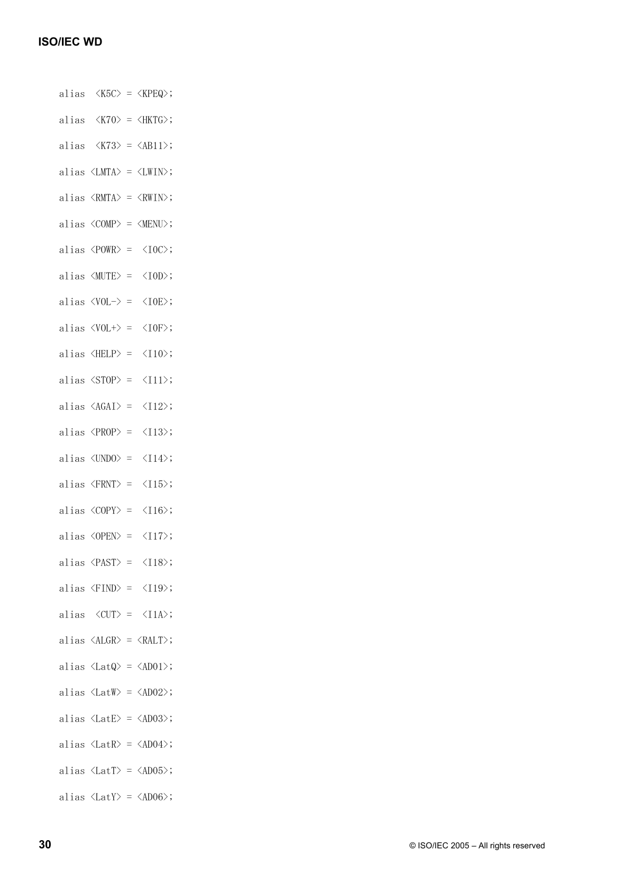alias <K5C> = <KPEQ>;

- alias  $\langle$ K70> =  $\langle$ HKTG>; alias  $\langle K73 \rangle = \langle AB11 \rangle$ ; alias <LMTA> = <LWIN>; alias <RMTA> = <RWIN>; alias  $\langle COMP \rangle = \langle MENU \rangle$ ; alias  $\langle$  POWR $\rangle$  =  $\langle$  IOC $\rangle$ ; alias  $\langle \text{MUTE} \rangle = \langle \text{I0D} \rangle$ ; alias  $\langle \text{VOL-}\rangle = \langle \text{IOE}\rangle$ ; alias  $\langle \text{VOL+}\rangle = \langle \text{IOF}\rangle$ ; alias  $\langle \text{HELP} \rangle = \langle \text{I10} \rangle$ ; alias  $\langle$ STOP $\rangle$  =  $\langle$ I11 $\rangle$ ; alias  $\langle \text{AGAI} \rangle = \langle \text{I12} \rangle$ ; alias  $\langle PROP \rangle = \langle 113 \rangle$ ; alias  $\langle$  UNDO $\rangle$  =  $\langle$  I14 $\rangle$ ; alias  $\langle \text{FRNT} \rangle = \langle 115 \rangle$ ; alias  $\langle \text{COPY} \rangle = \langle \text{I16} \rangle$ ; alias  $\langle$ OPEN $\rangle$  =  $\langle$ I17 $\rangle$ ; alias  $\langle$  PAST $\rangle$  =  $\langle$  I18 $\rangle$ ; alias  $\langle \text{FIND} \rangle = \langle \text{I19} \rangle$ ; alias  $\langle$ CUT> =  $\langle$ I1A>; alias  $\langle ALGR \rangle = \langle RALT \rangle$ ; alias  $\langle LatQ \rangle = \langle AD01 \rangle$ ; alias <LatW> = <AD02>; alias <LatE> = <AD03>; alias  $\langle \text{LatR} \rangle = \langle \text{AD04} \rangle$ ; alias  $\langle LatT \rangle = \langle AD05 \rangle$ ;
- alias <LatY> = <AD06>;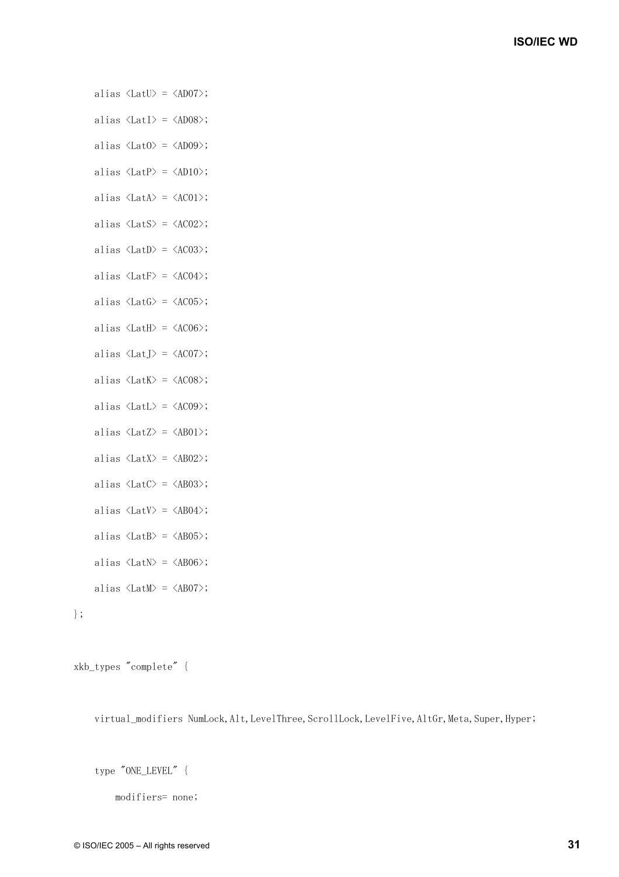alias  $\langle LatU \rangle = \langle AD07 \rangle$ ; alias  $\langle LatI \rangle = \langle AD08 \rangle$ ; alias  $\langle \text{Lat0} \rangle = \langle \text{AD09} \rangle$ ; alias  $\langle LatP \rangle = \langle AD10 \rangle$ ; alias <LatA> = <AC01>; alias  $\langle \text{LatS} \rangle = \langle \text{AC02} \rangle$ ; alias  $\langle \text{LatD} \rangle = \langle \text{AC03} \rangle$ ; alias <LatF> = <AC04>; alias  $\langle \text{LatG} \rangle = \langle \text{AC05} \rangle$ ; alias  $\langle \text{LatH} \rangle = \langle \text{AC06} \rangle$ ; alias  $\langle LatJ \rangle = \langle AC07 \rangle$ ; alias  $\langle \text{LatK} \rangle = \langle \text{AC08} \rangle$ ; alias  $\langle \text{LatL} \rangle = \langle \text{AC09} \rangle$ ; alias  $\langle LatZ\rangle = \langle ABO1\rangle$ ; alias  $\langle LatX \rangle = \langle ABO2 \rangle$ ; alias  $\langle \text{LatC} \rangle = \langle \text{AB03} \rangle$ ; alias  $\langle LatV\rangle = \langle AB04\rangle$ ; alias <LatB> = <AB05>; alias  $\langle \text{LatN} \rangle = \langle \text{AB06} \rangle$ ; alias <LatM> = <AB07>;

```
xkb_types "complete" {
```
};

virtual\_modifiers NumLock, Alt, LevelThree, ScrollLock, LevelFive, AltGr, Meta, Super, Hyper;

type "ONE\_LEVEL" {

modifiers= none;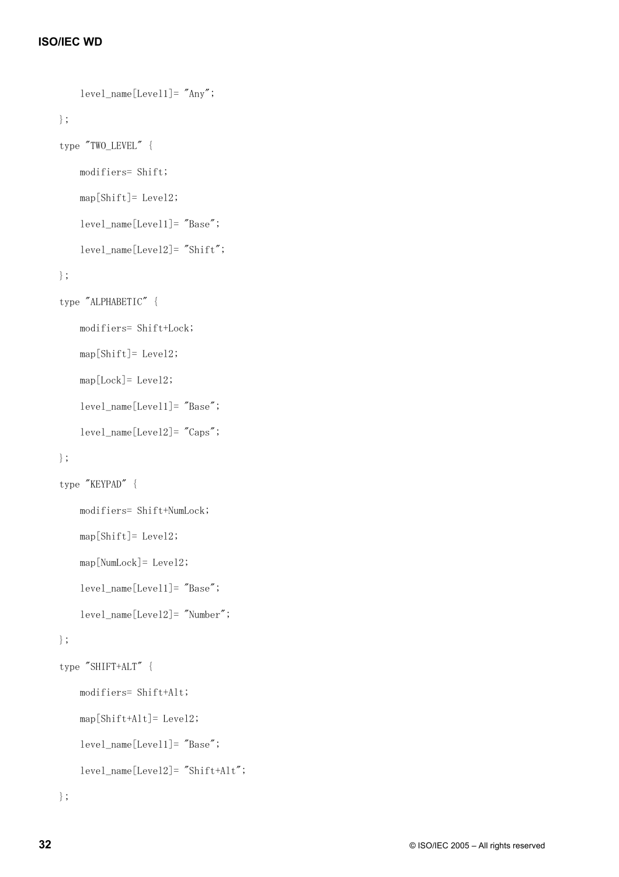```
 level_name[Level1]= "Any"; 
 }; 
 type "TWO_LEVEL" { 
     modifiers= Shift; 
     map[Shift]= Level2; 
     level_name[Level1]= "Base"; 
     level_name[Level2]= "Shift";
```
#### };

```
 type "ALPHABETIC" {
```

```
 modifiers= Shift+Lock;
```
map[Shift]= Level2;

map[Lock]= Level2;

level\_name[Level1]= "Base";

level\_name[Level2]= "Caps";

## };

```
 type "KEYPAD" {
```

```
 modifiers= Shift+NumLock; 
 map[Shift]= Level2; 
 map[NumLock]= Level2; 
 level_name[Level1]= "Base"; 
 level_name[Level2]= "Number";
```

```
 type "SHIFT+ALT" { 
     modifiers= Shift+Alt; 
     map[Shift+Alt]= Level2; 
     level_name[Level1]= "Base"; 
     level_name[Level2]= "Shift+Alt";
```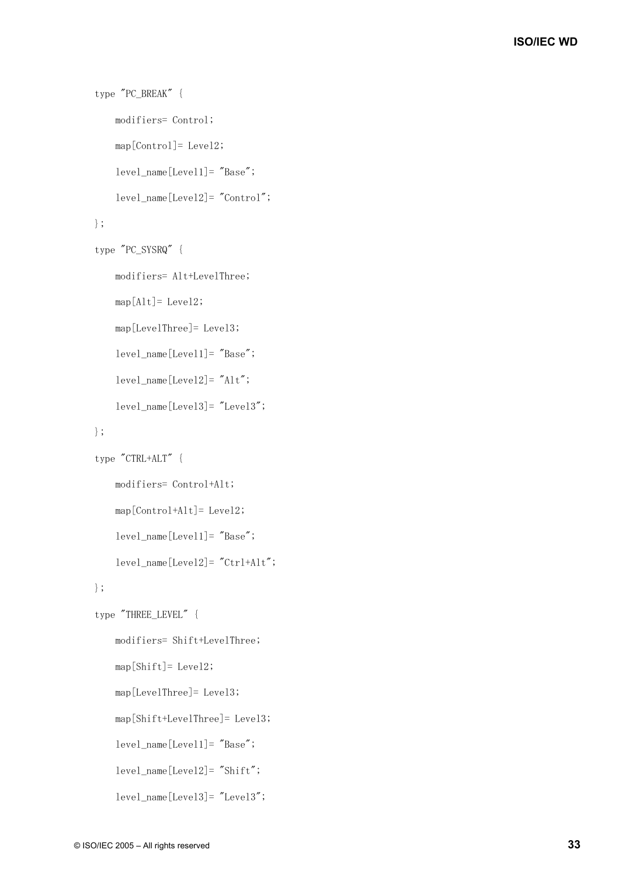```
 type "PC_BREAK" { 
     modifiers= Control; 
     map[Control]= Level2; 
    level name[Level1]= "Base";
     level_name[Level2]= "Control"; 
 }; 
 type "PC_SYSRQ" { 
     modifiers= Alt+LevelThree; 
    map[Alt] = Level2; map[LevelThree]= Level3; 
     level_name[Level1]= "Base"; 
     level_name[Level2]= "Alt"; 
     level_name[Level3]= "Level3"; 
 }; 
 type "CTRL+ALT" { 
     modifiers= Control+Alt; 
     map[Control+Alt]= Level2; 
     level_name[Level1]= "Base"; 
     level_name[Level2]= "Ctrl+Alt"; 
 }; 
 type "THREE_LEVEL" { 
     modifiers= Shift+LevelThree; 
     map[Shift]= Level2; 
     map[LevelThree]= Level3; 
     map[Shift+LevelThree]= Level3;
```
level\_name[Level1]= "Base";

```
 level_name[Level2]= "Shift";
```

```
 level_name[Level3]= "Level3";
```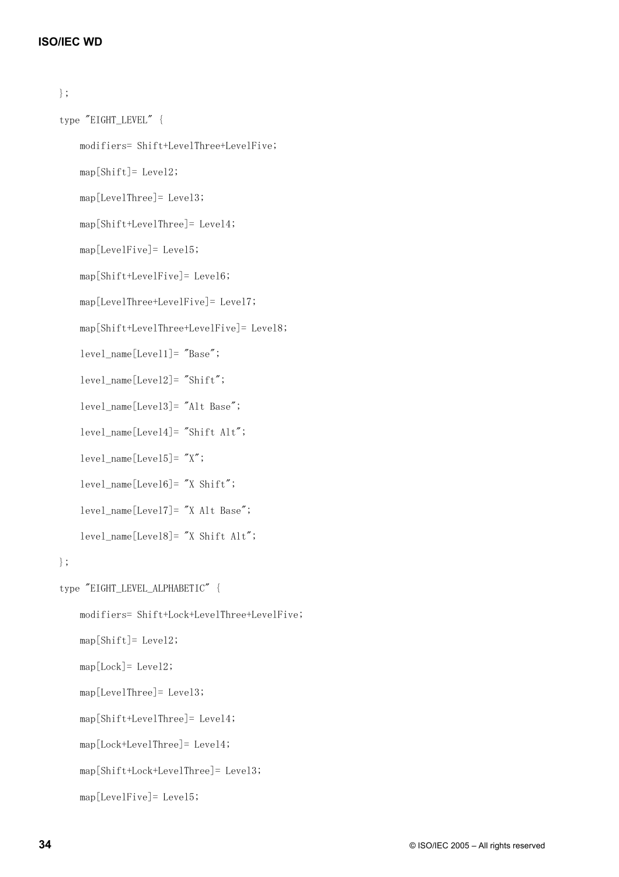```
 }; 
 type "EIGHT_LEVEL" { 
     modifiers= Shift+LevelThree+LevelFive; 
     map[Shift]= Level2; 
     map[LevelThree]= Level3; 
     map[Shift+LevelThree]= Level4; 
     map[LevelFive]= Level5; 
     map[Shift+LevelFive]= Level6; 
     map[LevelThree+LevelFive]= Level7; 
     map[Shift+LevelThree+LevelFive]= Level8; 
     level_name[Level1]= "Base"; 
     level_name[Level2]= "Shift"; 
     level_name[Level3]= "Alt Base"; 
     level_name[Level4]= "Shift Alt"; 
     level_name[Level5]= "X"; 
     level_name[Level6]= "X Shift"; 
     level_name[Level7]= "X Alt Base"; 
     level_name[Level8]= "X Shift Alt"; 
 };
```

```
 type "EIGHT_LEVEL_ALPHABETIC" { 
     modifiers= Shift+Lock+LevelThree+LevelFive; 
     map[Shift]= Level2; 
     map[Lock]= Level2; 
     map[LevelThree]= Level3; 
     map[Shift+LevelThree]= Level4; 
     map[Lock+LevelThree]= Level4; 
     map[Shift+Lock+LevelThree]= Level3; 
     map[LevelFive]= Level5;
```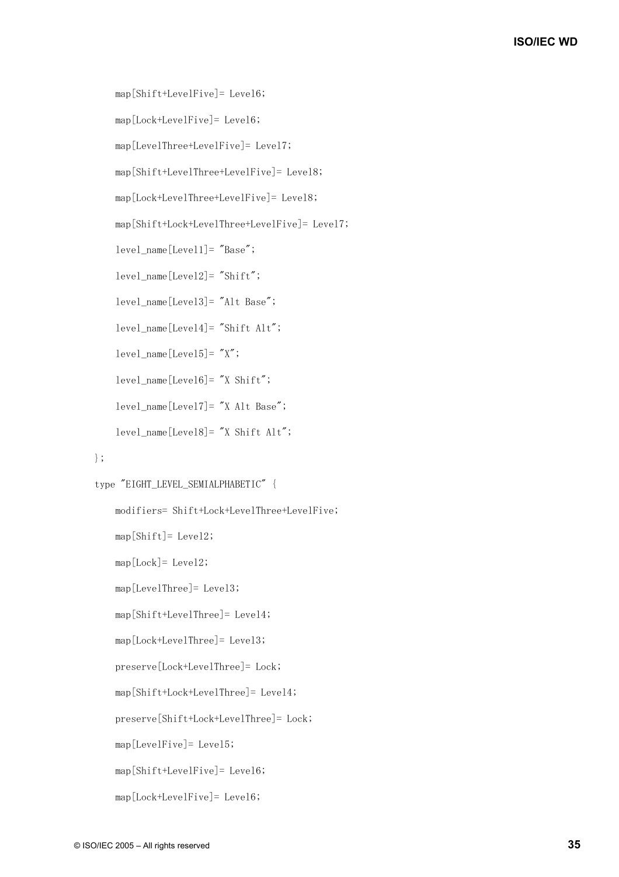```
 map[Shift+LevelFive]= Level6; 
 map[Lock+LevelFive]= Level6; 
 map[LevelThree+LevelFive]= Level7; 
 map[Shift+LevelThree+LevelFive]= Level8; 
 map[Lock+LevelThree+LevelFive]= Level8; 
 map[Shift+Lock+LevelThree+LevelFive]= Level7; 
level name[Level1]= "Base";
 level_name[Level2]= "Shift"; 
 level_name[Level3]= "Alt Base"; 
level name[Level4]= "Shift Alt";
level name[Level5] = "X"; level_name[Level6]= "X Shift"; 
level name[Level7]= "X Alt Base";
 level_name[Level8]= "X Shift Alt";
```

```
 type "EIGHT_LEVEL_SEMIALPHABETIC" {
```

```
 modifiers= Shift+Lock+LevelThree+LevelFive;
```

```
 map[Shift]= Level2;
```

```
 map[Lock]= Level2;
```

```
 map[LevelThree]= Level3;
```

```
 map[Shift+LevelThree]= Level4;
```

```
 map[Lock+LevelThree]= Level3;
```

```
 preserve[Lock+LevelThree]= Lock;
```

```
 map[Shift+Lock+LevelThree]= Level4;
```
preserve[Shift+Lock+LevelThree]= Lock;

map[LevelFive]= Level5;

```
 map[Shift+LevelFive]= Level6;
```

```
 map[Lock+LevelFive]= Level6;
```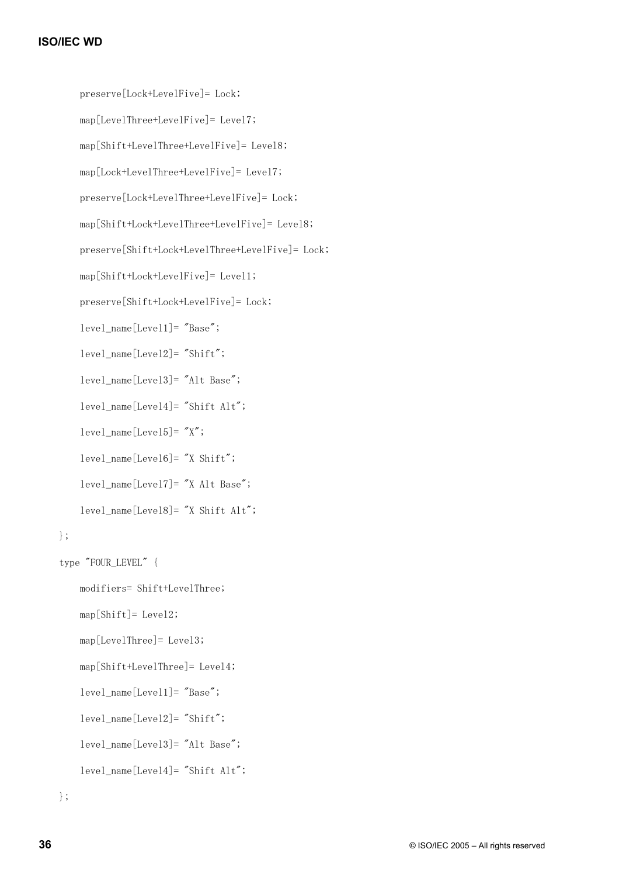```
 preserve[Lock+LevelFive]= Lock; 
 map[LevelThree+LevelFive]= Level7; 
 map[Shift+LevelThree+LevelFive]= Level8; 
 map[Lock+LevelThree+LevelFive]= Level7; 
 preserve[Lock+LevelThree+LevelFive]= Lock; 
 map[Shift+Lock+LevelThree+LevelFive]= Level8; 
 preserve[Shift+Lock+LevelThree+LevelFive]= Lock; 
 map[Shift+Lock+LevelFive]= Level1; 
 preserve[Shift+Lock+LevelFive]= Lock; 
level name[Level1]= "Base";
level name[Level2]= "Shift";
 level_name[Level3]= "Alt Base"; 
level name[Level4]= "Shift Alt";
level name[Level5] = "X"; level_name[Level6]= "X Shift"; 
 level_name[Level7]= "X Alt Base"; 
 level_name[Level8]= "X Shift Alt";
```

```
 type "FOUR_LEVEL" { 
     modifiers= Shift+LevelThree; 
     map[Shift]= Level2; 
     map[LevelThree]= Level3; 
     map[Shift+LevelThree]= Level4; 
     level_name[Level1]= "Base"; 
     level_name[Level2]= "Shift"; 
     level_name[Level3]= "Alt Base"; 
     level_name[Level4]= "Shift Alt";
```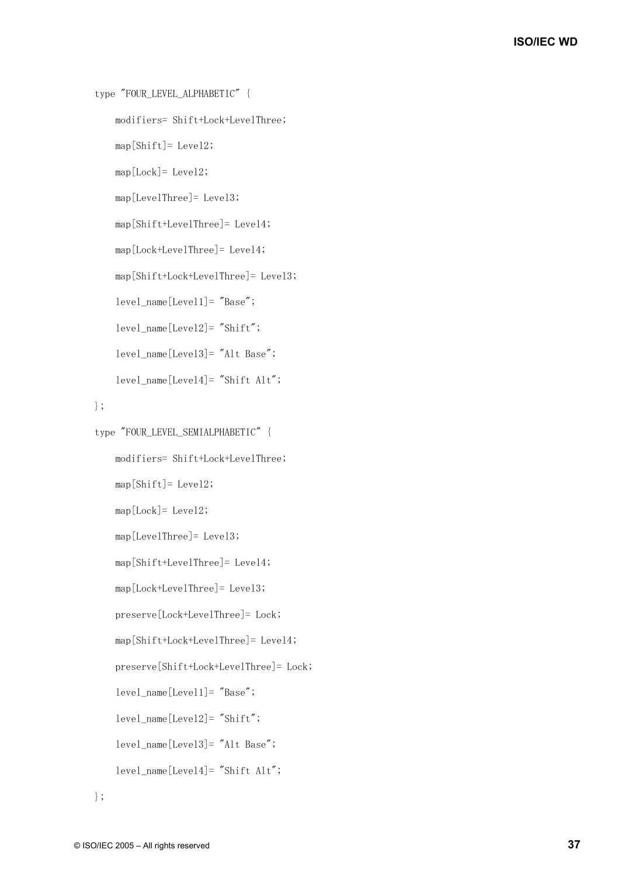```
type "FOUR LEVEL ALPHABETIC" {
     modifiers= Shift+Lock+LevelThree; 
     map[Shift]= Level2; 
     map[Lock]= Level2; 
     map[LevelThree]= Level3; 
     map[Shift+LevelThree]= Level4; 
     map[Lock+LevelThree]= Level4; 
     map[Shift+Lock+LevelThree]= Level3; 
     level_name[Level1]= "Base"; 
    level name[Level2]= "Shift";
    level name[Level3]= "Alt Base";
     level_name[Level4]= "Shift Alt"; 
 };
```

```
type "FOUR LEVEL SEMIALPHABETIC" {
     modifiers= Shift+Lock+LevelThree; 
     map[Shift]= Level2; 
    map[Lock] = Level2; map[LevelThree]= Level3; 
     map[Shift+LevelThree]= Level4; 
     map[Lock+LevelThree]= Level3; 
     preserve[Lock+LevelThree]= Lock; 
     map[Shift+Lock+LevelThree]= Level4; 
     preserve[Shift+Lock+LevelThree]= Lock; 
     level_name[Level1]= "Base"; 
     level_name[Level2]= "Shift"; 
     level_name[Level3]= "Alt Base"; 
     level_name[Level4]= "Shift Alt";
```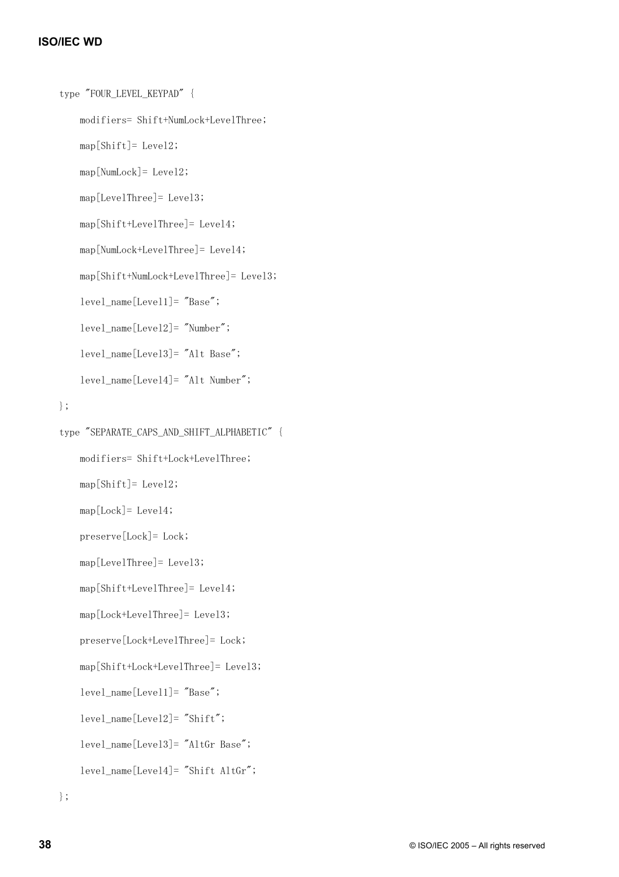```
 type "FOUR_LEVEL_KEYPAD" { 
     modifiers= Shift+NumLock+LevelThree; 
     map[Shift]= Level2; 
     map[NumLock]= Level2; 
     map[LevelThree]= Level3; 
     map[Shift+LevelThree]= Level4; 
     map[NumLock+LevelThree]= Level4; 
     map[Shift+NumLock+LevelThree]= Level3; 
     level_name[Level1]= "Base"; 
    level name[Level2]= "Number";
    level name[Level3]= "Alt Base";
     level_name[Level4]= "Alt Number";
```

```
 };
```

```
type "SEPARATE CAPS AND SHIFT ALPHABETIC" {
     modifiers= Shift+Lock+LevelThree; 
     map[Shift]= Level2; 
    map[Lock] = Level4; preserve[Lock]= Lock; 
     map[LevelThree]= Level3; 
     map[Shift+LevelThree]= Level4; 
     map[Lock+LevelThree]= Level3; 
     preserve[Lock+LevelThree]= Lock; 
     map[Shift+Lock+LevelThree]= Level3; 
     level_name[Level1]= "Base"; 
     level_name[Level2]= "Shift"; 
     level_name[Level3]= "AltGr Base"; 
     level_name[Level4]= "Shift AltGr";
```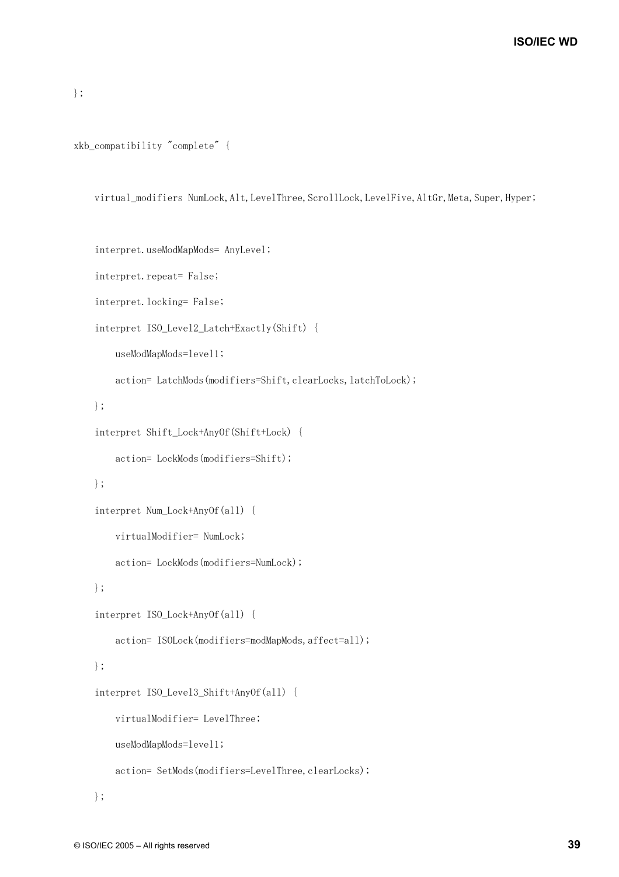```
};
```

```
xkb_compatibility "complete" {
```
virtual\_modifiers NumLock, Alt, LevelThree, ScrollLock, LevelFive, AltGr, Meta, Super, Hyper;

```
 interpret.useModMapMods= AnyLevel; 
interpret.repeat= False;
 interpret.locking= False; 
 interpret ISO_Level2_Latch+Exactly(Shift) { 
     useModMapMods=level1; 
    action= LatchMods(modifiers=Shift,clearLocks,latchToLock);
 }; 
interpret Shift Lock+AnyOf(Shift+Lock) {
     action= LockMods(modifiers=Shift); 
 }; 
 interpret Num_Lock+AnyOf(all) { 
     virtualModifier= NumLock; 
     action= LockMods(modifiers=NumLock); 
 }; 
 interpret ISO_Lock+AnyOf(all) { 
     action= ISOLock(modifiers=modMapMods,affect=all); 
 }; 
 interpret ISO_Level3_Shift+AnyOf(all) { 
     virtualModifier= LevelThree; 
     useModMapMods=level1; 
    action= SetMods(modifiers=LevelThree, clearLocks);
```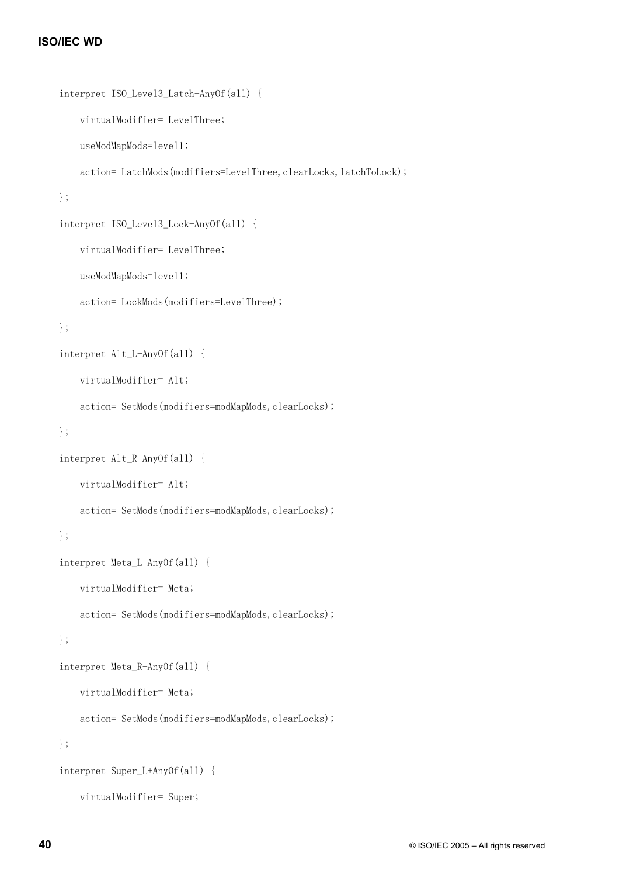```
 interpret ISO_Level3_Latch+AnyOf(all) {
```
virtualModifier= LevelThree;

useModMapMods=level1;

action= LatchMods(modifiers=LevelThree, clearLocks, latchToLock);

#### };

```
 interpret ISO_Level3_Lock+AnyOf(all) {
```
virtualModifier= LevelThree;

useModMapMods=level1;

action= LockMods(modifiers=LevelThree);

#### };

```
 interpret Alt_L+AnyOf(all) {
```
virtualModifier= Alt;

action= SetMods(modifiers=modMapMods,clearLocks);

#### };

```
 interpret Alt_R+AnyOf(all) {
```
virtualModifier= Alt;

action= SetMods(modifiers=modMapMods,clearLocks);

#### };

```
 interpret Meta_L+AnyOf(all) {
```
virtualModifier= Meta;

action= SetMods(modifiers=modMapMods,clearLocks);

## };

```
 interpret Meta_R+AnyOf(all) {
```
virtualModifier= Meta;

action= SetMods(modifiers=modMapMods,clearLocks);

#### };

```
 interpret Super_L+AnyOf(all) {
```
virtualModifier= Super;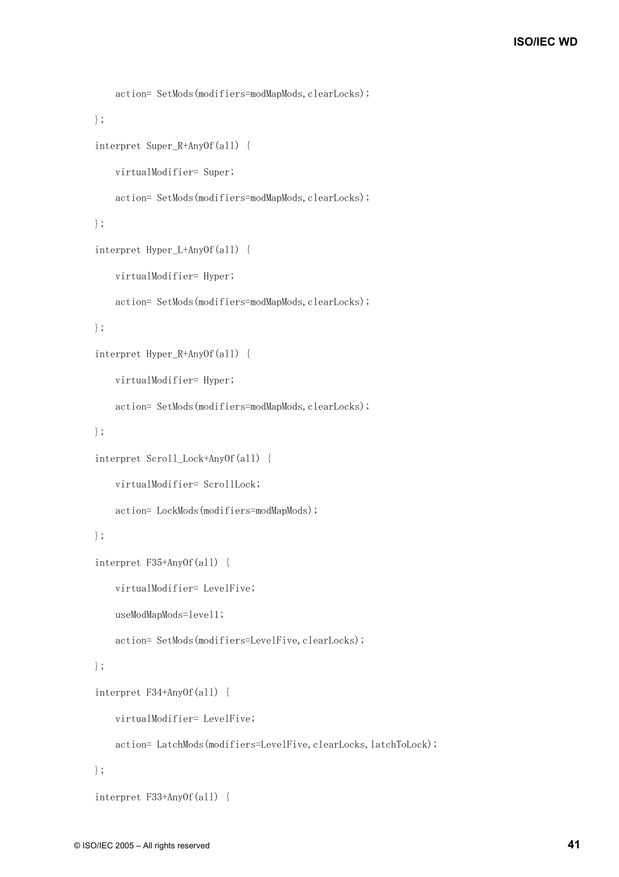```
 action= SetMods(modifiers=modMapMods,clearLocks); 
 }; 
interpret Super R+AnyOf(all) {
     virtualModifier= Super; 
    action= SetMods(modifiers=modMapMods,clearLocks);
 }; 
 interpret Hyper_L+AnyOf(all) { 
     virtualModifier= Hyper; 
    action= SetMods(modifiers=modMapMods,clearLocks);
 }; 
 interpret Hyper_R+AnyOf(all) { 
     virtualModifier= Hyper; 
    action= SetMods(modifiers=modMapMods,clearLocks);
 }; 
 interpret Scroll_Lock+AnyOf(all) { 
     virtualModifier= ScrollLock; 
     action= LockMods(modifiers=modMapMods); 
 }; 
 interpret F35+AnyOf(all) { 
     virtualModifier= LevelFive; 
     useModMapMods=level1; 
    action= SetMods(modifiers=LevelFive, clearLocks);
 }; 
 interpret F34+AnyOf(all) { 
     virtualModifier= LevelFive; 
    action= LatchMods(modifiers=LevelFive, clearLocks, latchToLock);
```

```
 interpret F33+AnyOf(all) {
```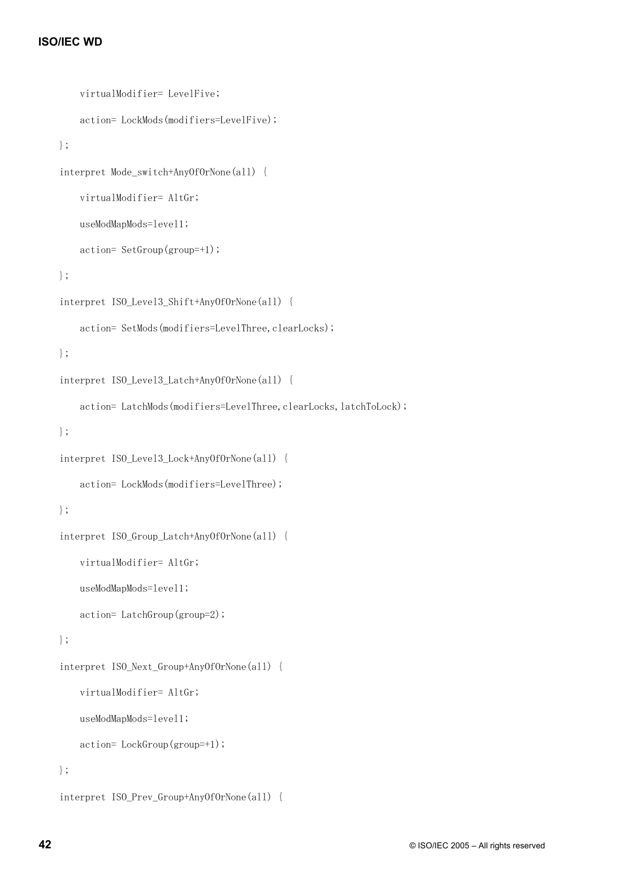```
 virtualModifier= LevelFive; 
     action= LockMods(modifiers=LevelFive); 
 }; 
 interpret Mode_switch+AnyOfOrNone(all) { 
     virtualModifier= AltGr; 
     useModMapMods=level1; 
    action = SetGroup(group=+1); }; 
 interpret ISO_Level3_Shift+AnyOfOrNone(all) { 
    action= SetMods(modifiers=LevelThree, clearLocks);
 }; 
 interpret ISO_Level3_Latch+AnyOfOrNone(all) { 
    action= LatchMods(modifiers=LevelThree, clearLocks, latchToLock);
 }; 
 interpret ISO_Level3_Lock+AnyOfOrNone(all) { 
     action= LockMods(modifiers=LevelThree); 
 }; 
 interpret ISO_Group_Latch+AnyOfOrNone(all) { 
     virtualModifier= AltGr; 
     useModMapMods=level1; 
    action= LatchGroup(group=2);
 }; 
 interpret ISO_Next_Group+AnyOfOrNone(all) { 
     virtualModifier= AltGr; 
     useModMapMods=level1; 
    \arctan = \text{LockGroup}(\text{group}=+1); };
```

```
 interpret ISO_Prev_Group+AnyOfOrNone(all) {
```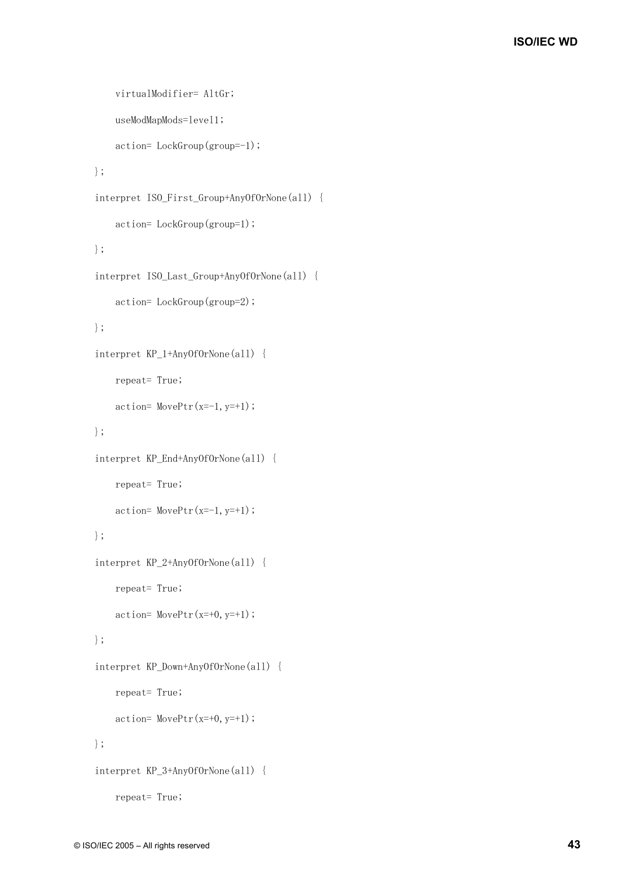```
 virtualModifier= AltGr; 
     useModMapMods=level1; 
    \arctan = \text{LockGroup}(\text{group}=-1); }; 
 interpret ISO_First_Group+AnyOfOrNone(all) { 
    action= LockGroup(group=1);
 }; 
 interpret ISO_Last_Group+AnyOfOrNone(all) { 
    action= LockGroup(group=2);
 }; 
 interpret KP_1+AnyOfOrNone(all) { 
     repeat= True; 
    \arctan= \text{MovePtr}(x=-1, y=+1); }; 
 interpret KP_End+AnyOfOrNone(all) { 
     repeat= True; 
    \arctan = \text{MovePtr}(x=-1, y=+1); }; 
 interpret KP_2+AnyOfOrNone(all) { 
     repeat= True; 
    action= MovePtr(x=+0, y=+1); }; 
 interpret KP_Down+AnyOfOrNone(all) { 
     repeat= True; 
    \arctan=\text{MovePtr}(x=+0, y=+1); }; 
 interpret KP_3+AnyOfOrNone(all) { 
     repeat= True;
```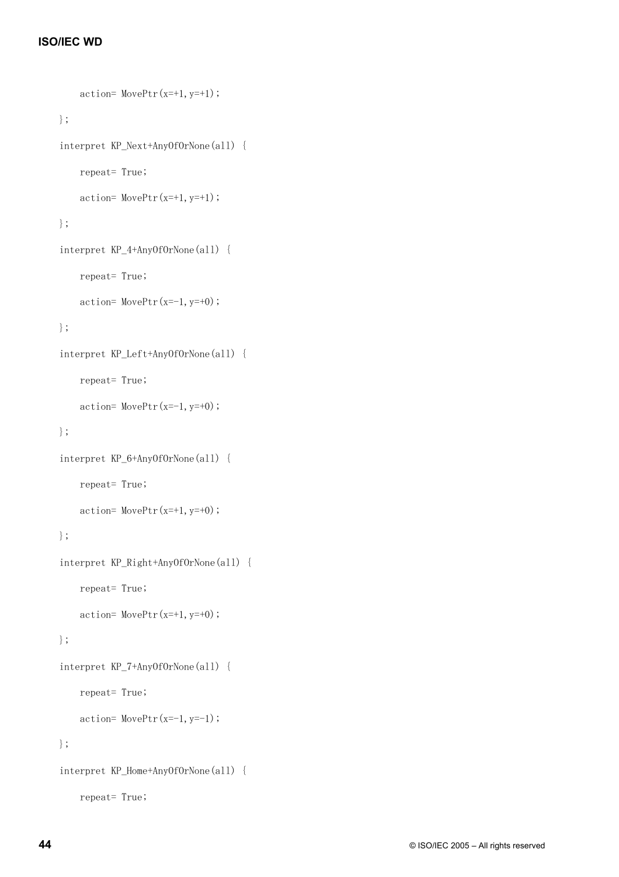```
\arctan=\text{MovePtr}(x=+1,y=+1); }; 
 interpret KP_Next+AnyOfOrNone(all) { 
     repeat= True; 
    action= MovePtr(x=+1, y=+1); }; 
 interpret KP_4+AnyOfOrNone(all) { 
     repeat= True; 
    \arctan = \text{MovePtr}(x=-1, y=+0);
 }; 
 interpret KP_Left+AnyOfOrNone(all) { 
     repeat= True; 
    \arctan= \text{MovePtr}(x=-1, y=+0); }; 
 interpret KP_6+AnyOfOrNone(all) { 
     repeat= True; 
    \arctan=\text{MovePtr}(x=+1,y=+0); }; 
 interpret KP_Right+AnyOfOrNone(all) { 
     repeat= True; 
    action= MovePtr(x=+1, y=+0); }; 
 interpret KP_7+AnyOfOrNone(all) { 
     repeat= True; 
    \arctan= \text{MovePtr}(x=-1, y=-1); }; 
 interpret KP_Home+AnyOfOrNone(all) {
```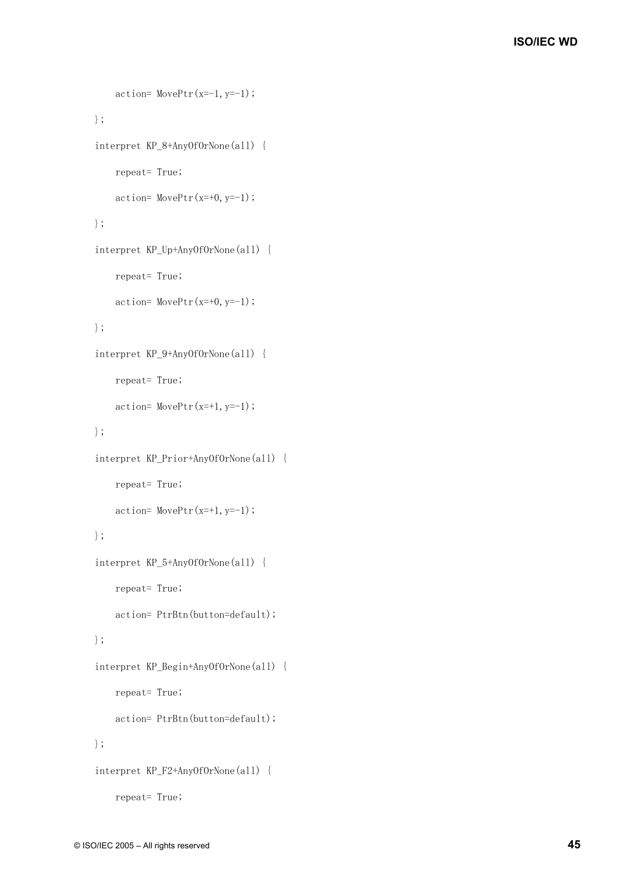```
\arctan= \text{MovePtr}(x=-1, y=-1); }; 
 interpret KP_8+AnyOfOrNone(all) { 
     repeat= True; 
    action= MovePtr(x=+0, y=-1); }; 
 interpret KP_Up+AnyOfOrNone(all) { 
     repeat= True; 
    \arctan = \text{MovePtr}(x=+0, y=-1);
 }; 
 interpret KP_9+AnyOfOrNone(all) { 
     repeat= True; 
    \arctan = \text{MovePtr}(x=+1, y=-1);
 }; 
 interpret KP_Prior+AnyOfOrNone(all) { 
     repeat= True; 
    \arctan=\text{MovePtr}(x=+1,y=-1); }; 
 interpret KP_5+AnyOfOrNone(all) { 
     repeat= True; 
     action= PtrBtn(button=default); 
 }; 
 interpret KP_Begin+AnyOfOrNone(all) { 
     repeat= True; 
     action= PtrBtn(button=default); 
 }; 
 interpret KP_F2+AnyOfOrNone(all) { 
     repeat= True;
```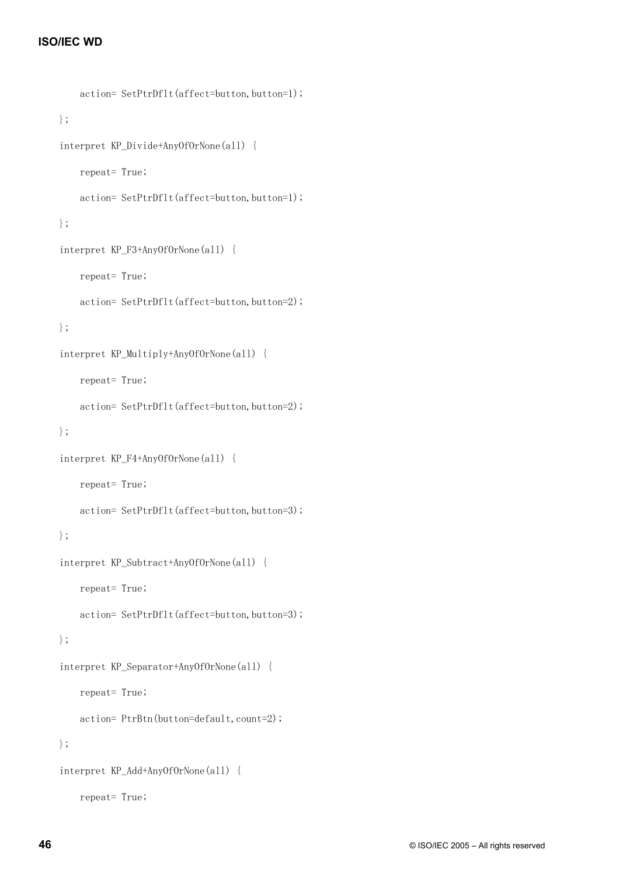```
action= SetPtrDflt(affect=button, button=1);
 }; 
 interpret KP_Divide+AnyOfOrNone(all) { 
     repeat= True; 
    action= SetPtrDflt(affect=button, button=1);
 }; 
 interpret KP_F3+AnyOfOrNone(all) { 
     repeat= True; 
    action= SetPtrDflt(affect=button, button=2);
 }; 
 interpret KP_Multiply+AnyOfOrNone(all) { 
     repeat= True; 
    action= SetPtrDflt(affect=button, button=2);
 }; 
 interpret KP_F4+AnyOfOrNone(all) { 
     repeat= True; 
    action= SetPtrDflt(affect=button, button=3);
 }; 
 interpret KP_Subtract+AnyOfOrNone(all) { 
     repeat= True; 
    action= SetPtrDflt(affect=button, button=3);
 }; 
 interpret KP_Separator+AnyOfOrNone(all) { 
     repeat= True; 
    action= PtrBtn(button=default, count=2);
 }; 
 interpret KP_Add+AnyOfOrNone(all) {
```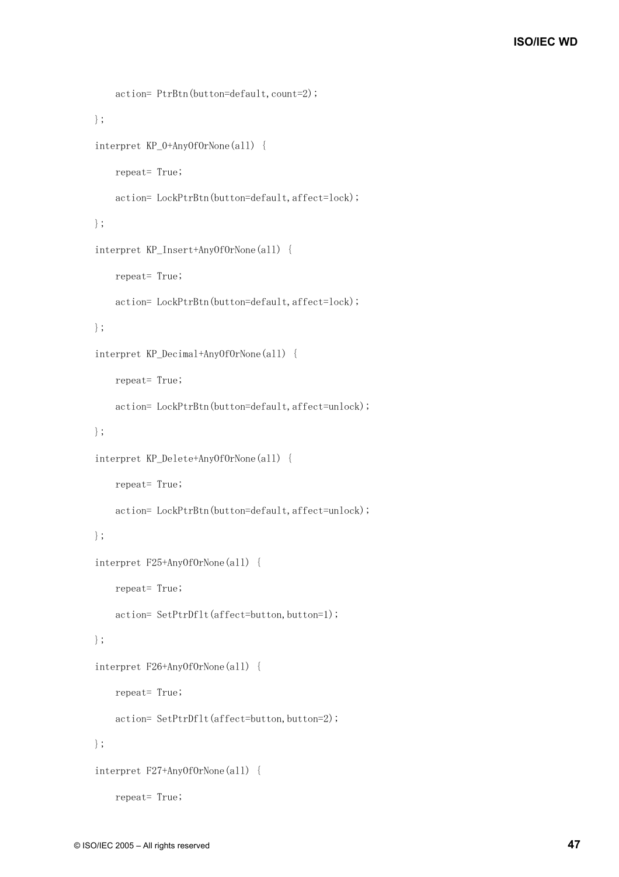```
action= PtrBtn(button=default, count=2);
 }; 
 interpret KP_0+AnyOfOrNone(all) { 
     repeat= True; 
     action= LockPtrBtn(button=default,affect=lock); 
 }; 
 interpret KP_Insert+AnyOfOrNone(all) { 
     repeat= True; 
     action= LockPtrBtn(button=default,affect=lock); 
 }; 
 interpret KP_Decimal+AnyOfOrNone(all) { 
     repeat= True; 
     action= LockPtrBtn(button=default,affect=unlock); 
 }; 
 interpret KP_Delete+AnyOfOrNone(all) { 
     repeat= True; 
     action= LockPtrBtn(button=default,affect=unlock); 
 }; 
 interpret F25+AnyOfOrNone(all) { 
     repeat= True; 
    action= SetPtrDflt(affect=button, button=1);
 }; 
 interpret F26+AnyOfOrNone(all) { 
     repeat= True; 
    action= SetPtrDflt(affect=button, button=2);
 }; 
 interpret F27+AnyOfOrNone(all) {
```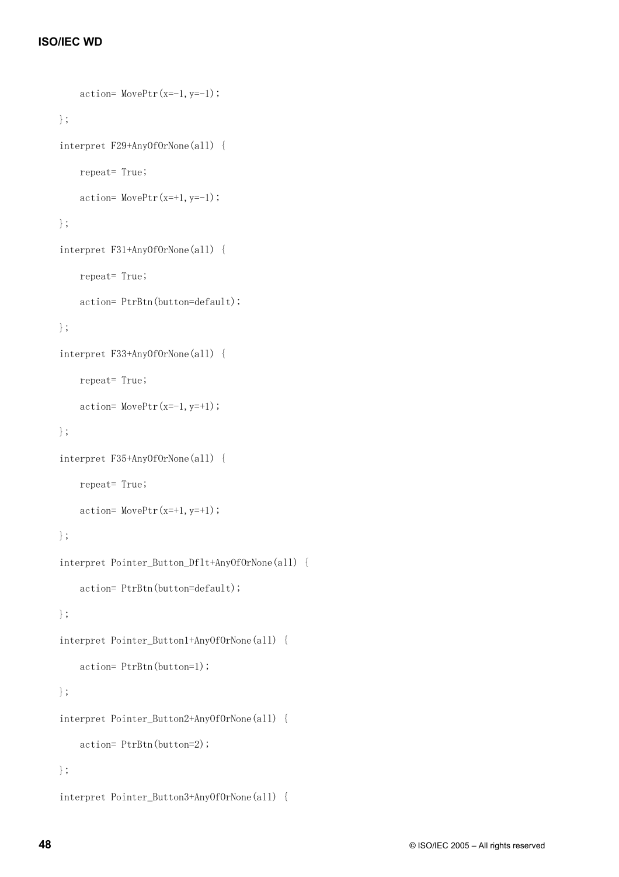```
\arctan= \text{MovePtr}(x=-1, y=-1); }; 
 interpret F29+AnyOfOrNone(all) { 
     repeat= True; 
    action= MovePtr(x=+1, y=-1); }; 
 interpret F31+AnyOfOrNone(all) { 
     repeat= True; 
     action= PtrBtn(button=default); 
 }; 
 interpret F33+AnyOfOrNone(all) { 
     repeat= True; 
    \arctan= \text{MovePtr}(x=-1, y=+1); }; 
 interpret F35+AnyOfOrNone(all) { 
     repeat= True; 
    action= MovePtr(x=+1, y=+1); }; 
 interpret Pointer_Button_Dflt+AnyOfOrNone(all) { 
     action= PtrBtn(button=default); 
 }; 
 interpret Pointer_Button1+AnyOfOrNone(all) { 
     action= PtrBtn(button=1); 
 }; 
 interpret Pointer_Button2+AnyOfOrNone(all) { 
     action= PtrBtn(button=2); 
 }; 
 interpret Pointer_Button3+AnyOfOrNone(all) {
```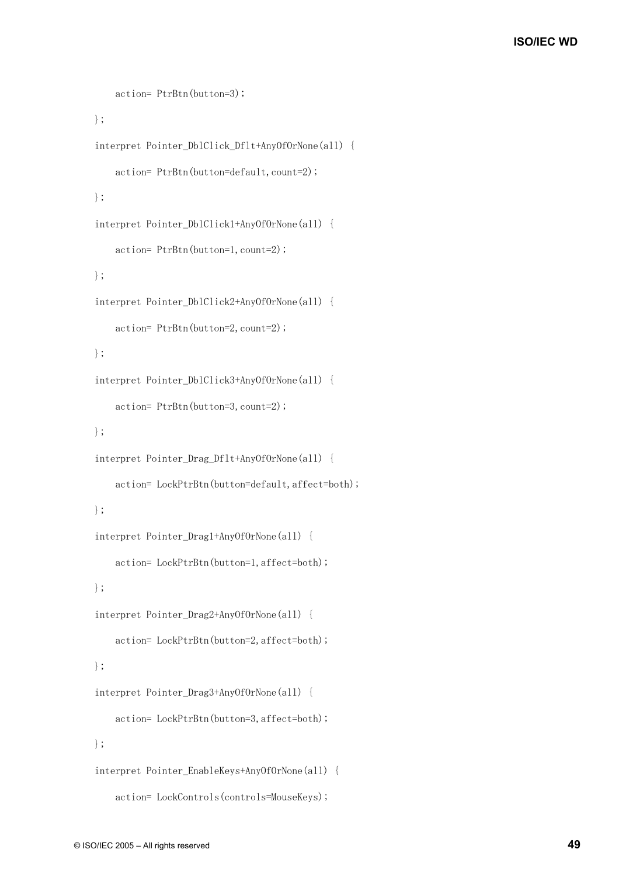```
 action= PtrBtn(button=3); 
 }; 
 interpret Pointer_DblClick_Dflt+AnyOfOrNone(all) { 
    action= PtrBtn(button=default, count=2);
 }; 
interpret Pointer DblClick1+AnyOfOrNone(all) {
     action= PtrBtn(button=1,count=2); 
 }; 
 interpret Pointer_DblClick2+AnyOfOrNone(all) { 
     action= PtrBtn(button=2,count=2); 
 }; 
 interpret Pointer_DblClick3+AnyOfOrNone(all) { 
     action= PtrBtn(button=3,count=2); 
 }; 
 interpret Pointer_Drag_Dflt+AnyOfOrNone(all) { 
     action= LockPtrBtn(button=default,affect=both); 
 }; 
 interpret Pointer_Drag1+AnyOfOrNone(all) { 
     action= LockPtrBtn(button=1,affect=both); 
 }; 
 interpret Pointer_Drag2+AnyOfOrNone(all) { 
     action= LockPtrBtn(button=2,affect=both); 
 }; 
 interpret Pointer_Drag3+AnyOfOrNone(all) { 
     action= LockPtrBtn(button=3,affect=both); 
 }; 
 interpret Pointer_EnableKeys+AnyOfOrNone(all) { 
    action= LockControls(controls=MouseKeys);
```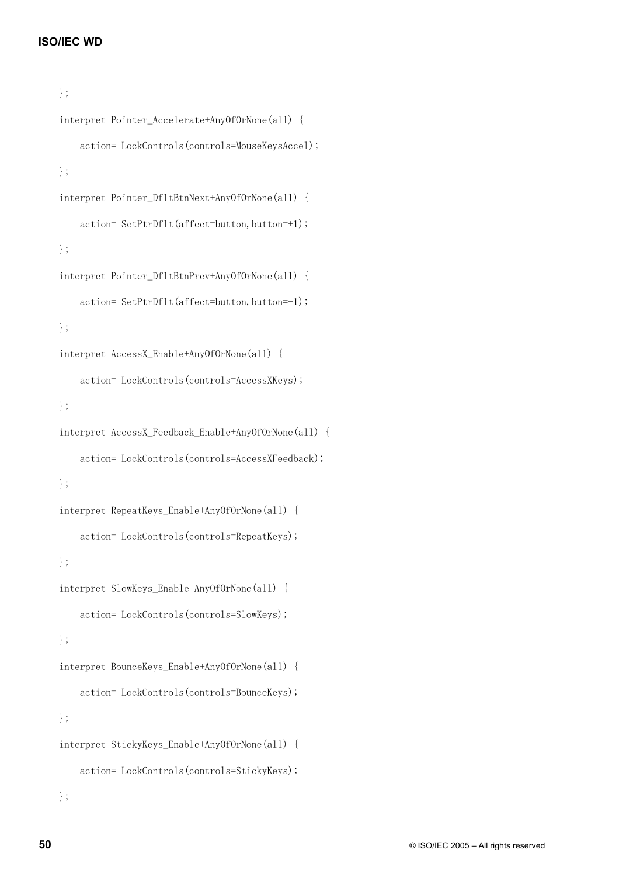```
 }; 
 interpret Pointer_Accelerate+AnyOfOrNone(all) { 
     action= LockControls(controls=MouseKeysAccel); 
 }; 
 interpret Pointer_DfltBtnNext+AnyOfOrNone(all) { 
    action= SetPtrDflt(affect=button, button=+1);
 }; 
 interpret Pointer_DfltBtnPrev+AnyOfOrNone(all) { 
    action= SetPtrDflt(affect=button, button=-1);
 }; 
 interpret AccessX_Enable+AnyOfOrNone(all) { 
    action= LockControls(controls=AccessXKeys);
 }; 
 interpret AccessX_Feedback_Enable+AnyOfOrNone(all) { 
     action= LockControls(controls=AccessXFeedback); 
 }; 
 interpret RepeatKeys_Enable+AnyOfOrNone(all) { 
    action= LockControls(controls=RepeatKeys);
 }; 
 interpret SlowKeys_Enable+AnyOfOrNone(all) { 
    action= LockControls(controls=SlowKeys);
 }; 
 interpret BounceKeys_Enable+AnyOfOrNone(all) { 
    action= LockControls(controls=BounceKeys);
 }; 
 interpret StickyKeys_Enable+AnyOfOrNone(all) { 
    action= LockControls(controls=StickyKeys);
 };
```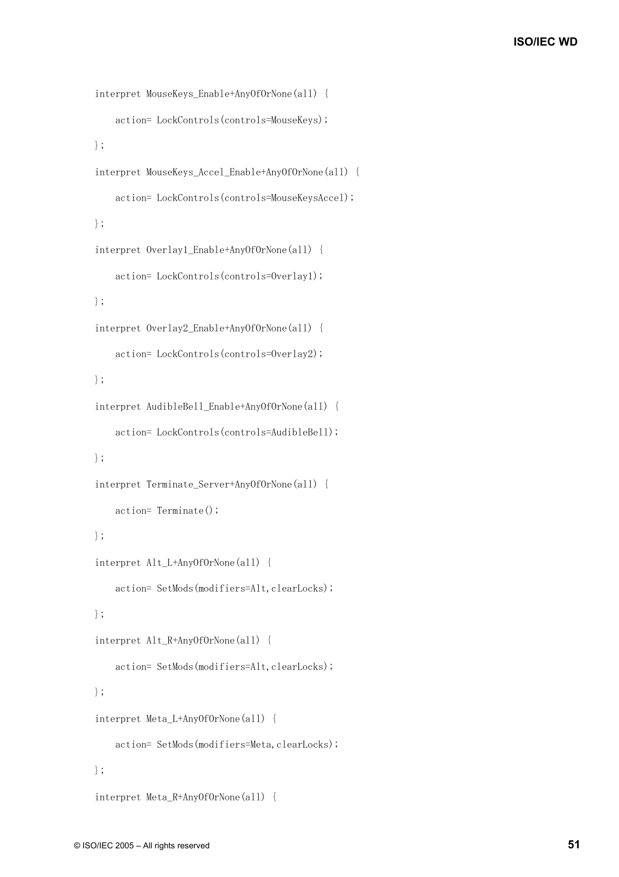```
 interpret MouseKeys_Enable+AnyOfOrNone(all) { 
    action= LockControls(controls=MouseKeys);
 }; 
 interpret MouseKeys_Accel_Enable+AnyOfOrNone(all) { 
     action= LockControls(controls=MouseKeysAccel); 
 }; 
 interpret Overlay1_Enable+AnyOfOrNone(all) { 
    action= LockControls(controls=Overlay1);
 }; 
 interpret Overlay2_Enable+AnyOfOrNone(all) { 
    action= LockControls(controls=Overlay2);
 }; 
 interpret AudibleBell_Enable+AnyOfOrNone(all) { 
    action= LockControls(controls=AudibleBell);
 }; 
 interpret Terminate_Server+AnyOfOrNone(all) { 
     action= Terminate(); 
 }; 
 interpret Alt_L+AnyOfOrNone(all) { 
    action= SetMods(modifiers=Alt,clearLocks);
 }; 
 interpret Alt_R+AnyOfOrNone(all) { 
    action= SetMods(modifiers=Alt,clearLocks);
 }; 
 interpret Meta_L+AnyOfOrNone(all) { 
    action= SetMods(modifiers=Meta,clearLocks);
 }; 
 interpret Meta_R+AnyOfOrNone(all) {
```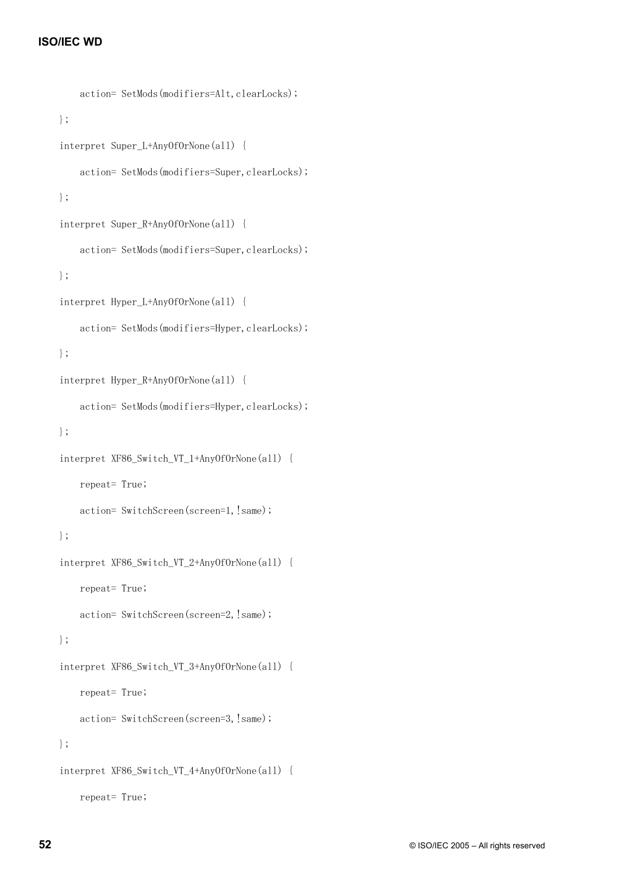```
action= SetMods(modifiers=Alt,clearLocks);
 }; 
 interpret Super_L+AnyOfOrNone(all) { 
    action= SetMods(modifiers=Super, clearLocks);
 }; 
 interpret Super_R+AnyOfOrNone(all) { 
    action= SetMods(modifiers=Super, clearLocks);
 }; 
 interpret Hyper_L+AnyOfOrNone(all) { 
    action= SetMods(modifiers=Hyper, clearLocks);
 }; 
 interpret Hyper_R+AnyOfOrNone(all) { 
    action= SetMods(modifiers=Hyper, clearLocks);
 }; 
 interpret XF86_Switch_VT_1+AnyOfOrNone(all) { 
     repeat= True; 
    action= SwitchScreen(screen=1, !same);
 }; 
 interpret XF86_Switch_VT_2+AnyOfOrNone(all) { 
     repeat= True; 
    action= SwitchScreen(screen=2, !same);
 }; 
 interpret XF86_Switch_VT_3+AnyOfOrNone(all) { 
     repeat= True; 
    action= SwitchScreen(screen=3, !same);
 }; 
 interpret XF86_Switch_VT_4+AnyOfOrNone(all) { 
     repeat= True;
```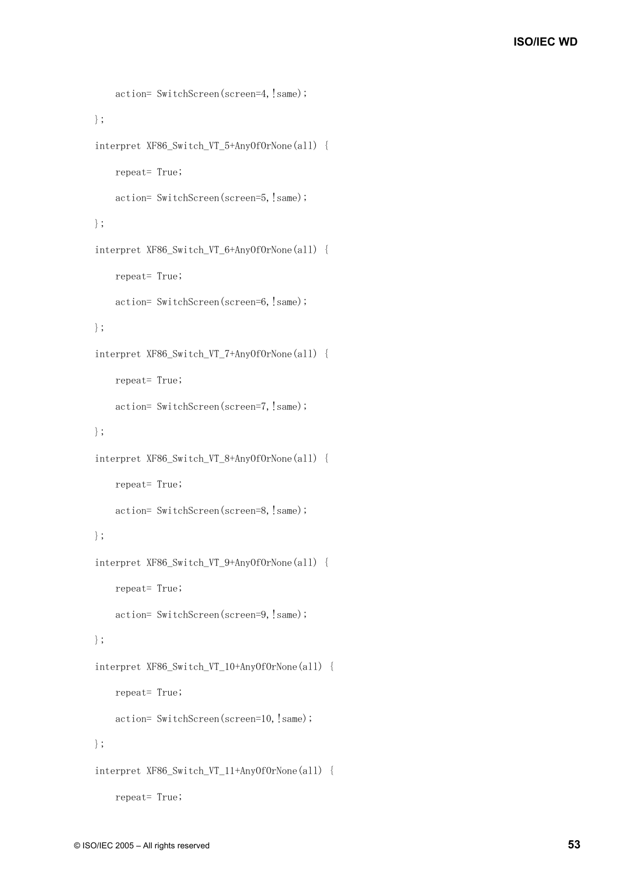```
action= SwitchScreen(screen=4, !same);
 }; 
interpret XF86 Switch VT 5+AnyOfOrNone(all) {
     repeat= True; 
    action= SwitchScreen(screen=5, !same);
 }; 
 interpret XF86_Switch_VT_6+AnyOfOrNone(all) { 
     repeat= True; 
    action= SwitchScreen(screen=6, !same);
 }; 
 interpret XF86_Switch_VT_7+AnyOfOrNone(all) { 
     repeat= True; 
    action= SwitchScreen(screen=7, !same);
 }; 
 interpret XF86_Switch_VT_8+AnyOfOrNone(all) { 
     repeat= True; 
    action= SwitchScreen(screen=8, !same);
 }; 
 interpret XF86_Switch_VT_9+AnyOfOrNone(all) { 
     repeat= True; 
    action= SwitchScreen(screen=9, !same);
 }; 
 interpret XF86_Switch_VT_10+AnyOfOrNone(all) { 
     repeat= True; 
    action= SwitchScreen(screen=10, !same);
 }; 
 interpret XF86_Switch_VT_11+AnyOfOrNone(all) {
```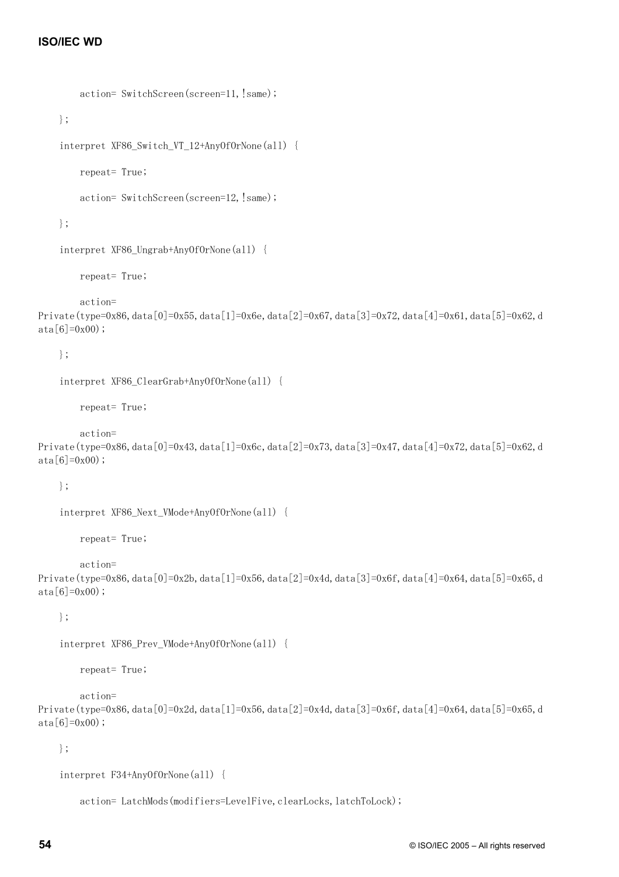```
action= SwitchScreen(screen=11, !same);
```
};

interpret XF86 Switch VT 12+AnyOfOrNone(all) {

repeat= True;

action= SwitchScreen(screen=12, !same);

};

```
 interpret XF86_Ungrab+AnyOfOrNone(all) {
```
repeat= True;

action=

Private(type=0x86,data[0]=0x55,data[1]=0x6e,data[2]=0x67,data[3]=0x72,data[4]=0x61,data[5]=0x62,d  $ata[6]=0x00);$ 

};

```
 interpret XF86_ClearGrab+AnyOfOrNone(all) {
```
repeat= True;

```
 action=
```
Private(type=0x86,data[0]=0x43,data[1]=0x6c,data[2]=0x73,data[3]=0x47,data[4]=0x72,data[5]=0x62,d  $ata[6]=0x00);$ 

};

```
 interpret XF86_Next_VMode+AnyOfOrNone(all) {
```
repeat= True;

action=

Private(type=0x86,data[0]=0x2b,data[1]=0x56,data[2]=0x4d,data[3]=0x6f,data[4]=0x64,data[5]=0x65,d  $ata[6]=0x00);$ 

};

```
 interpret XF86_Prev_VMode+AnyOfOrNone(all) {
```
repeat= True;

action=

Private(type=0x86,data[0]=0x2d,data[1]=0x56,data[2]=0x4d,data[3]=0x6f,data[4]=0x64,data[5]=0x65,d  $ata[6]=0x00);$ 

};

```
 interpret F34+AnyOfOrNone(all) {
```
action= LatchMods(modifiers=LevelFive, clearLocks, latchToLock);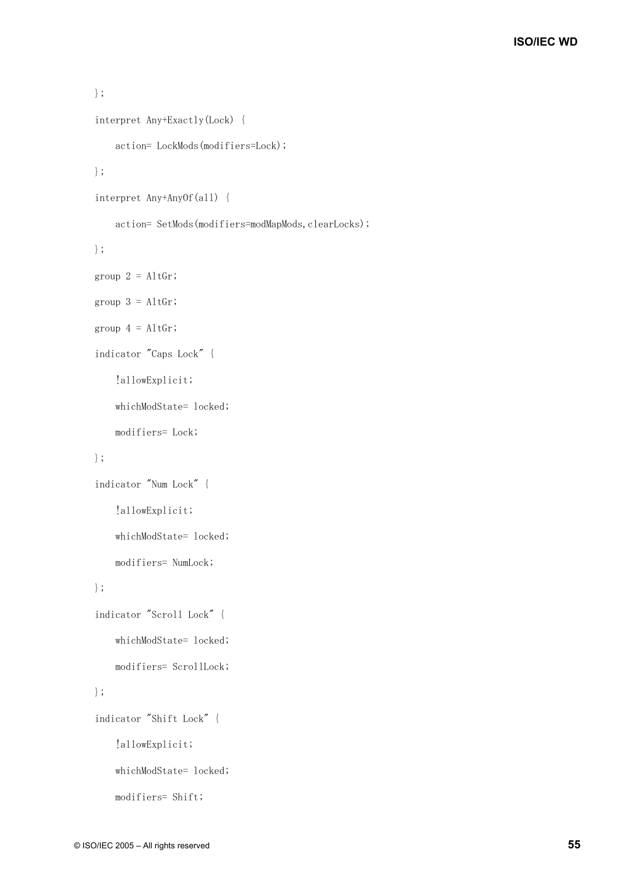```
 }; 
 interpret Any+Exactly(Lock) { 
     action= LockMods(modifiers=Lock); 
 }; 
 interpret Any+AnyOf(all) { 
     action= SetMods(modifiers=modMapMods,clearLocks); 
 }; 
group 2 = AltGr;group 3 = AltGr;
group 4 = AltGr; indicator "Caps Lock" { 
     !allowExplicit; 
     whichModState= locked; 
     modifiers= Lock; 
 }; 
 indicator "Num Lock" { 
     !allowExplicit; 
     whichModState= locked; 
     modifiers= NumLock; 
 }; 
 indicator "Scroll Lock" { 
     whichModState= locked; 
     modifiers= ScrollLock; 
 }; 
 indicator "Shift Lock" { 
     !allowExplicit; 
     whichModState= locked; 
     modifiers= Shift;
```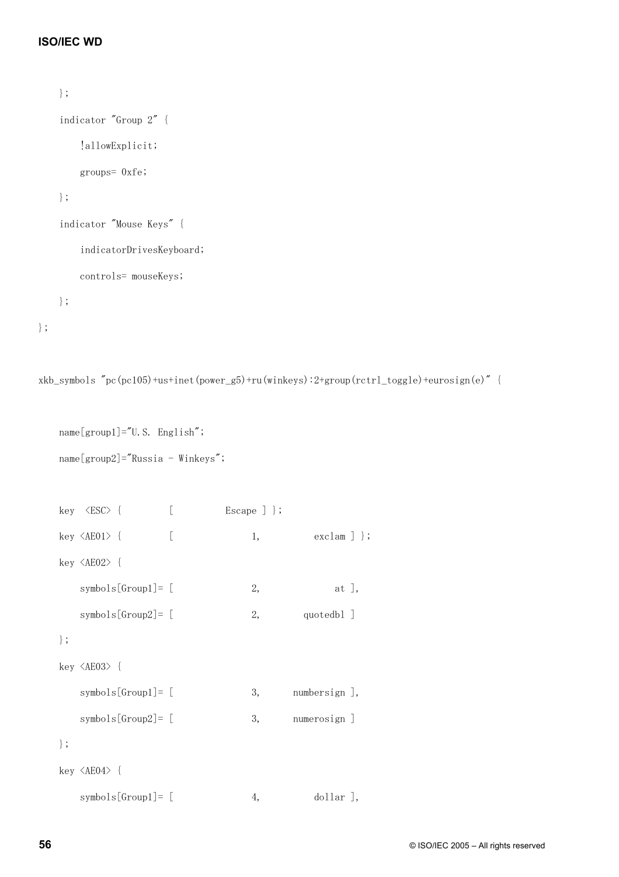```
 }; 
     indicator "Group 2" { 
          !allowExplicit; 
          groups= 0xfe; 
     }; 
     indicator "Mouse Keys" { 
          indicatorDrivesKeyboard; 
          controls= mouseKeys; 
     }; 
};
```

```
xkb_symbols "pc(pc105)+us+inet(power_g5)+ru(winkeys):2+group(rctrl_toggle)+eurosign(e)" {
```

```
 name[group1]="U.S. English"; 
 name[group2]="Russia - Winkeys";
```

|        | key $\langle ESC \rangle$ {  | Ĺ | Escape $]$ $\}$ ; |                 |
|--------|------------------------------|---|-------------------|-----------------|
|        | key $\langle AEO1 \rangle$ { | E | 1,                | $exclam$ $\}$ ; |
|        | key $\langle AEO2 \rangle$ { |   |                   |                 |
|        | $symbolls[Group1]=$          |   | 2,                | at ],           |
|        | $symbolls[Group2] =$         |   | 2,                | quotedbl ]      |
| $\}$ ; |                              |   |                   |                 |
|        | key $\langle AEO3 \rangle$ { |   |                   |                 |
|        | $symbolls[Group1]=$          |   | 3,                | numbersign],    |
|        | $symbolls[Group2] =$         |   | 3,                | numerosign ]    |
| $\}$ ; |                              |   |                   |                 |
|        | key $\langle AEO4 \rangle$ { |   |                   |                 |
|        | $symbolls[Group1]=$          |   | 4,                | dollar ],       |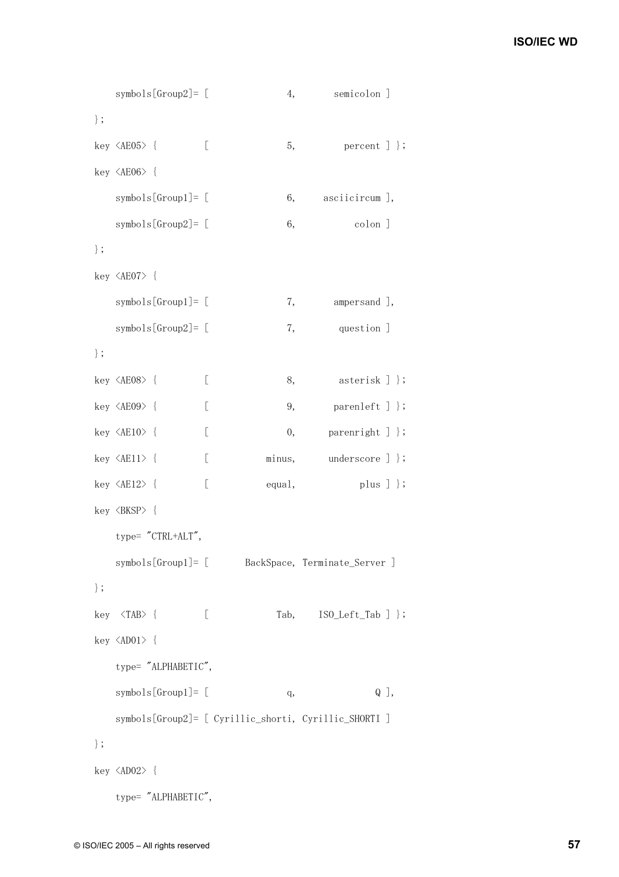```
symbols[Group2]= [ 4, semicolon ]
 }; 
key \langle AEO5 \rangle { [ 5, percent ] };
 key <AE06> { 
   symbols[Group1]= [ 6, asciicircum ],
   swmbols[Group2] = [ 6, colon ]
 }; 
 key <AE07> { 
   symbols[Group1] = [ 7, ampersand ],symbols[Group2]= [ 7, question ]
 }; 
key \langle AEO8 \rangle { [ 8, asterisk ] };
key \langle AEO9 \rangle { [ 9, parenleft ] };
key \langle AE10 \rangle { [ 0, parenright ] };
key \langle AE11 \rangle { [ minus, underscore ] };
key \langle AE12 \rangle { [ equal, plus ] };
 key <BKSP> { 
    type= "CTRL+ALT", 
    symbols[Group1]= [ BackSpace, Terminate_Server ] 
 }; 
key \langle TAB \rangle { [ Tab, ISO_Left_Tab ] };
 key <AD01> { 
    type= "ALPHABETIC", 
   symbols[Group1] = [ q, Q ],
    symbols[Group2]= [ Cyrillic_shorti, Cyrillic_SHORTI ] 
 }; 
 key <AD02> { 
    type= "ALPHABETIC",
```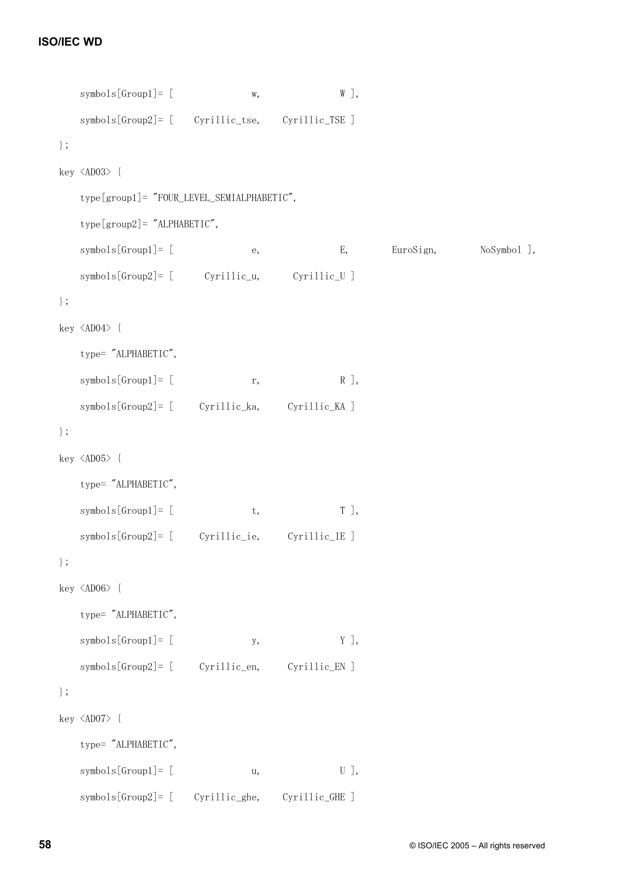```
symbols[Group1] = [ w, W ],
    symbols[Group2]= [ Cyrillic_tse, Cyrillic_TSE ] 
 }; 
 key <AD03> { 
    type[group1]= "FOUR_LEVEL_SEMIALPHABETIC", 
    type[group2]= "ALPHABETIC", 
   symbols[Group1]= [ e, BuroSign, NoSymbol ],
   symbols[Group2]= [ Cyrillic_u, Cyrillic_U ]
 }; 
 key <AD04> { 
    type= "ALPHABETIC", 
   symbols[Group1]= [ r, R ],
   symbols[Group2]= [ Cyrillic_ka, Cyrillic_KA ]
 }; 
 key <AD05> { 
    type= "ALPHABETIC", 
   symbols[Group1] = [ t, T ],
   symbols[Group2]= [ Cyrillic_ie, Cyrillic_IE ]
 }; 
 key <AD06> { 
    type= "ALPHABETIC", 
   symbols[Group1] = [ y, Y],symbols[Group2]= [ Cyrillic_en, Cyrillic_EN ]
 }; 
 key <AD07> { 
    type= "ALPHABETIC", 
   symbols[Group1] = [ u, U ],
    symbols[Group2]= [ Cyrillic_ghe, Cyrillic_GHE ]
```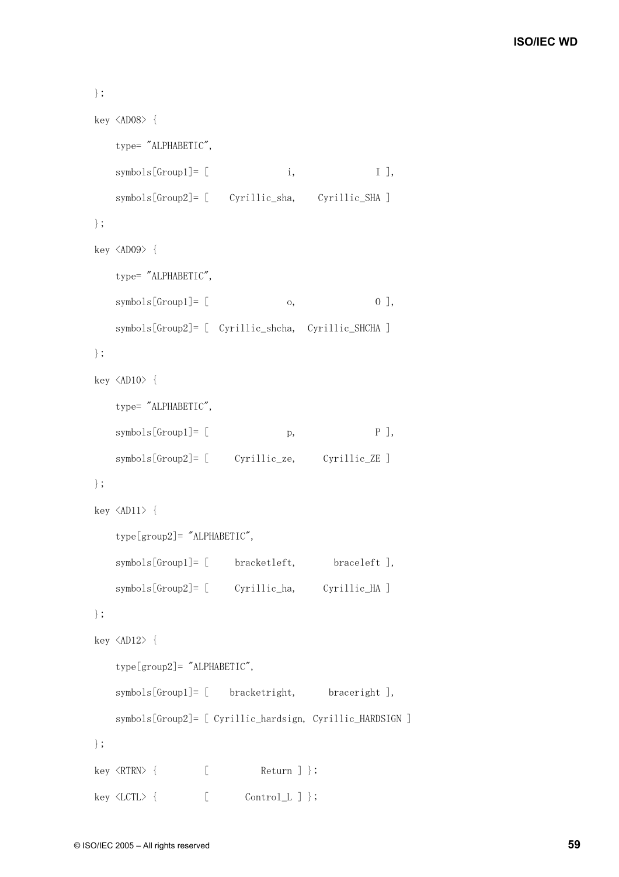```
 }; 
 key <AD08> { 
    type= "ALPHABETIC", 
   symbols[Group1] = [ i, I ],
    symbols[Group2]= [ Cyrillic_sha, Cyrillic_SHA ] 
 }; 
 key <AD09> { 
    type= "ALPHABETIC", 
   symbols[Group1] = [ 0, 0],
    symbols[Group2]= [ Cyrillic_shcha, Cyrillic_SHCHA ] 
 }; 
 key <AD10> { 
    type= "ALPHABETIC", 
   symbols[Group1]= [ p, P ],
   symbols[Group2]= [ Cyrillic_ze, Cyrillic_ZE ]
 }; 
 key <AD11> { 
    type[group2]= "ALPHABETIC", 
   symbols[Group1]= [ bracketleft, braceleft ],
   symbols[Group2]= [ Cyrillic_ha, Cyrillic_HA ]
 }; 
 key <AD12> { 
    type[group2]= "ALPHABETIC", 
    symbols[Group1]= [ bracketright, braceright ], 
    symbols[Group2]= [ Cyrillic_hardsign, Cyrillic_HARDSIGN ] 
 }; 
key \langleRTRN> { [ Return ] };
key \langleLCTL\rangle { [ Control_L ] };
```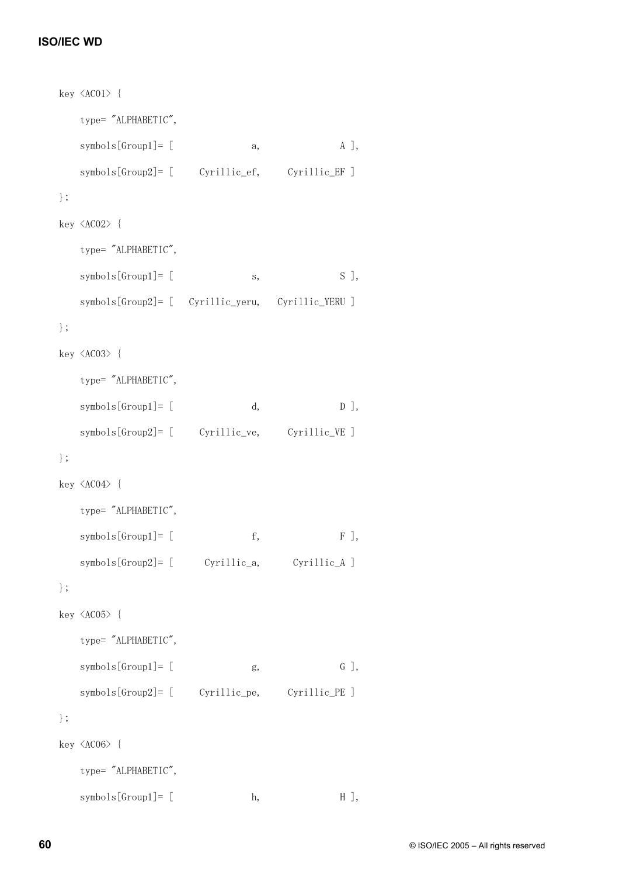```
 key <AC01> { 
   type= "ALPHABETIC", 
   symbols[Group1]= [ a, A ],
   symbols[Group2]= [ Cyrillic_ef, Cyrillic_EF ]
 }; 
 key <AC02> { 
   type= "ALPHABETIC", 
   symbols[Group1]= [ s, S, S ],
   symbols[Group2]= [ Cyrillic_yeru, Cyrillic_YERU ] 
 }; 
 key <AC03> { 
   type= "ALPHABETIC", 
   symbols[Group1]= [d, 0],
   symbols[Group2]= [ Cyrillic_ve, Cyrillic_VE ]
 }; 
 key <AC04> { 
   type= "ALPHABETIC", 
   symbols[Group1] = [ f, F ],
   symbols[Group2]= [ Cyrillic_a, Cyrillic_A ] 
 }; 
 key <AC05> { 
   type= "ALPHABETIC", 
   symbols[Group1] = [ g, G ],
   symbols[Group2]= [ Cyrillic_pe, Cyrillic_PE ] 
 }; 
 key <AC06> { 
   type= "ALPHABETIC", 
   symbols[Group1] = [ h, H ],
```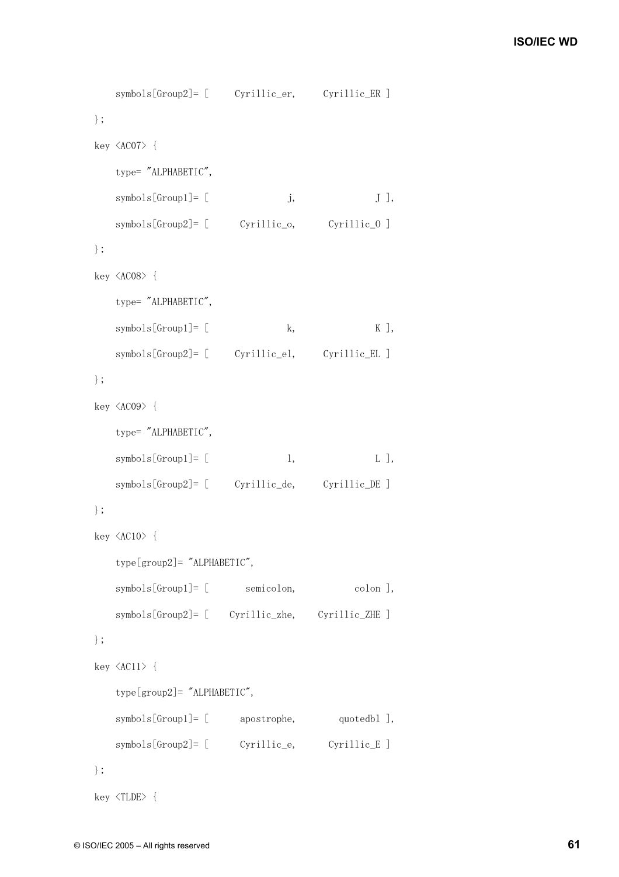```
symbols[Group2]= [ Cyrillic_er, Cyrillic_ER ]
 }; 
 key <AC07> { 
    type= "ALPHABETIC", 
   symbols[Group1] = [ j, J ],
   symbols[Group2]= [ Cyrillic_o, Cyrillic_0 ]
 }; 
 key <AC08> { 
    type= "ALPHABETIC", 
   \verb|symbols[Group1] = [\hspace{1cm}k, \hspace{1cm}K \hspace{1cm}],symbols[Group2]= [ Cyrillic_el, Cyrillic_EL ]
 }; 
 key <AC09> { 
    type= "ALPHABETIC", 
   symbols[Group1]= [ l, l, L ],
   symbols[Group2]= [ Cyrillic_de, Cyrillic_DE ]
 }; 
 key <AC10> { 
    type[group2]= "ALPHABETIC", 
   symbols[Group1]= [ semicolon, colon ],
    symbols[Group2]= [ Cyrillic_zhe, Cyrillic_ZHE ] 
 }; 
 key <AC11> { 
    type[group2]= "ALPHABETIC", 
   symbols[Group1]= [ apostrophe, quotedbl ],
  symbols[Group2]= [ Cyrillic_e, Cyrillic_E ]
 };
```
key <TLDE> {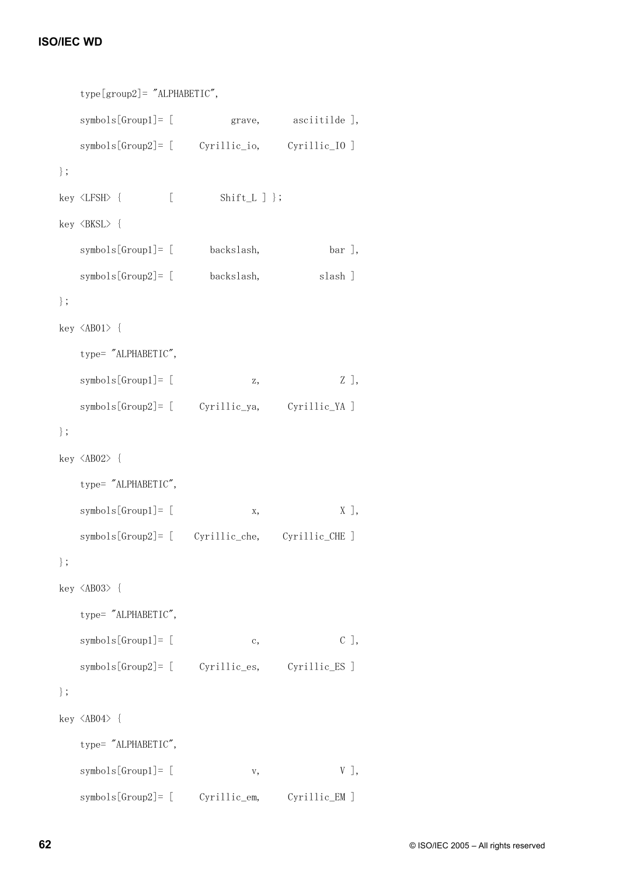```
 type[group2]= "ALPHABETIC", 
   symbols[Group1]= [ grave, asciitilde ],
   symbols[Group2]= [ Cyrillic io, Cyrillic IO ]
 }; 
key \langle LFSH \rangle { [ Shift_L ] };
 key <BKSL> { 
   symbols[Group1]= [ backslash, bar ],
   symbols[Group2]= [ backslash, slash ]
 }; 
 key <AB01> { 
    type= "ALPHABETIC", 
   symbols[Group1] = [ z, Z_j, Z_jsymbols[Group2]= [ Cyrillic_ya, Cyrillic_YA ]
 }; 
 key <AB02> { 
    type= "ALPHABETIC", 
   symbols[Group1]= [x, x, y] symbols[Group2]= [ Cyrillic_che, Cyrillic_CHE ] 
 }; 
 key <AB03> { 
    type= "ALPHABETIC", 
   symbols[Group1] = [ c, C],symbols[Group2]= [ Cyrillic_es, Cyrillic_ES ]
 }; 
 key <AB04> { 
    type= "ALPHABETIC", 
   symbols[Group1] = [ v, V],symbols[Group2]= [ Cyrillic_em, Cyrillic_EM ]
```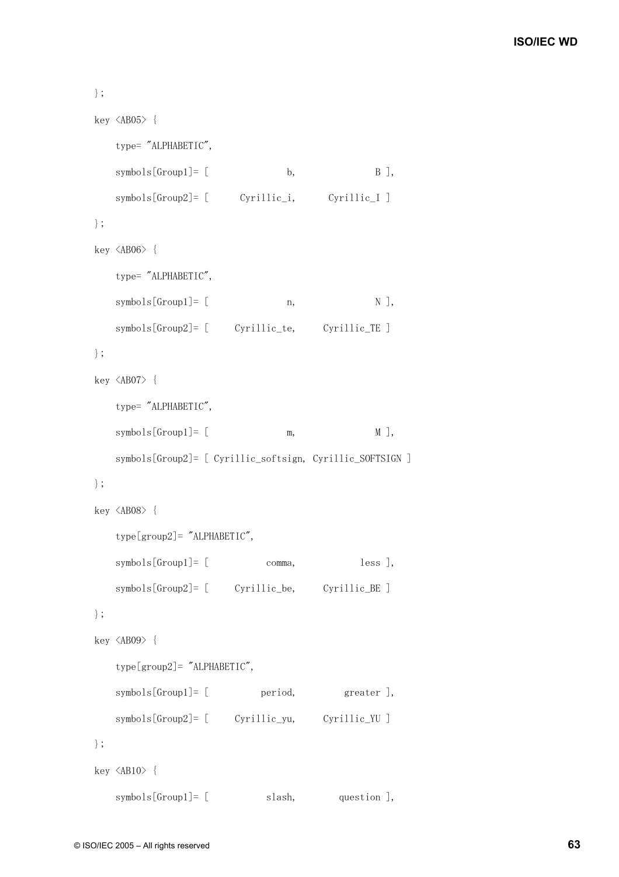```
 }; 
 key <AB05> { 
    type= "ALPHABETIC", 
   symbols[Group1]= [ b, B ],
   symbols[Group2]= [ Cyrillic_i, Cyrillic_I ]
 }; 
 key <AB06> { 
    type= "ALPHABETIC", 
   symbols[Group1] = [ n, N ],
   symbols[Group2]= [ Cyrillic_te, Cyrillic_TE ]
 }; 
 key <AB07> { 
    type= "ALPHABETIC", 
   symbols[Group1]= [ m, M ],
    symbols[Group2]= [ Cyrillic_softsign, Cyrillic_SOFTSIGN ] 
 }; 
 key <AB08> { 
    type[group2]= "ALPHABETIC", 
   symbols[Group1]= [ comma, less ],
   symbols[Group2]= [ Cyrillic_be, Cyrillic_BE ]
 }; 
 key <AB09> { 
    type[group2]= "ALPHABETIC", 
   symbols[Group1]= [ period, greater ],
   symbols[Group2]= [ Cyrillic_yu, Cyrillic_YU ]
 }; 
 key <AB10> { 
   symbols[Group1]= [ slash, question ],
```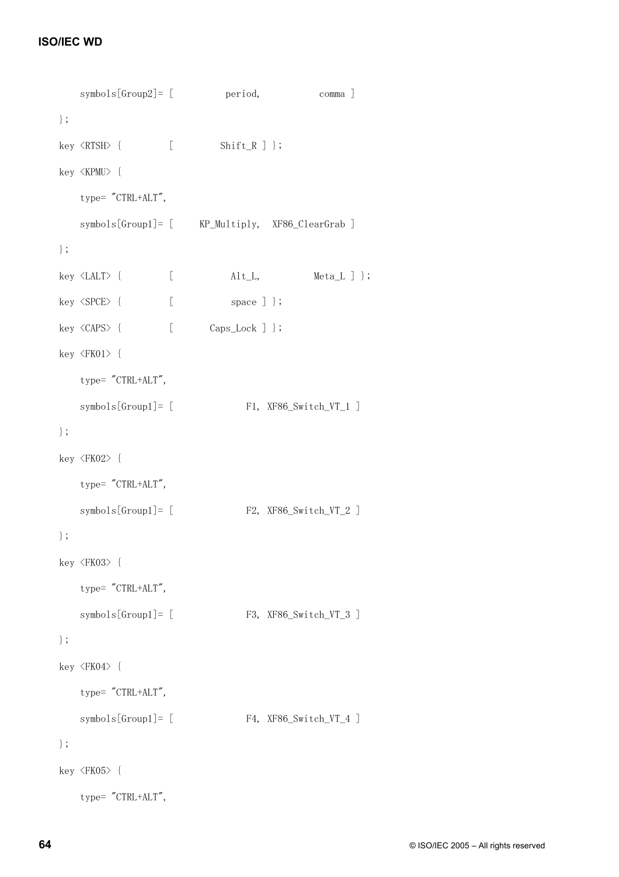```
symbols[Group2]= [ period, comma ]
 }; 
key \langleRTSH\rangle { [ Shift_R ] };
 key <KPMU> { 
   type= "CTRL+ALT", 
   symbols[Group1]= [ KP_Multiply, XF86_ClearGrab ] 
 }; 
key \langleLALT\rangle { [ Alt_L, Meta_L ] };
key \langle SPCE\rangle { [ space ] };
key \langle CAPS> { [ Caps_Lock ] };
 key <FK01> { 
   type= "CTRL+ALT", 
  symbols[Group1]= [ F1, XF86_Switch_VT_1 ]
 }; 
 key <FK02> { 
   type= "CTRL+ALT", 
  symbols[Group1]= [ F2, XF86_Switch_VT_2 ]
 }; 
 key <FK03> { 
  type= "CTRL+ALT", 
  symbols[Group1]= [ F3, XF86_Switch_VT_3 ]
 }; 
 key <FK04> { 
   type= "CTRL+ALT", 
  symbols[Group1]= [ F4, XF86_Switch_VT_4 ]
 }; 
 key <FK05> { 
    type= "CTRL+ALT",
```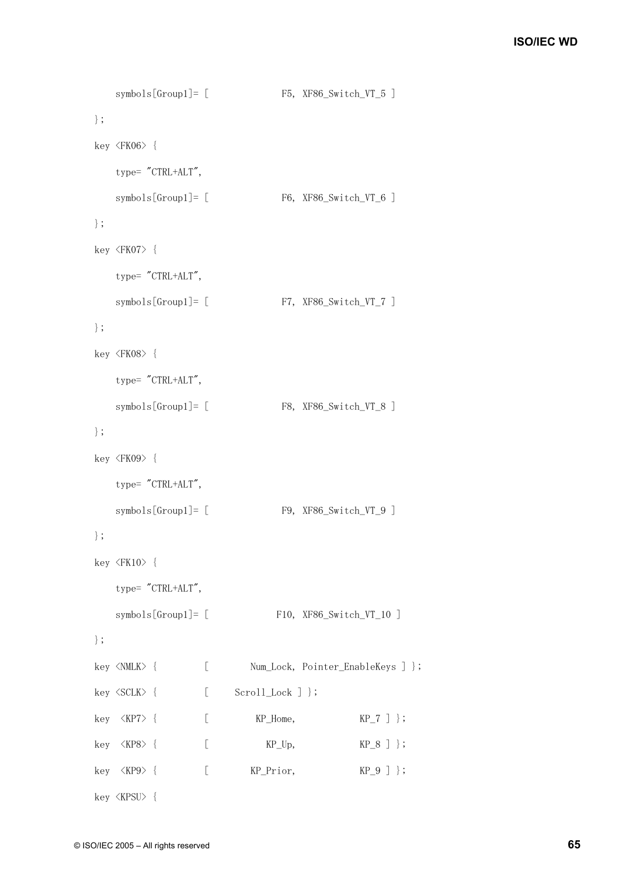```
symbols[Group1]= [ F5, XF86_Switch_VT_5 ]
 }; 
 key <FK06> { 
   type= "CTRL+ALT", 
   symbols[Group1]= [ F6, XF86_Switch_VT_6 ]
 }; 
 key <FK07> { 
   type= "CTRL+ALT", 
  symbols[Group1]= [ F7, XF86_Switch_VT_7 ]
 }; 
 key <FK08> { 
   type= "CTRL+ALT", 
  symbols[Group1]= [ F8, XF86_Switch_VT_8 ]
 }; 
 key <FK09> { 
   type= "CTRL+ALT", 
  symbols[Group1]= [ F9, XF86_Switch_VT_9 ]
 }; 
 key <FK10> { 
   type= "CTRL+ALT", 
  symbols[Group1]= [ F10, XF86_Switch_VT_10 ]
 }; 
key <NMLK> { [ Num_Lock, Pointer_EnableKeys ] };
key \langle \text{SCLK} \rangle { [ Scroll_Lock ] };
key \langle KP7 \rangle { [ KP_Home, KP_7 ] };
key \langle KP8 \rangle { [ \qquad \qquad KP_Up, \qquad KP_8 ] };
key \langle KP9 \rangle { [ \qquad \qquad KP_Prior, \qquad \qquad KP_9 ] };
 key <KPSU> {
```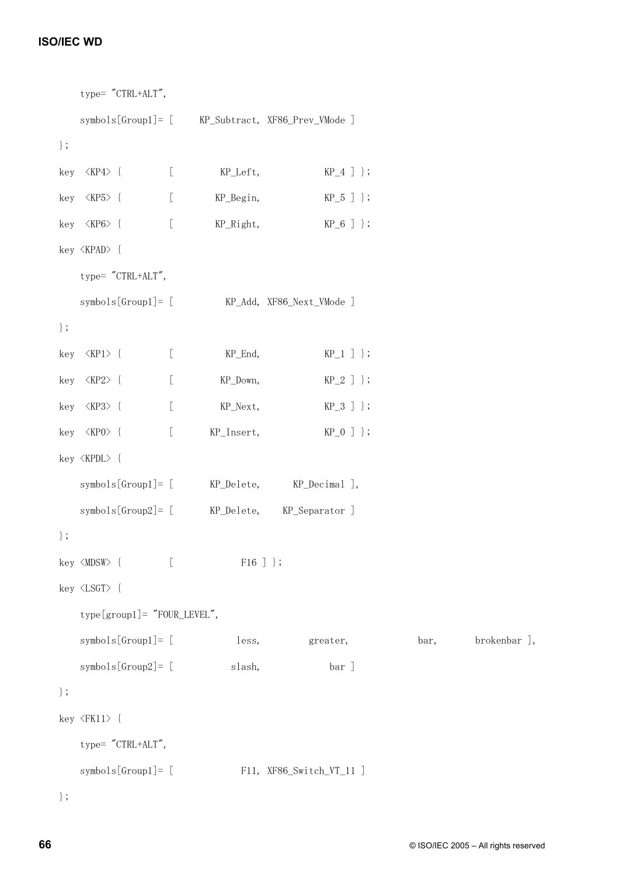```
 type= "CTRL+ALT", 
    symbols[Group1]= [ KP_Subtract, XF86_Prev_VMode ] 
 }; 
key \langle KP4 \rangle { [ KP Left, KP 4 ] };
key \langle \text{KP5}\rangle { [ KP_Begin, KP_5 ] };
key \langle KP6 \rangle { [ KP_Right, KP_6 ] };
 key <KPAD> { 
    type= "CTRL+ALT", 
    symbols[Group1]= [ KP_Add, XF86_Next_VMode ] 
 }; 
key \langle KP1 \rangle { [ KP_End, KP_1 ] };
key \langle KP2 \rangle { [ KP_Down, KP_2 ] };
key \langle KP3 \rangle { [ KP_Next, KP_3 ] };
key \langle \text{KP0} \rangle { [ KP_Insert, KP_0 ] };
 key <KPDL> { 
   symbols[Group1]= [ KP_Delete, KP_Decimal ],
   symbols[Group2]= [ KP_Delete, KP_Separator ]
 }; 
key \langle \text{MDSW} \rangle { [ F16 ] };
 key <LSGT> { 
    type[group1]= "FOUR_LEVEL", 
   symbols[Group1]= [ less, greater, bar, brokenbar ],
   symbols[Group2]= [ slash, bar ]
 }; 
 key <FK11> { 
    type= "CTRL+ALT", 
   symbols[Group1]= [ F11, XF86_Switch_VT_11 ]
 };
```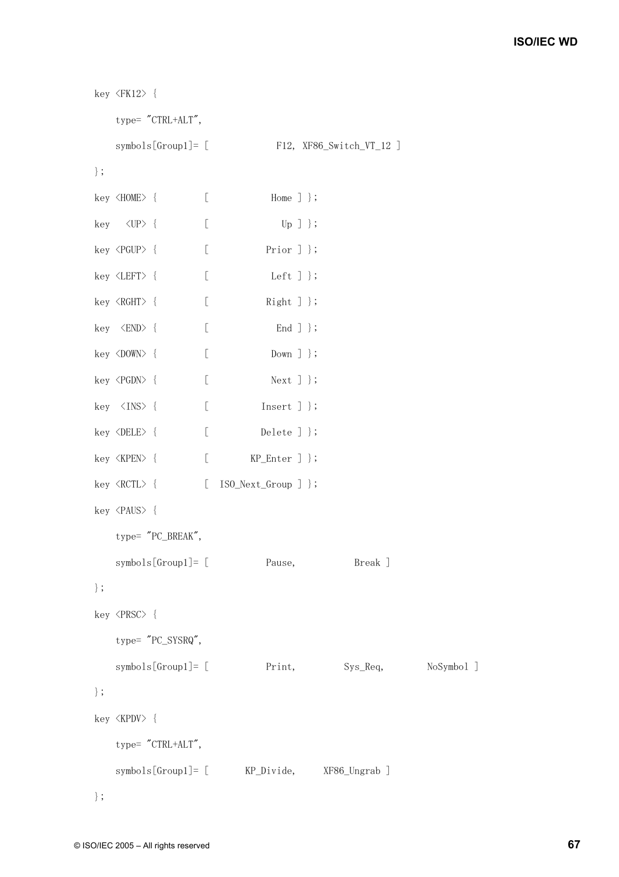```
 key <FK12> { 
    type= "CTRL+ALT", 
  symbols[Group1]= [ F12, XF86_Switch_VT_12 ]
 }; 
key \langleHOME\rangle { [ Home ] };
key \langle \text{UP} \rangle { [ Up ] };
key \langle PGUP \rangle { [ Prior ] };
key \langle \text{LEFT} \rangle { [ Left ] };
key \langle RGHT \rangle { [ Right ] };
key \langle END\rangle { [ End ] };
key \langle {\tt DOWN}\rangle { [ <code> Down ] };</code>
key <PGDN> { [ Next ] };
key \langleINS> { [ Insert ] };
key \langle \text{DELE} \rangle { [ Delete ] };
key \langle KPEN \rangle { [ KP_Enter ] };
key \langle RCTL \rangle { [ ISO_Next_Group ] };
 key <PAUS> { 
   type= "PC_BREAK", 
   symbols[Group1]= [ Pause, Break ]
 }; 
 key <PRSC> { 
    type= "PC_SYSRQ", 
   symbols[Group1]= [ Print, Sys_Req, NoSymbol ]
 }; 
 key <KPDV> { 
   type= "CTRL+ALT", 
   symbols[Group1]= [ KP_Divide, XF86_Ungrab ] 
 };
```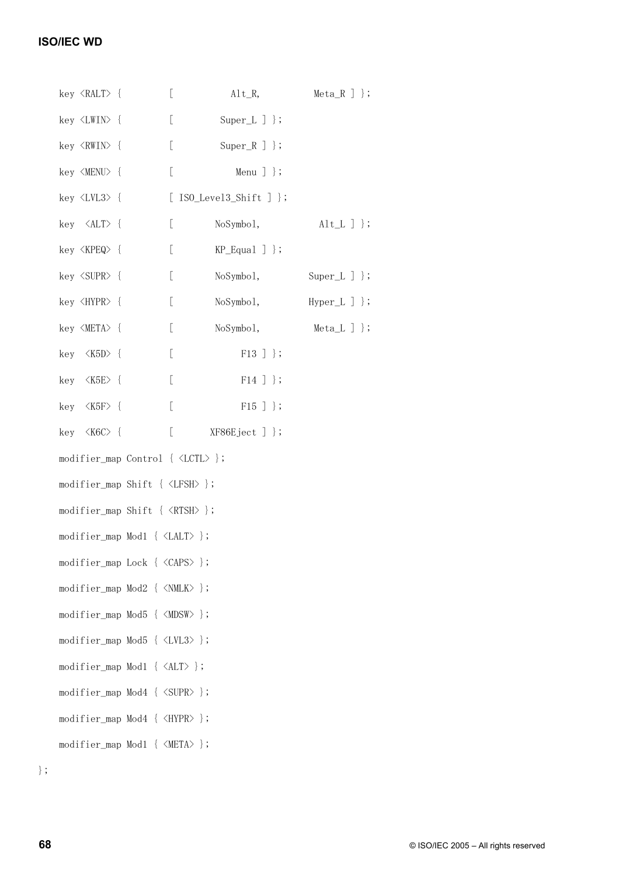| key <ralt> {</ralt>                                     | $\lceil$                | $\mathop{\rm Alt}\nolimits_R$ | $Meta_R ]$ ;  |
|---------------------------------------------------------|-------------------------|-------------------------------|---------------|
| key $\langle LWIN \rangle$ {                            | $\overline{L}$          | $Super_L$ $]$ $\}$ ;          |               |
| key $\langle RWIN \rangle$ {                            | [                       | $Super_R ]$ ;                 |               |
| key <menu> {</menu>                                     | $\overline{\mathbb{L}}$ | Menu $]$ $\}$ ;               |               |
| key <lvl3> {</lvl3>                                     | L                       | ISO_Level3_Shift ] };         |               |
| key $\langle$ ALT $\rangle$ {                           | [                       | NoSymbol,                     | Alt_L $]$ };  |
| key <kpeq> {</kpeq>                                     | $\lbrack$               | $KP_Equal$ ] $\}$ ;           |               |
| key $\langle \text{SUPR} \rangle$ {                     | $\lbrack$               | NoSymbol,                     | $Super_L ]$ ; |
| key <hypr> {</hypr>                                     | $\overline{\mathbb{L}}$ | NoSymbol,                     | $Hyper_L]$ ;  |
| key <meta/> {                                           | $\overline{\mathbb{L}}$ | NoSymbol,                     | $Meta_L]$ ;   |
| key $\langle$ K5D> {                                    | $\lbrack$               | $F13$ $]$ $;$                 |               |
| key $\langle$ K5E $\rangle$ {                           | $\lbrack$               | $F14$ $]$ $\}$ ;              |               |
| key $\langle K5F \rangle$ {                             | $\Gamma$                | $F15$ ] };                    |               |
| key $\langle K6C \rangle$ {                             | $\Gamma$                | $XF86Eject$ ] };              |               |
| modifier_map Control { <lctl> };</lctl>                 |                         |                               |               |
| modifier_map Shift $\{ \langle LFSH \rangle \}$ ;       |                         |                               |               |
| modifier_map Shift { <rtsh> };</rtsh>                   |                         |                               |               |
| modifier_map Mod1 $\{ \langle LALT \rangle \}$ ;        |                         |                               |               |
| modifier_map Lock $\{ \langle CABS \rangle \}$ ;        |                         |                               |               |
| modifier_map Mod2 { <nmlk> };</nmlk>                    |                         |                               |               |
| modifier_map Mod5 $\{ \langle MDSW\rangle \}$ ;         |                         |                               |               |
| modifier_map Mod5 $\{ \langle LVL3 \rangle \}$ ;        |                         |                               |               |
| modifier_map Mod1 $\{ \langle ALT \rangle \}$ ;         |                         |                               |               |
| modifier_map Mod4 $\{ \langle \text{SUPR} \rangle \};$  |                         |                               |               |
| modifier_map Mod4 $\{ \langle HYPR \rangle \}$ ;        |                         |                               |               |
| modifier_map Mod1 $\{ \langle \text{META} \rangle \}$ ; |                         |                               |               |

};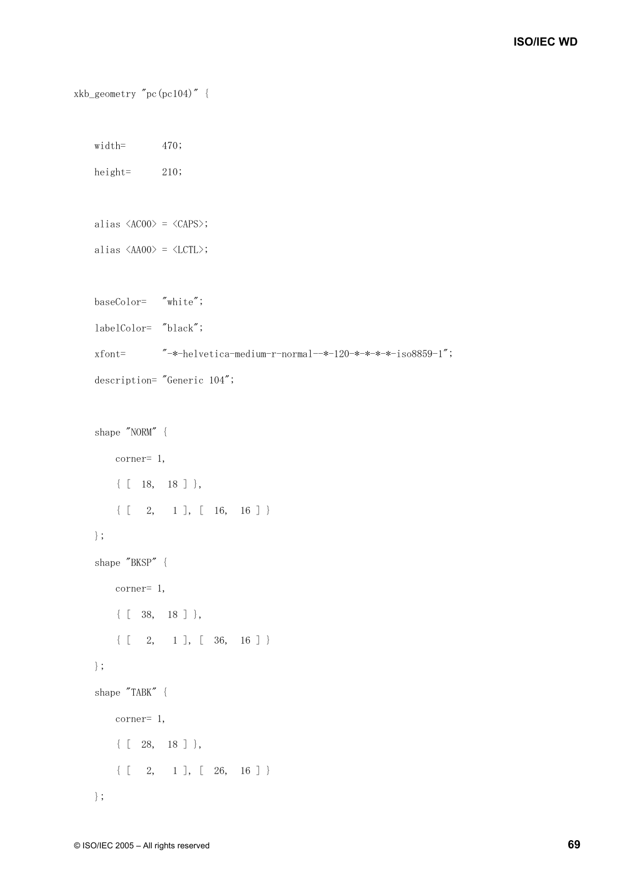```
xkb_geometry "pc(pc104)" {
```

```
width= 470;
```
height= 210;

alias  $\langle ACOO \rangle = \langle CAB \rangle$ ;

alias <AA00> = <LCTL>;

baseColor= "white";

labelColor= "black";

xfont= "-\*-helvetica-medium-r-normal--\*-120-\*-\*-\*-\*-iso8859-1";

```
 description= "Generic 104";
```

```
 shape "NORM" {
```
 corner= 1,  $\{$  [ 18, 18 ] },  $\{$  [ 2, 1], [ 16, 16] } }; shape "BKSP" { corner= 1, { [ 38, 18 ] },  $\{$  [ 2, 1], [ 36, 16] } }; shape "TABK" {

```
 corner= 1, 
    { [ 28, 18 ] }, 
   \{ [ 2, 1], [ 26, 16] }
 };
```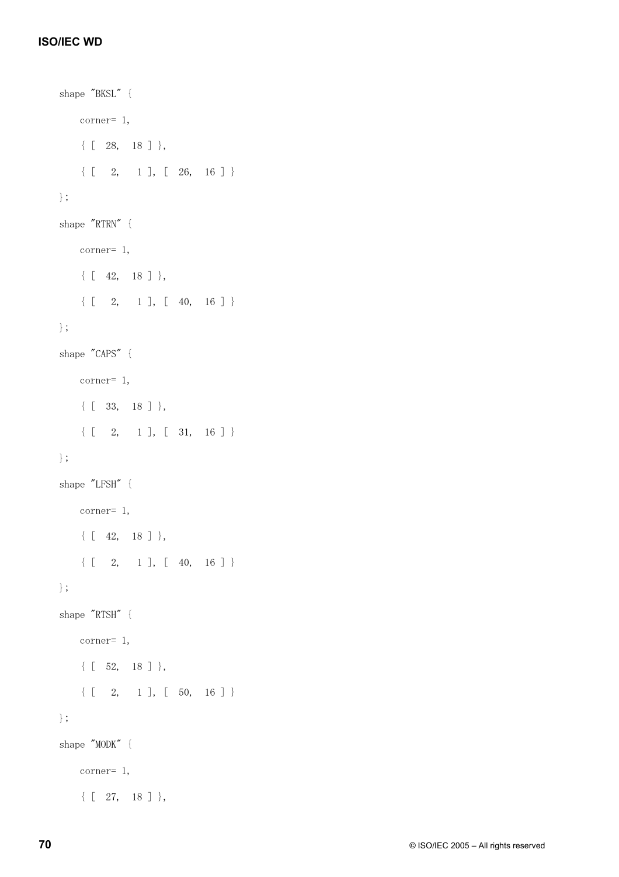```
 shape "BKSL" { 
   corner= 1, 
   \{ [ 28, 18 ] },
   \{ [ 2, 1], [ 26, 16] }
 }; 
 shape "RTRN" { 
   corner= 1, 
   { [ 42, 18 ] }, 
  \{ [ 2, 1], [ 40, 16] }
 }; 
 shape "CAPS" { 
   corner= 1, 
  \{ [ 33, 18 ] },
   \{ [ 2, 1], [ 31, 16] }
 }; 
 shape "LFSH" { 
   corner= 1, 
    { [ 42, 18 ] }, 
   \{ [ 2, 1], [ 40, 16] }
 }; 
 shape "RTSH" { 
   corner= 1, 
   \{ [ 52, 18 ] },
  \{ [ 2, 1], [ 50, 16] }
 }; 
 shape "MODK" { 
   corner= 1, 
   \{ [ 27, 18 ] },
```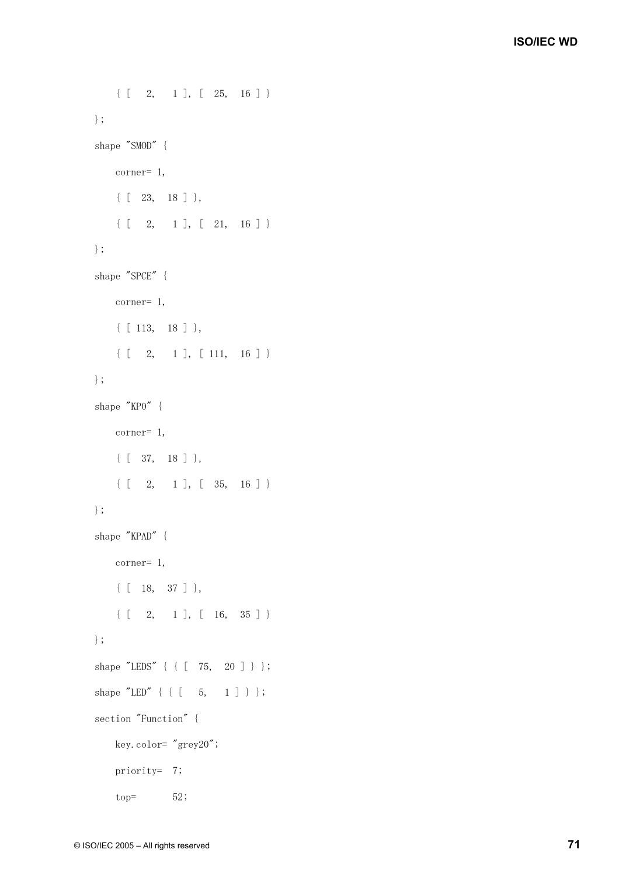```
\{ [ 2, 1], [ 25, 16] }
 }; 
 shape "SMOD" { 
   corner= 1, 
   { [ 23, 18 ] }, 
  \{ [ 2, 1 ], [ 21, 16 ] \} }; 
 shape "SPCE" { 
   corner= 1, 
   { [ 113, 18 ] }, 
 \{ [ 2, 1], [ 111, 16] }
 }; 
 shape "KP0" { 
   corner= 1, 
  \{ [ 37, 18 ] },
\{ [ 2, 1], [ 35, 16] }
 }; 
 shape "KPAD" { 
   corner= 1, 
  \{ [ 18, 37 ] },
 \{ [ 2, 1], [ 16, 35] }
 }; 
 shape "LEDS" { { [ 75, 20 ] } }; 
shape "LED" { { [ 5, 1] } };
 section "Function" { 
    key.color= "grey20"; 
    priority= 7; 
    top= 52;
```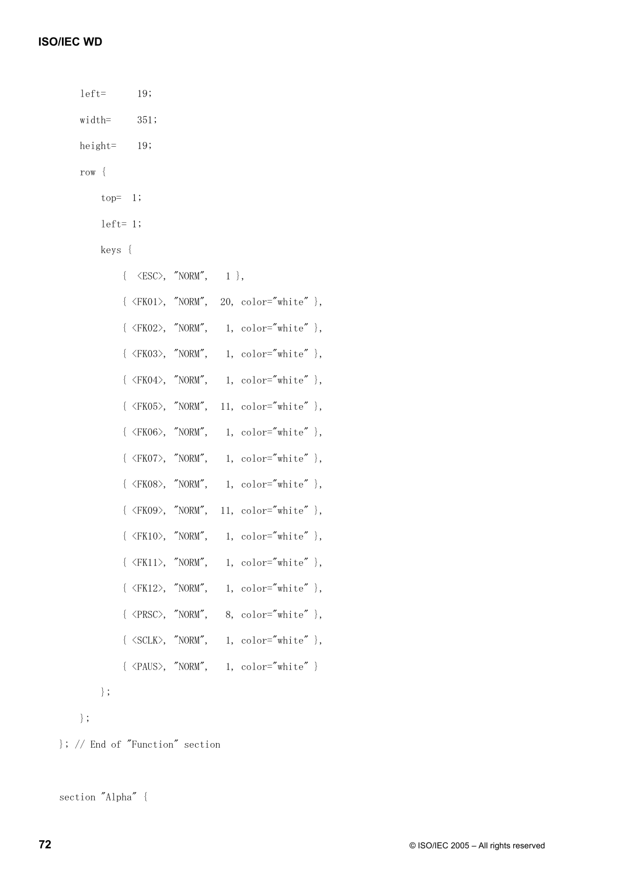```
 left= 19; 
width= 351;
 height= 19; 
 row { 
      top= 1; 
      left= 1; 
      keys { 
          {\langle ESC\rangle, "NORM", 1 },
          {\langleFK01>, "NORM", 20, color="white" },
          {\langle FK02\rangle, "NORM", 1, color="white" },
          {\langle FK03\rangle, "NORM", 1, color="white" },
          {\langle FK04\rangle, "NORM", 1, color="white" },
          {\langleFK05>, "NORM", 11, color="white" },
          {\langleFK06>, "NORM", 1, color="white" },
          {\langleFK07>, "NORM", 1, color="white" },
          {\langleFK08>, "NORM", 1, color="white" },
          {\langleFK09>, "NORM", 11, color="white" },
          {\langle FK10\rangle, "NORM", 1, color="white" },
          {\langle FK11\rangle, "NORM", 1, color="white" },
          {\langle FK12 \rangle, "NORM", 1, color="white" },
          {\langle PRSC\rangle, "NORM", 8, color="white" },
          {\langle \text{SCLK}\rangle, "NORM", 1, color="white" },
          {\langle PANS\rangle, "NORM", 1, color="white" }
     }; 
 };
```
}; // End of "Function" section

```
 section "Alpha" {
```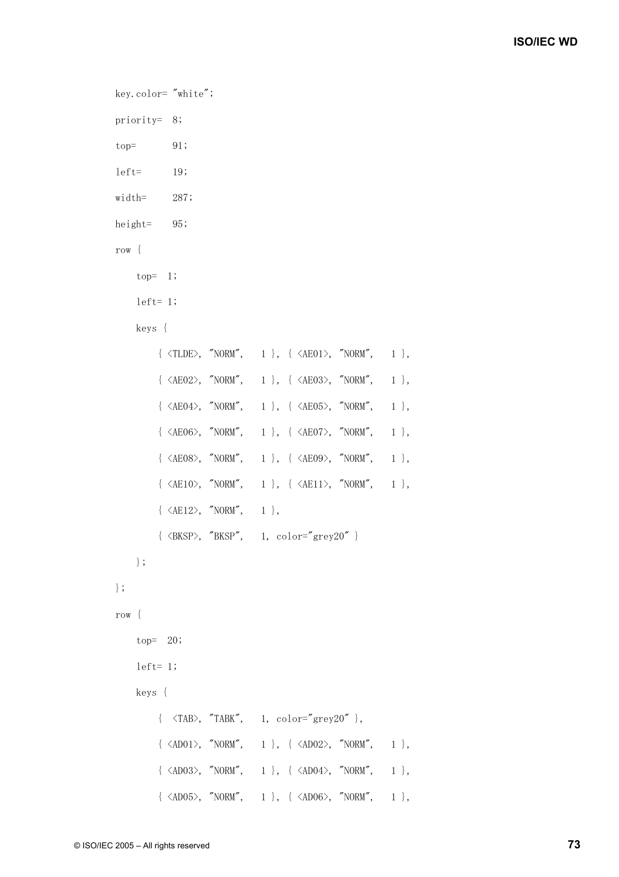```
 key.color= "white"; 
 priority= 8; 
\text{top} = 91; left= 19; 
 width= 287; 
 height= 95; 
 row { 
     top=1;
      left= 1; 
      keys { 
            {\langle TLDE \rangle, "NORM", 1 }, {\langle AEO1 \rangle, "NORM", 1 },
            { \langle AEO2 \rangle, "NORM", 1 }, { \langle AEO3 \rangle, "NORM", 1 },
           {\langle AEO4\rangle, "NORM", 1 }, {\langle AEO5\rangle, "NORM", 1 },
            { \langle AEO6 \rangle, "NORM", 1 }, { \langle AEO7 \rangle, "NORM", 1 },
           { \langle AEO8 \rangle, "NORM", 1 }, { \langle AEO9 \rangle, "NORM", 1 },
            { \langle AE10 \rangle, "NORM", 1 }, { \langle AE11 \rangle, "NORM", 1 },
            {\langle AE12 \rangle, "NORM", 1 },
           { \langle BKSP \rangle, "BKSP", 1, color="grey20" }
      }; 
 }; 
 row { 
      top= 20; 
      left= 1; 
      keys { 
            {\langle \text{TAB}\rangle, "TABK", 1, color="grey20" },
           { \langle AD01 \rangle, "NORM", 1 }, { \langle AD02 \rangle, "NORM", 1 },
            \{ \langle AD03 \rangle, \quad \text{NORM}^{\prime\prime}, \quad 1 \}, \{ \langle AD04 \rangle, \quad \text{NORM}^{\prime\prime}, \quad 1 \},
            {\langle AD05\rangle, "NORM", 1 }, {\langle AD06\rangle, "NORM", 1 },
```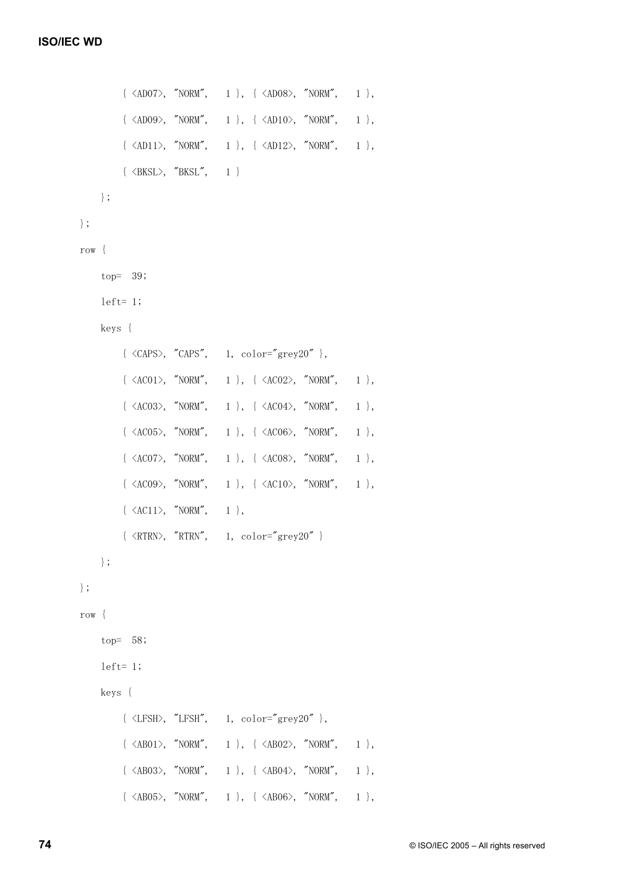```
{ \langle AD07>, "NORM", 1 }, { \langle AD08>, "NORM", 1 },
            { \langle AD09>, "NORM", 1 }, { \langle AD10>, "NORM", 1 },
            { \langle AD11 \rangle, "NORM", 1 }, { \langle AD12 \rangle, "NORM", 1 },
            \{ \langle BKSL \rangle, \quad \text{''BKSL}^{\prime\prime}, \quad 1 \} }; 
 }; 
 row { 
       top= 39; 
       left= 1; 
       keys { 
            {\langle CABS\rangle, "CAPS", 1, color="grey20" },
            { \langle AC01 \rangle, "NORM", 1 }, { \langle AC02 \rangle, "NORM", 1 },
            { \langle AC03 \rangle, "NORM", 1 }, { \langle AC04 \rangle, "NORM", 1 },
            { \langle AC05 \rangle, "NORM", 1 }, { \langle AC06 \rangle, "NORM", 1 },
            { \langle AC07 \rangle, "NORM", 1 }, { \langle AC08 \rangle, "NORM", 1 },
            {\langle AC09\rangle, "NORM", 1 }, {\langle AC10\rangle, "NORM", 1 },
            {\langle AC11 \rangle, "NORM", 1 },
            { \langle RTRN>, "RTRN", 1, color="grey20" }
      }; 
 }; 
 row { 
       top= 58; 
       left= 1; 
       keys { 
            {\langle LFSH \rangle, "LFSH", 1, color="grey20" },
            { \langle ABO1 \rangle, "NORM", 1 }, { \langle ABO2 \rangle, "NORM", 1 },
            {\langle AB03\rangle, "NORM", 1 }, {\langle AB04\rangle, "NORM", 1 },
            {\langle AB05 \rangle, "NORM", 1 }, {\langle AB06 \rangle, "NORM", 1 },
```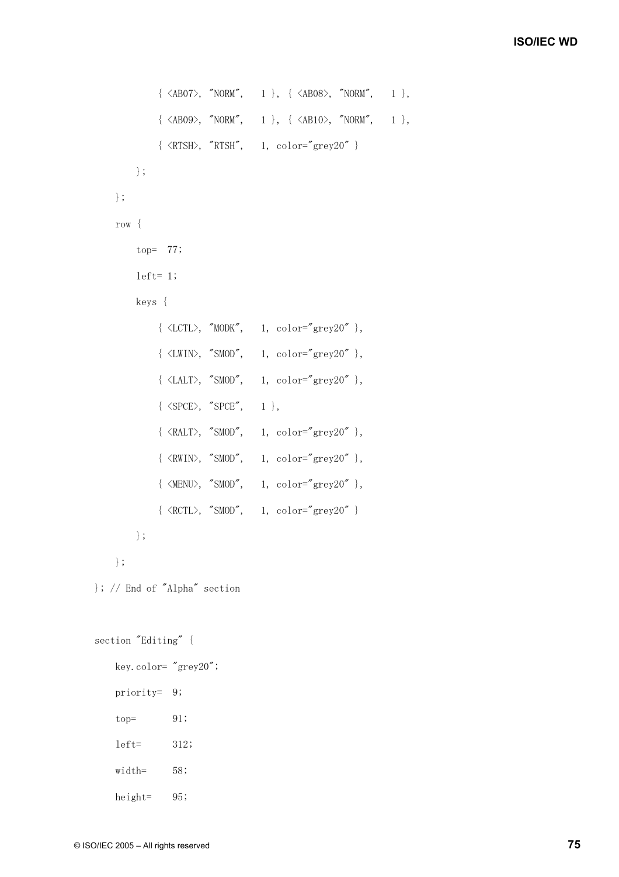```
{ \langle ABO7 \rangle, "NORM", 1 }, { \langle ABO8 \rangle, "NORM", 1 },
                  {\langle AB09\rangle, "NORM", 1 }, {\langle AB10\rangle, "NORM", 1 },
                  \{ \langle \text{RTSH} \rangle, \text{''RTSH} \rangle, \quad 1, \text{ color} = \text{''grey20} \rangle \} }; 
      }; 
       row { 
             top= 77; 
             left= 1; 
             keys { 
                  {\langle LCTL \rangle, "MODK", 1, color="grey20" },
                  {\langle LWIN\rangle, "SMOD", 1, color="grey20" },
                  {\langle LALT \rangle, "SMOD", 1, color="gray">color="grey20"},
                  {\langleSPCE\rangle, "SPCE", 1 },
                  {\langle RALT\rangle, "SMOD", 1, color="grey20" },
                  { \langle \text{RWIN}\rangle, "SMOD", 1, color="grey20" },
                  { \langle \text{MEM}\rangle, "SMOD", 1, color="grey20" },
                  \{ \langle \text{RCTL}\rangle, \text{''SMOD''}, \quad 1, \text{color} = \text{''grey20''} \} }; 
      }; 
 section "Editing" {
```

```
 }; // End of "Alpha" section
```

```
 key.color= "grey20"; 
 priority= 9; 
top = 91;
 left= 312; 
 width= 58; 
 height= 95;
```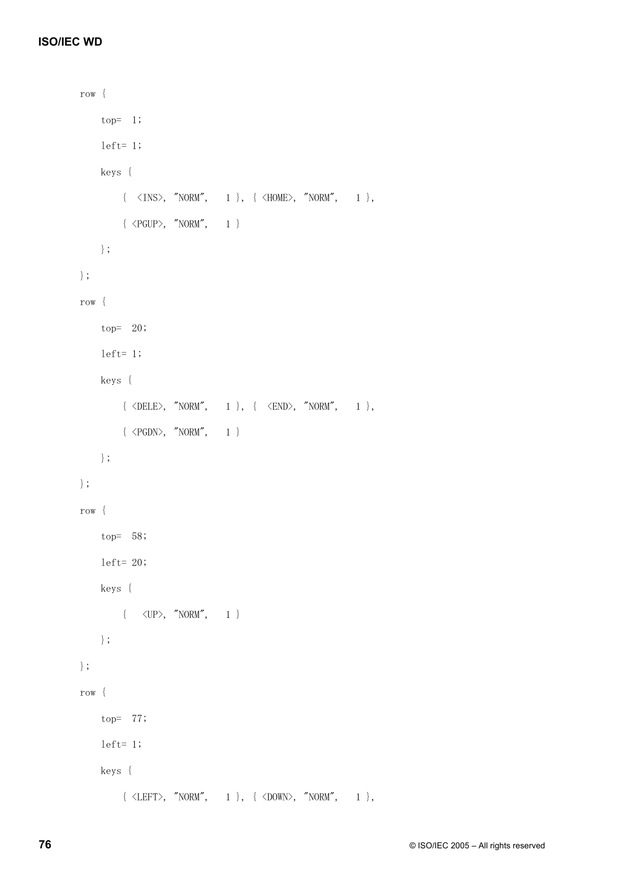```
 row { 
     top=1; left= 1; 
      keys { 
      {\langleINS>, "NORM", 1 }, {\langleHOME>, "NORM", 1 },
         \{ \langle PGUP \rangle, \quad \text{NORM} \text{''}, \qquad 1 \} }; 
 }; 
 row { 
     top= 20; 
      left= 1; 
      keys { 
      { \langle DELE>, "NORM", 1 }, { \langle END>, "NORM", 1 },
         \{ \langle PGDN \rangle, \quad \text{"NORM",} \quad 1 \} }; 
 }; 
 row { 
     top= 58; 
      left= 20; 
      keys { 
    {\langle \text{UP}\rangle, "NORM", 1 }
    }; 
 }; 
 row { 
      top= 77; 
      left= 1; 
      keys { 
         { \langle \text{LEFT} \rangle, "NORM", 1 }, { \langle \text{DOWN} \rangle, "NORM", 1 },
```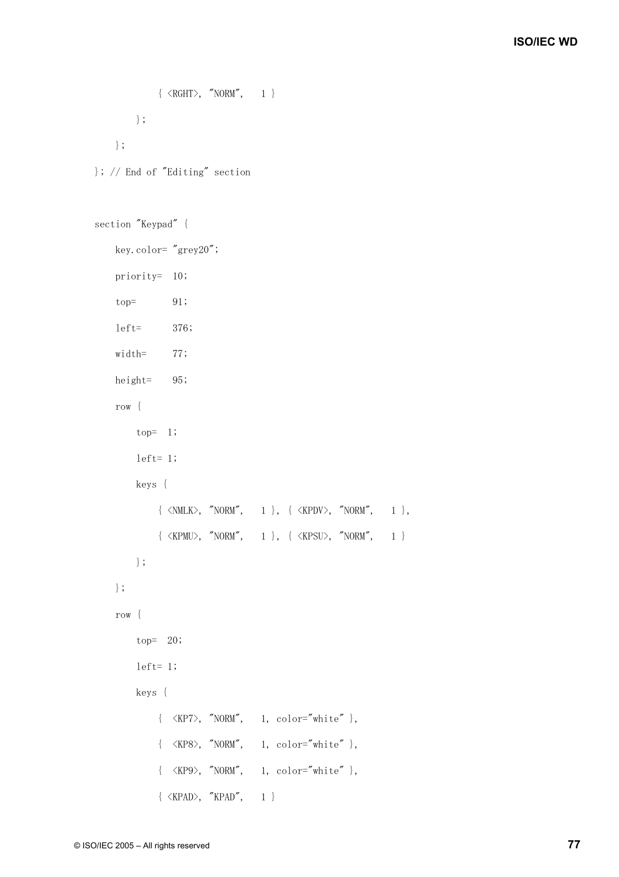```
\{ \langle \text{RGHT} \rangle, \text{''NORM''}, \quad 1 \} }; 
  }; 
 }; // End of "Editing" section 
 section "Keypad" { 
      key.color= "grey20"; 
      priority= 10; 
     top = 91;
      left= 376; 
     width= 77;
      height= 95; 
      row { 
          top=1;
            left= 1; 
            keys { 
               \{ \langle \text{NMLK} \rangle, \text{ "NORM", } 1 \}, \{ \langle \text{KPDV} \rangle, \text{ "NORM", } 1 \},
               \{ \langle KPMU \rangle, \quad \text{NORM}^{\prime\prime}, \quad 1 \}, \{ \langle KPSU \rangle, \quad \text{NORM}^{\prime\prime}, \quad 1 \} }; 
      }; 
      row { 
           top=20;
            left= 1; 
            keys { 
                  {\langle KP7 \rangle, "NORM", 1, color="white" },
                 { \langle KPS \rangle, "NORM", 1, color="white" },
                 {\langle KP9\rangle, "NORM", 1, color="white" },
                 \{ \langle KPAD \rangle, \langle "KPAD", 1 \rangle \}
```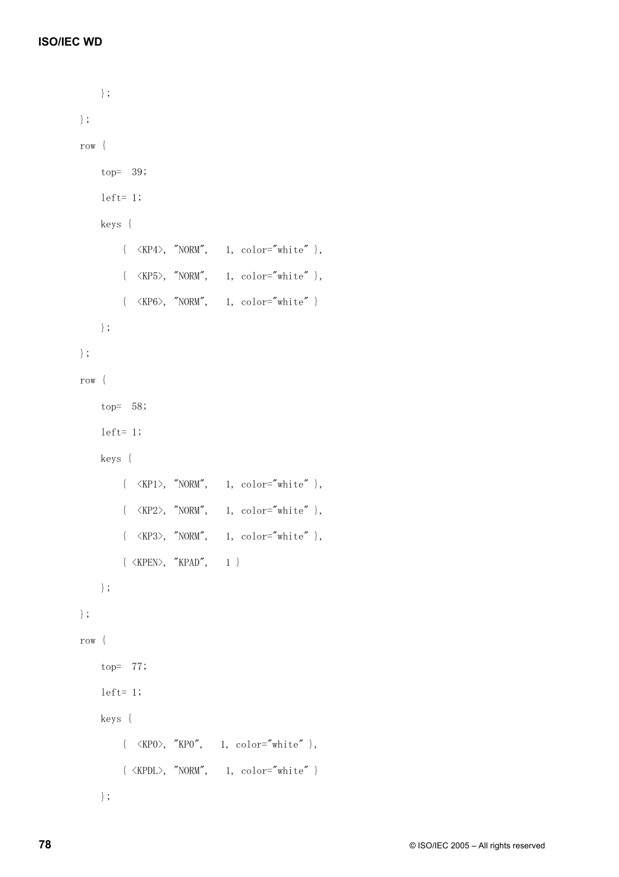```
 }; 
 }; 
 row { 
    top= 39; 
     left= 1; 
      keys { 
         {\langle KP4 \rangle, "NORM", 1, color="white" },
        { \langleKP5>, "NORM", 1, color="white" },
        { \langle KP6 \rangle, "NORM", 1, color="white" }
    }; 
 }; 
 row { 
    top= 58; 
      left= 1; 
      keys { 
        {\langle KP1 \rangle, "NORM", 1, color="white" },
        {\langle KP2 \rangle, "NORM", 1, color="white" },
        {\langle KP3\rangle, "NORM", 1, color="white" },
         { <KPEN>, "KPAD", 1 } 
   }; 
 }; 
 row { 
      top= 77; 
      left= 1; 
      keys { 
     { \langleKPO>, "KPO", 1, color="white" },
     { \langleKPDL>, "NORM", 1, color="white" }
      };
```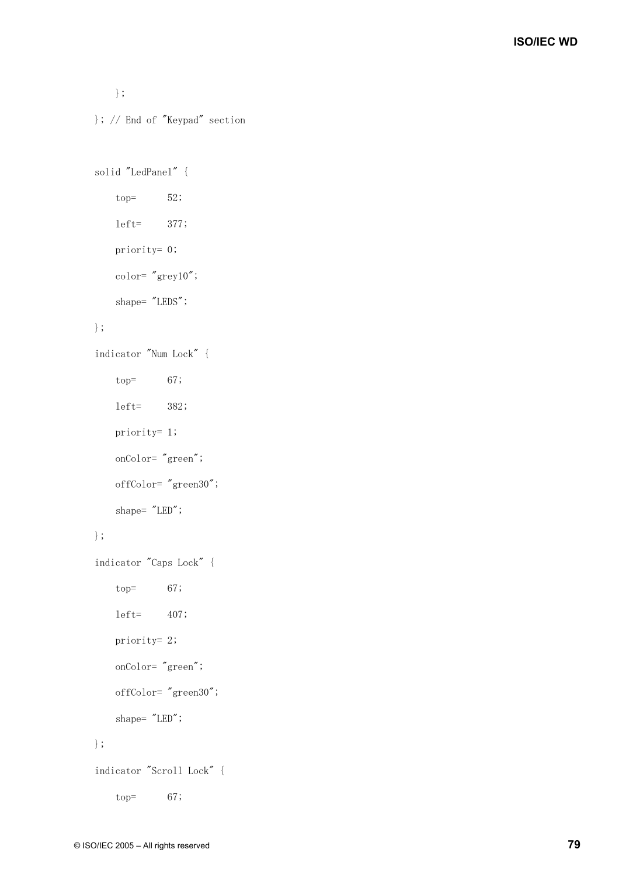```
 };
```

```
 }; // End of "Keypad" section
```

```
 solid "LedPanel" { 
     top= 52; 
     left= 377; 
     priority= 0; 
     color= "grey10"; 
     shape= "LEDS";
```
## };

```
 indicator "Num Lock" { 
     top= 67; 
     left= 382; 
     priority= 1; 
     onColor= "green"; 
     offColor= "green30"; 
     shape= "LED"; 
 };
```

```
 indicator "Caps Lock" { 
     top= 67; 
     left= 407; 
     priority= 2; 
     onColor= "green"; 
     offColor= "green30"; 
     shape= "LED"; 
 }; 
 indicator "Scroll Lock" {
```
top= 67;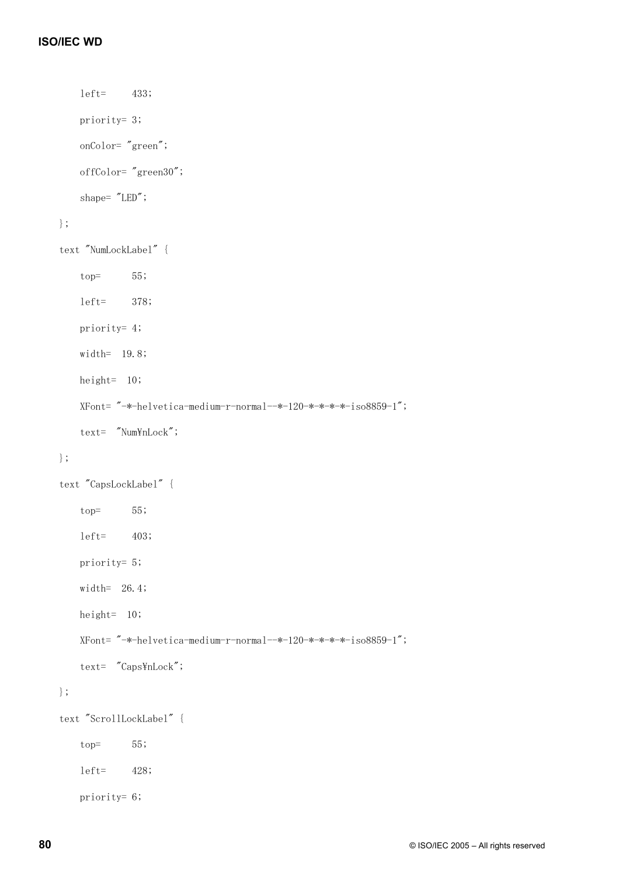```
 left= 433; 
     priority= 3; 
     onColor= "green"; 
     offColor= "green30"; 
     shape= "LED"; 
 }; 
 text "NumLockLabel" { 
     top= 55; 
     left= 378; 
     priority= 4; 
     width= 19.8; 
     height= 10; 
    XFont = "-*-helvetica-medium-r-normal--*-120-*-*-*-*-iso8859-1";
    text= "Num\nLock";
 }; 
 text "CapsLockLabel" { 
     top= 55; 
     left= 403; 
     priority= 5; 
     width= 26.4; 
     height= 10; 
     XFont= "-*-helvetica-medium-r-normal--*-120-*-*-*-*-iso8859-1"; 
    text= "Caps\nLock";
 }; 
 text "ScrollLockLabel" { 
    top = 55; left= 428;
```
priority= 6;